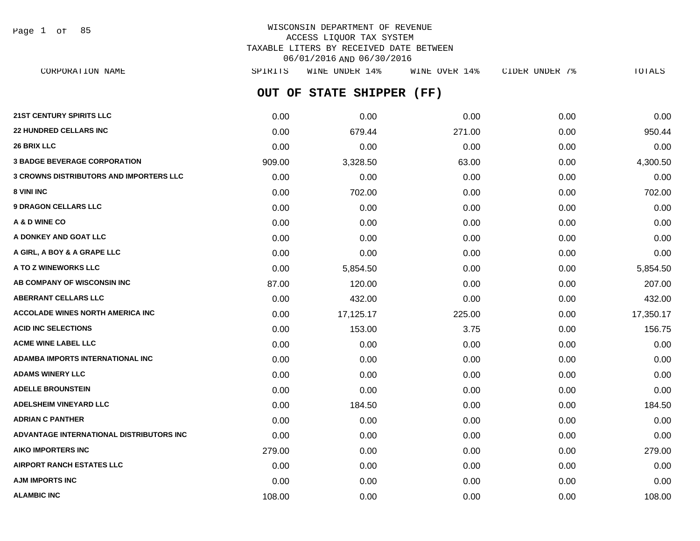Page 1 of 85

# WISCONSIN DEPARTMENT OF REVENUE ACCESS LIQUOR TAX SYSTEM TAXABLE LITERS BY RECEIVED DATE BETWEEN 06/01/2016 AND 06/30/2016

**OUT OF STATE SHIPPER (FF) 21ST CENTURY SPIRITS LLC** 0.00 0.00 0.00 0.00 0.00 **22 HUNDRED CELLARS INC** 0.00 679.44 271.00 0.00 950.44 **26 BRIX LLC** 0.00 0.00 0.00 0.00 0.00 **3 BADGE BEVERAGE CORPORATION** 63.00 63.00 63.00 63.00 63.00 63.00 63.00 63.00 **3 CROWNS DISTRIBUTORS AND IMPORTERS LLC** 0.00 0.00 0.00 0.00 0.00 **8 VINI INC** 6.00 **0.00 0.00 0.00 0.00 0.00 0.00 0.00 0.00 0.00 0.00 702.00 9 DRAGON CELLARS LLC** 0.00 0.00 0.00 0.00 0.00 **A & D WINE CO** 0.00 0.00 0.00 0.00 0.00 **A DONKEY AND GOAT LLC**  $\begin{array}{ccc} 0.00 & 0.00 & 0.00 & 0.00 & 0.00 & 0.00 \end{array}$ CORPORATION NAME SPIRITS WINE UNDER 14% WINE OVER 14% CIDER UNDER 7% TOTALS

| A DONKEY AND GOAT LLC                    | 0.00   | 0.00      | 0.00   | 0.00 | 0.00      |
|------------------------------------------|--------|-----------|--------|------|-----------|
| A GIRL, A BOY & A GRAPE LLC              | 0.00   | 0.00      | 0.00   | 0.00 | 0.00      |
| A TO Z WINEWORKS LLC                     | 0.00   | 5,854.50  | 0.00   | 0.00 | 5,854.50  |
| AB COMPANY OF WISCONSIN INC              | 87.00  | 120.00    | 0.00   | 0.00 | 207.00    |
| <b>ABERRANT CELLARS LLC</b>              | 0.00   | 432.00    | 0.00   | 0.00 | 432.00    |
| <b>ACCOLADE WINES NORTH AMERICA INC.</b> | 0.00   | 17,125.17 | 225.00 | 0.00 | 17,350.17 |
| <b>ACID INC SELECTIONS</b>               | 0.00   | 153.00    | 3.75   | 0.00 | 156.75    |
| <b>ACME WINE LABEL LLC</b>               | 0.00   | 0.00      | 0.00   | 0.00 | 0.00      |
| <b>ADAMBA IMPORTS INTERNATIONAL INC.</b> | 0.00   | 0.00      | 0.00   | 0.00 | 0.00      |
| <b>ADAMS WINERY LLC</b>                  | 0.00   | 0.00      | 0.00   | 0.00 | 0.00      |
| <b>ADELLE BROUNSTEIN</b>                 | 0.00   | 0.00      | 0.00   | 0.00 | 0.00      |
| <b>ADELSHEIM VINEYARD LLC</b>            | 0.00   | 184.50    | 0.00   | 0.00 | 184.50    |
| <b>ADRIAN C PANTHER</b>                  | 0.00   | 0.00      | 0.00   | 0.00 | 0.00      |
| ADVANTAGE INTERNATIONAL DISTRIBUTORS INC | 0.00   | 0.00      | 0.00   | 0.00 | 0.00      |
| <b>AIKO IMPORTERS INC</b>                | 279.00 | 0.00      | 0.00   | 0.00 | 279.00    |
| <b>AIRPORT RANCH ESTATES LLC</b>         | 0.00   | 0.00      | 0.00   | 0.00 | 0.00      |
| <b>AJM IMPORTS INC</b>                   | 0.00   | 0.00      | 0.00   | 0.00 | 0.00      |
| <b>ALAMBIC INC</b>                       | 108.00 | 0.00      | 0.00   | 0.00 | 108.00    |
|                                          |        |           |        |      |           |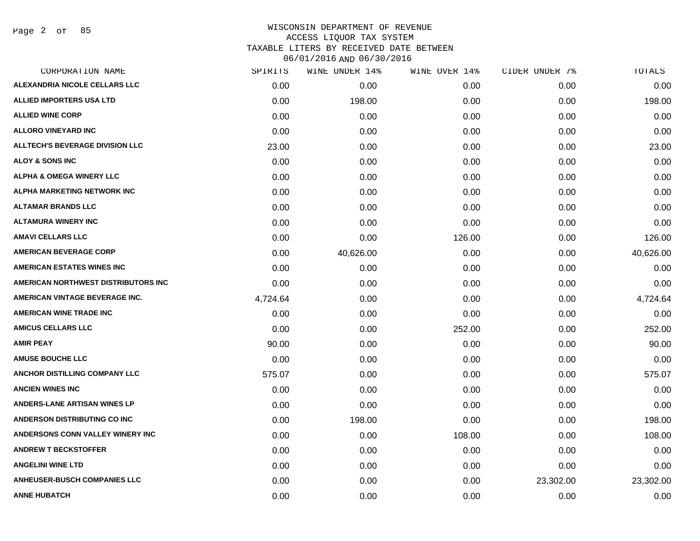Page 2 of 85

| <b>ALEXANDRIA NICOLE CELLARS LLC</b><br>0.00<br>0.00      | 0.00<br>0.00 | 0.00      | 0.00      |
|-----------------------------------------------------------|--------------|-----------|-----------|
|                                                           |              |           |           |
| <b>ALLIED IMPORTERS USA LTD</b><br>0.00<br>198.00         |              | 0.00      | 198.00    |
| <b>ALLIED WINE CORP</b><br>0.00<br>0.00                   | 0.00         | 0.00      | 0.00      |
| <b>ALLORO VINEYARD INC</b><br>0.00<br>0.00                | 0.00         | 0.00      | 0.00      |
| <b>ALLTECH'S BEVERAGE DIVISION LLC</b><br>23.00<br>0.00   | 0.00         | 0.00      | 23.00     |
| <b>ALOY &amp; SONS INC</b><br>0.00<br>0.00                | 0.00         | 0.00      | 0.00      |
| <b>ALPHA &amp; OMEGA WINERY LLC</b><br>0.00<br>0.00       | 0.00         | 0.00      | 0.00      |
| ALPHA MARKETING NETWORK INC<br>0.00<br>0.00               | 0.00         | 0.00      | 0.00      |
| ALTAMAR BRANDS LLC<br>0.00<br>0.00                        | 0.00         | 0.00      | 0.00      |
| <b>ALTAMURA WINERY INC</b><br>0.00<br>0.00                | 0.00         | 0.00      | 0.00      |
| AMAVI CELLARS LLC<br>0.00<br>0.00                         | 126.00       | 0.00      | 126.00    |
| <b>AMERICAN BEVERAGE CORP</b><br>0.00<br>40,626.00        | 0.00         | 0.00      | 40,626.00 |
| <b>AMERICAN ESTATES WINES INC</b><br>0.00<br>0.00         | 0.00         | 0.00      | 0.00      |
| AMERICAN NORTHWEST DISTRIBUTORS INC<br>0.00<br>0.00       | 0.00         | 0.00      | 0.00      |
| <b>AMERICAN VINTAGE BEVERAGE INC.</b><br>4,724.64<br>0.00 | 0.00         | 0.00      | 4,724.64  |
| <b>AMERICAN WINE TRADE INC</b><br>0.00<br>0.00            | 0.00         | 0.00      | 0.00      |
| <b>AMICUS CELLARS LLC</b><br>0.00<br>0.00                 | 252.00       | 0.00      | 252.00    |
| <b>AMIR PEAY</b><br>90.00<br>0.00                         | 0.00         | 0.00      | 90.00     |
| <b>AMUSE BOUCHE LLC</b><br>0.00<br>0.00                   | 0.00         | 0.00      | 0.00      |
| <b>ANCHOR DISTILLING COMPANY LLC</b><br>575.07<br>0.00    | 0.00         | 0.00      | 575.07    |
| <b>ANCIEN WINES INC</b><br>0.00<br>0.00                   | 0.00         | 0.00      | 0.00      |
| <b>ANDERS-LANE ARTISAN WINES LP</b><br>0.00<br>0.00       | 0.00         | 0.00      | 0.00      |
| <b>ANDERSON DISTRIBUTING CO INC</b><br>0.00<br>198.00     | 0.00         | 0.00      | 198.00    |
| <b>ANDERSONS CONN VALLEY WINERY INC</b><br>0.00<br>0.00   | 108.00       | 0.00      | 108.00    |
| <b>ANDREW T BECKSTOFFER</b><br>0.00<br>0.00               | 0.00         | 0.00      | 0.00      |
| <b>ANGELINI WINE LTD</b><br>0.00<br>0.00                  | 0.00         | 0.00      | 0.00      |
| <b>ANHEUSER-BUSCH COMPANIES LLC</b><br>0.00<br>0.00       | 0.00         | 23,302.00 | 23,302.00 |
| <b>ANNE HUBATCH</b><br>0.00<br>0.00                       | 0.00         | 0.00      | 0.00      |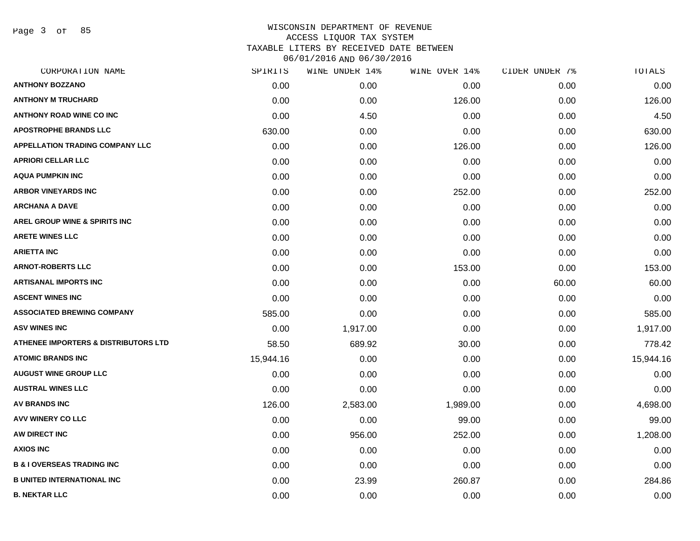Page 3 of 85

| CORPORATION NAME                                | SPIRITS   | WINE UNDER 14% | WINE OVER 14% | CIDER UNDER 7% | TOTALS    |
|-------------------------------------------------|-----------|----------------|---------------|----------------|-----------|
| <b>ANTHONY BOZZANO</b>                          | 0.00      | 0.00           | 0.00          | 0.00           | 0.00      |
| <b>ANTHONY M TRUCHARD</b>                       | 0.00      | 0.00           | 126.00        | 0.00           | 126.00    |
| <b>ANTHONY ROAD WINE CO INC</b>                 | 0.00      | 4.50           | 0.00          | 0.00           | 4.50      |
| <b>APOSTROPHE BRANDS LLC</b>                    | 630.00    | 0.00           | 0.00          | 0.00           | 630.00    |
| <b>APPELLATION TRADING COMPANY LLC</b>          | 0.00      | 0.00           | 126.00        | 0.00           | 126.00    |
| <b>APRIORI CELLAR LLC</b>                       | 0.00      | 0.00           | 0.00          | 0.00           | 0.00      |
| <b>AQUA PUMPKIN INC</b>                         | 0.00      | 0.00           | 0.00          | 0.00           | 0.00      |
| <b>ARBOR VINEYARDS INC</b>                      | 0.00      | 0.00           | 252.00        | 0.00           | 252.00    |
| <b>ARCHANA A DAVE</b>                           | 0.00      | 0.00           | 0.00          | 0.00           | 0.00      |
| AREL GROUP WINE & SPIRITS INC                   | 0.00      | 0.00           | 0.00          | 0.00           | 0.00      |
| <b>ARETE WINES LLC</b>                          | 0.00      | 0.00           | 0.00          | 0.00           | 0.00      |
| <b>ARIETTA INC</b>                              | 0.00      | 0.00           | 0.00          | 0.00           | 0.00      |
| <b>ARNOT-ROBERTS LLC</b>                        | 0.00      | 0.00           | 153.00        | 0.00           | 153.00    |
| <b>ARTISANAL IMPORTS INC</b>                    | 0.00      | 0.00           | 0.00          | 60.00          | 60.00     |
| <b>ASCENT WINES INC</b>                         | 0.00      | 0.00           | 0.00          | 0.00           | 0.00      |
| <b>ASSOCIATED BREWING COMPANY</b>               | 585.00    | 0.00           | 0.00          | 0.00           | 585.00    |
| <b>ASV WINES INC</b>                            | 0.00      | 1,917.00       | 0.00          | 0.00           | 1,917.00  |
| <b>ATHENEE IMPORTERS &amp; DISTRIBUTORS LTD</b> | 58.50     | 689.92         | 30.00         | 0.00           | 778.42    |
| <b>ATOMIC BRANDS INC</b>                        | 15,944.16 | 0.00           | 0.00          | 0.00           | 15,944.16 |
| <b>AUGUST WINE GROUP LLC</b>                    | 0.00      | 0.00           | 0.00          | 0.00           | 0.00      |
| <b>AUSTRAL WINES LLC</b>                        | 0.00      | 0.00           | 0.00          | 0.00           | 0.00      |
| <b>AV BRANDS INC</b>                            | 126.00    | 2,583.00       | 1,989.00      | 0.00           | 4,698.00  |
| AVV WINERY CO LLC                               | 0.00      | 0.00           | 99.00         | 0.00           | 99.00     |
| AW DIRECT INC                                   | 0.00      | 956.00         | 252.00        | 0.00           | 1,208.00  |
| <b>AXIOS INC</b>                                | 0.00      | 0.00           | 0.00          | 0.00           | 0.00      |
| <b>B &amp; I OVERSEAS TRADING INC</b>           | 0.00      | 0.00           | 0.00          | 0.00           | 0.00      |
| <b>B UNITED INTERNATIONAL INC</b>               | 0.00      | 23.99          | 260.87        | 0.00           | 284.86    |
| <b>B. NEKTAR LLC</b>                            | 0.00      | 0.00           | 0.00          | 0.00           | 0.00      |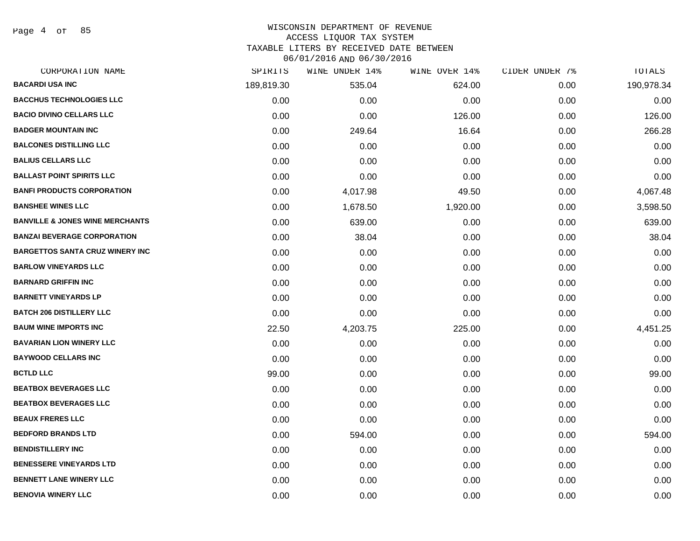Page 4 of 85

# WISCONSIN DEPARTMENT OF REVENUE

# ACCESS LIQUOR TAX SYSTEM

TAXABLE LITERS BY RECEIVED DATE BETWEEN

| CORPORATION NAME                           | SPIRITS    | WINE UNDER 14% | WINE OVER 14% | CIDER UNDER 7% | TOTALS     |
|--------------------------------------------|------------|----------------|---------------|----------------|------------|
| <b>BACARDI USA INC</b>                     | 189,819.30 | 535.04         | 624.00        | 0.00           | 190,978.34 |
| <b>BACCHUS TECHNOLOGIES LLC</b>            | 0.00       | 0.00           | 0.00          | 0.00           | 0.00       |
| <b>BACIO DIVINO CELLARS LLC</b>            | 0.00       | 0.00           | 126.00        | 0.00           | 126.00     |
| <b>BADGER MOUNTAIN INC</b>                 | 0.00       | 249.64         | 16.64         | 0.00           | 266.28     |
| <b>BALCONES DISTILLING LLC</b>             | 0.00       | 0.00           | 0.00          | 0.00           | 0.00       |
| <b>BALIUS CELLARS LLC</b>                  | 0.00       | 0.00           | 0.00          | 0.00           | 0.00       |
| <b>BALLAST POINT SPIRITS LLC</b>           | 0.00       | 0.00           | 0.00          | 0.00           | 0.00       |
| <b>BANFI PRODUCTS CORPORATION</b>          | 0.00       | 4,017.98       | 49.50         | 0.00           | 4,067.48   |
| <b>BANSHEE WINES LLC</b>                   | 0.00       | 1,678.50       | 1,920.00      | 0.00           | 3,598.50   |
| <b>BANVILLE &amp; JONES WINE MERCHANTS</b> | 0.00       | 639.00         | 0.00          | 0.00           | 639.00     |
| <b>BANZAI BEVERAGE CORPORATION</b>         | 0.00       | 38.04          | 0.00          | 0.00           | 38.04      |
| <b>BARGETTOS SANTA CRUZ WINERY INC</b>     | 0.00       | 0.00           | 0.00          | 0.00           | 0.00       |
| <b>BARLOW VINEYARDS LLC</b>                | 0.00       | 0.00           | 0.00          | 0.00           | 0.00       |
| <b>BARNARD GRIFFIN INC</b>                 | 0.00       | 0.00           | 0.00          | 0.00           | 0.00       |
| <b>BARNETT VINEYARDS LP</b>                | 0.00       | 0.00           | 0.00          | 0.00           | 0.00       |
| <b>BATCH 206 DISTILLERY LLC</b>            | 0.00       | 0.00           | 0.00          | 0.00           | 0.00       |
| <b>BAUM WINE IMPORTS INC</b>               | 22.50      | 4,203.75       | 225.00        | 0.00           | 4,451.25   |
| <b>BAVARIAN LION WINERY LLC</b>            | 0.00       | 0.00           | 0.00          | 0.00           | 0.00       |
| <b>BAYWOOD CELLARS INC</b>                 | 0.00       | 0.00           | 0.00          | 0.00           | 0.00       |
| <b>BCTLD LLC</b>                           | 99.00      | 0.00           | 0.00          | 0.00           | 99.00      |
| <b>BEATBOX BEVERAGES LLC</b>               | 0.00       | 0.00           | 0.00          | 0.00           | 0.00       |
| <b>BEATBOX BEVERAGES LLC</b>               | 0.00       | 0.00           | 0.00          | 0.00           | 0.00       |
| <b>BEAUX FRERES LLC</b>                    | 0.00       | 0.00           | 0.00          | 0.00           | 0.00       |
| <b>BEDFORD BRANDS LTD</b>                  | 0.00       | 594.00         | 0.00          | 0.00           | 594.00     |
| <b>BENDISTILLERY INC</b>                   | 0.00       | 0.00           | 0.00          | 0.00           | 0.00       |
| <b>BENESSERE VINEYARDS LTD</b>             | 0.00       | 0.00           | 0.00          | 0.00           | 0.00       |
| <b>BENNETT LANE WINERY LLC</b>             | 0.00       | 0.00           | 0.00          | 0.00           | 0.00       |
| <b>BENOVIA WINERY LLC</b>                  | 0.00       | 0.00           | 0.00          | 0.00           | 0.00       |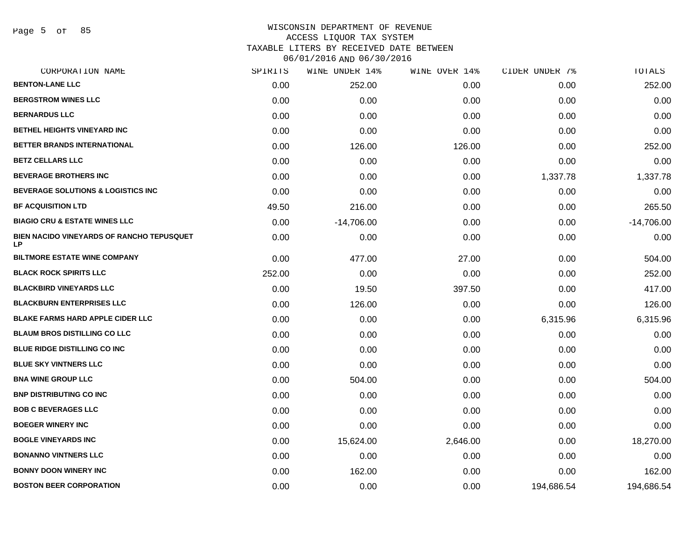Page 5 of 85

# WISCONSIN DEPARTMENT OF REVENUE ACCESS LIQUOR TAX SYSTEM TAXABLE LITERS BY RECEIVED DATE BETWEEN

| CORPORATION NAME                                       | SPIRITS | WINE UNDER 14% | WINE OVER 14% | CIDER UNDER 7% | TOTALS       |
|--------------------------------------------------------|---------|----------------|---------------|----------------|--------------|
| <b>BENTON-LANE LLC</b>                                 | 0.00    | 252.00         | 0.00          | 0.00           | 252.00       |
| <b>BERGSTROM WINES LLC</b>                             | 0.00    | 0.00           | 0.00          | 0.00           | 0.00         |
| <b>BERNARDUS LLC</b>                                   | 0.00    | 0.00           | 0.00          | 0.00           | 0.00         |
| BETHEL HEIGHTS VINEYARD INC                            | 0.00    | 0.00           | 0.00          | 0.00           | 0.00         |
| BETTER BRANDS INTERNATIONAL                            | 0.00    | 126.00         | 126.00        | 0.00           | 252.00       |
| <b>BETZ CELLARS LLC</b>                                | 0.00    | 0.00           | 0.00          | 0.00           | 0.00         |
| <b>BEVERAGE BROTHERS INC</b>                           | 0.00    | 0.00           | 0.00          | 1,337.78       | 1,337.78     |
| BEVERAGE SOLUTIONS & LOGISTICS INC                     | 0.00    | 0.00           | 0.00          | 0.00           | 0.00         |
| <b>BF ACQUISITION LTD</b>                              | 49.50   | 216.00         | 0.00          | 0.00           | 265.50       |
| <b>BIAGIO CRU &amp; ESTATE WINES LLC</b>               | 0.00    | $-14,706.00$   | 0.00          | 0.00           | $-14,706.00$ |
| BIEN NACIDO VINEYARDS OF RANCHO TEPUSQUET<br><b>LP</b> | 0.00    | 0.00           | 0.00          | 0.00           | 0.00         |
| <b>BILTMORE ESTATE WINE COMPANY</b>                    | 0.00    | 477.00         | 27.00         | 0.00           | 504.00       |
| <b>BLACK ROCK SPIRITS LLC</b>                          | 252.00  | 0.00           | 0.00          | 0.00           | 252.00       |
| <b>BLACKBIRD VINEYARDS LLC</b>                         | 0.00    | 19.50          | 397.50        | 0.00           | 417.00       |
| <b>BLACKBURN ENTERPRISES LLC</b>                       | 0.00    | 126.00         | 0.00          | 0.00           | 126.00       |
| <b>BLAKE FARMS HARD APPLE CIDER LLC</b>                | 0.00    | 0.00           | 0.00          | 6,315.96       | 6,315.96     |
| <b>BLAUM BROS DISTILLING CO LLC</b>                    | 0.00    | 0.00           | 0.00          | 0.00           | 0.00         |
| BLUE RIDGE DISTILLING CO INC                           | 0.00    | 0.00           | 0.00          | 0.00           | 0.00         |
| <b>BLUE SKY VINTNERS LLC</b>                           | 0.00    | 0.00           | 0.00          | 0.00           | 0.00         |
| <b>BNA WINE GROUP LLC</b>                              | 0.00    | 504.00         | 0.00          | 0.00           | 504.00       |
| <b>BNP DISTRIBUTING CO INC</b>                         | 0.00    | 0.00           | 0.00          | 0.00           | 0.00         |
| <b>BOB C BEVERAGES LLC</b>                             | 0.00    | 0.00           | 0.00          | 0.00           | 0.00         |
| <b>BOEGER WINERY INC</b>                               | 0.00    | 0.00           | 0.00          | 0.00           | 0.00         |
| <b>BOGLE VINEYARDS INC</b>                             | 0.00    | 15,624.00      | 2,646.00      | 0.00           | 18,270.00    |
| <b>BONANNO VINTNERS LLC</b>                            | 0.00    | 0.00           | 0.00          | 0.00           | 0.00         |
| <b>BONNY DOON WINERY INC</b>                           | 0.00    | 162.00         | 0.00          | 0.00           | 162.00       |
| <b>BOSTON BEER CORPORATION</b>                         | 0.00    | 0.00           | 0.00          | 194,686.54     | 194,686.54   |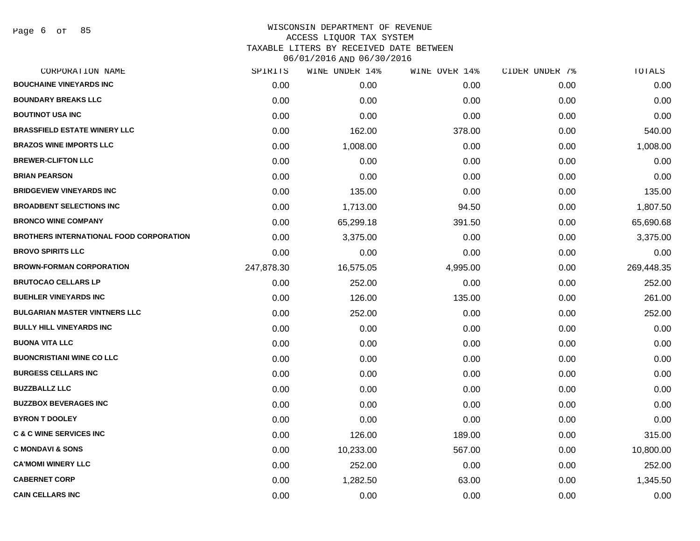| CORPORATION NAME                               | SPIRITS    | WINE UNDER 14% | WINE OVER 14% | CIDER UNDER 7% | TOTALS     |
|------------------------------------------------|------------|----------------|---------------|----------------|------------|
| <b>BOUCHAINE VINEYARDS INC</b>                 | 0.00       | 0.00           | 0.00          | 0.00           | 0.00       |
| <b>BOUNDARY BREAKS LLC</b>                     | 0.00       | 0.00           | 0.00          | 0.00           | 0.00       |
| <b>BOUTINOT USA INC</b>                        | 0.00       | 0.00           | 0.00          | 0.00           | 0.00       |
| <b>BRASSFIELD ESTATE WINERY LLC</b>            | 0.00       | 162.00         | 378.00        | 0.00           | 540.00     |
| <b>BRAZOS WINE IMPORTS LLC</b>                 | 0.00       | 1,008.00       | 0.00          | 0.00           | 1,008.00   |
| <b>BREWER-CLIFTON LLC</b>                      | 0.00       | 0.00           | 0.00          | 0.00           | 0.00       |
| <b>BRIAN PEARSON</b>                           | 0.00       | 0.00           | 0.00          | 0.00           | 0.00       |
| <b>BRIDGEVIEW VINEYARDS INC</b>                | 0.00       | 135.00         | 0.00          | 0.00           | 135.00     |
| <b>BROADBENT SELECTIONS INC</b>                | 0.00       | 1,713.00       | 94.50         | 0.00           | 1,807.50   |
| <b>BRONCO WINE COMPANY</b>                     | 0.00       | 65,299.18      | 391.50        | 0.00           | 65,690.68  |
| <b>BROTHERS INTERNATIONAL FOOD CORPORATION</b> | 0.00       | 3,375.00       | 0.00          | 0.00           | 3,375.00   |
| <b>BROVO SPIRITS LLC</b>                       | 0.00       | 0.00           | 0.00          | 0.00           | 0.00       |
| <b>BROWN-FORMAN CORPORATION</b>                | 247,878.30 | 16,575.05      | 4,995.00      | 0.00           | 269,448.35 |
| <b>BRUTOCAO CELLARS LP</b>                     | 0.00       | 252.00         | 0.00          | 0.00           | 252.00     |
| <b>BUEHLER VINEYARDS INC</b>                   | 0.00       | 126.00         | 135.00        | 0.00           | 261.00     |
| <b>BULGARIAN MASTER VINTNERS LLC</b>           | 0.00       | 252.00         | 0.00          | 0.00           | 252.00     |
| <b>BULLY HILL VINEYARDS INC</b>                | 0.00       | 0.00           | 0.00          | 0.00           | 0.00       |
| <b>BUONA VITA LLC</b>                          | 0.00       | 0.00           | 0.00          | 0.00           | 0.00       |
| <b>BUONCRISTIANI WINE CO LLC</b>               | 0.00       | 0.00           | 0.00          | 0.00           | 0.00       |
| <b>BURGESS CELLARS INC</b>                     | 0.00       | 0.00           | 0.00          | 0.00           | 0.00       |
| <b>BUZZBALLZ LLC</b>                           | 0.00       | 0.00           | 0.00          | 0.00           | 0.00       |
| <b>BUZZBOX BEVERAGES INC</b>                   | 0.00       | 0.00           | 0.00          | 0.00           | 0.00       |
| <b>BYRON T DOOLEY</b>                          | 0.00       | 0.00           | 0.00          | 0.00           | 0.00       |
| <b>C &amp; C WINE SERVICES INC</b>             | 0.00       | 126.00         | 189.00        | 0.00           | 315.00     |
| <b>C MONDAVI &amp; SONS</b>                    | 0.00       | 10,233.00      | 567.00        | 0.00           | 10,800.00  |
| <b>CA'MOMI WINERY LLC</b>                      | 0.00       | 252.00         | 0.00          | 0.00           | 252.00     |
| <b>CABERNET CORP</b>                           | 0.00       | 1,282.50       | 63.00         | 0.00           | 1,345.50   |
| <b>CAIN CELLARS INC</b>                        | 0.00       | 0.00           | 0.00          | 0.00           | 0.00       |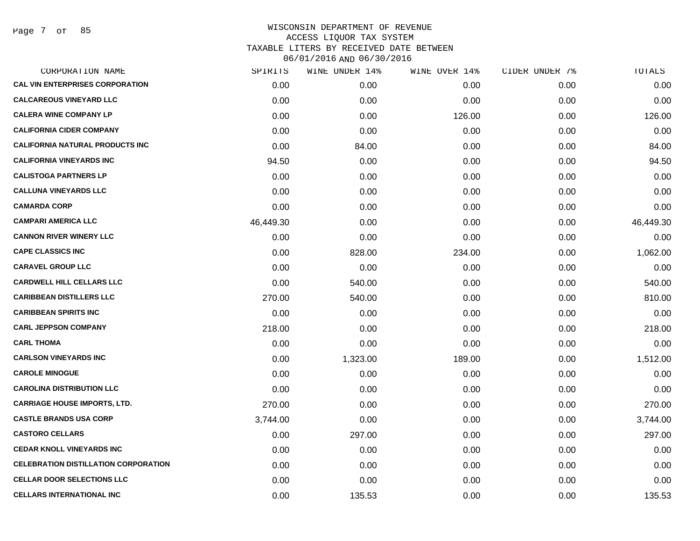Page 7 of 85

|           | WINE UNDER 14% | WINE OVER 14% |      | TOTALS         |
|-----------|----------------|---------------|------|----------------|
| 0.00      | 0.00           | 0.00          | 0.00 | 0.00           |
| 0.00      | 0.00           | 0.00          | 0.00 | 0.00           |
| 0.00      | 0.00           | 126.00        | 0.00 | 126.00         |
| 0.00      | 0.00           | 0.00          | 0.00 | 0.00           |
| 0.00      | 84.00          | 0.00          | 0.00 | 84.00          |
| 94.50     | 0.00           | 0.00          | 0.00 | 94.50          |
| 0.00      | 0.00           | 0.00          | 0.00 | 0.00           |
| 0.00      | 0.00           | 0.00          | 0.00 | 0.00           |
| 0.00      | 0.00           | 0.00          | 0.00 | 0.00           |
| 46,449.30 | 0.00           | 0.00          | 0.00 | 46,449.30      |
| 0.00      | 0.00           | 0.00          | 0.00 | 0.00           |
| 0.00      | 828.00         | 234.00        | 0.00 | 1,062.00       |
| 0.00      | 0.00           | 0.00          | 0.00 | 0.00           |
| 0.00      | 540.00         | 0.00          | 0.00 | 540.00         |
| 270.00    | 540.00         | 0.00          | 0.00 | 810.00         |
| 0.00      | 0.00           | 0.00          | 0.00 | 0.00           |
| 218.00    | 0.00           | 0.00          | 0.00 | 218.00         |
| 0.00      | 0.00           | 0.00          | 0.00 | 0.00           |
| 0.00      | 1,323.00       | 189.00        | 0.00 | 1,512.00       |
| 0.00      | 0.00           | 0.00          | 0.00 | 0.00           |
| 0.00      | 0.00           | 0.00          | 0.00 | 0.00           |
| 270.00    | 0.00           | 0.00          | 0.00 | 270.00         |
| 3,744.00  | 0.00           | 0.00          | 0.00 | 3,744.00       |
| 0.00      | 297.00         | 0.00          | 0.00 | 297.00         |
| 0.00      | 0.00           | 0.00          | 0.00 | 0.00           |
| 0.00      | 0.00           | 0.00          | 0.00 | 0.00           |
| 0.00      | 0.00           | 0.00          | 0.00 | 0.00           |
| 0.00      | 135.53         | 0.00          | 0.00 | 135.53         |
|           | SPIRITS        |               |      | CIDER UNDER 7% |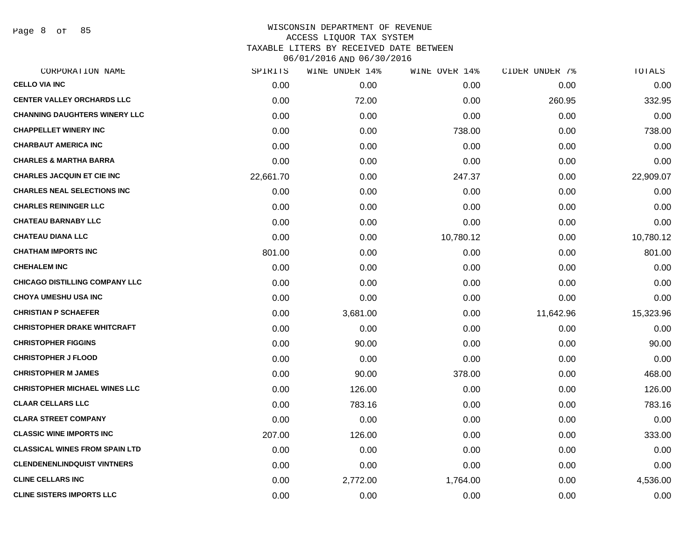Page 8 of 85

| CORPORATION NAME                      | SPIRITS   | WINE UNDER 14% | WINE OVER 14% | CIDER UNDER 7% | TOTALS    |
|---------------------------------------|-----------|----------------|---------------|----------------|-----------|
| <b>CELLO VIA INC</b>                  | 0.00      | 0.00           | 0.00          | 0.00           | 0.00      |
| <b>CENTER VALLEY ORCHARDS LLC</b>     | 0.00      | 72.00          | 0.00          | 260.95         | 332.95    |
| <b>CHANNING DAUGHTERS WINERY LLC</b>  | 0.00      | 0.00           | 0.00          | 0.00           | 0.00      |
| <b>CHAPPELLET WINERY INC</b>          | 0.00      | 0.00           | 738.00        | 0.00           | 738.00    |
| <b>CHARBAUT AMERICA INC</b>           | 0.00      | 0.00           | 0.00          | 0.00           | 0.00      |
| <b>CHARLES &amp; MARTHA BARRA</b>     | 0.00      | 0.00           | 0.00          | 0.00           | 0.00      |
| <b>CHARLES JACQUIN ET CIE INC</b>     | 22,661.70 | 0.00           | 247.37        | 0.00           | 22,909.07 |
| <b>CHARLES NEAL SELECTIONS INC</b>    | 0.00      | 0.00           | 0.00          | 0.00           | 0.00      |
| <b>CHARLES REININGER LLC</b>          | 0.00      | 0.00           | 0.00          | 0.00           | 0.00      |
| <b>CHATEAU BARNABY LLC</b>            | 0.00      | 0.00           | 0.00          | 0.00           | 0.00      |
| <b>CHATEAU DIANA LLC</b>              | 0.00      | 0.00           | 10,780.12     | 0.00           | 10,780.12 |
| <b>CHATHAM IMPORTS INC</b>            | 801.00    | 0.00           | 0.00          | 0.00           | 801.00    |
| <b>CHEHALEM INC</b>                   | 0.00      | 0.00           | 0.00          | 0.00           | 0.00      |
| <b>CHICAGO DISTILLING COMPANY LLC</b> | 0.00      | 0.00           | 0.00          | 0.00           | 0.00      |
| <b>CHOYA UMESHU USA INC</b>           | 0.00      | 0.00           | 0.00          | 0.00           | 0.00      |
| <b>CHRISTIAN P SCHAEFER</b>           | 0.00      | 3,681.00       | 0.00          | 11,642.96      | 15,323.96 |
| <b>CHRISTOPHER DRAKE WHITCRAFT</b>    | 0.00      | 0.00           | 0.00          | 0.00           | 0.00      |
| <b>CHRISTOPHER FIGGINS</b>            | 0.00      | 90.00          | 0.00          | 0.00           | 90.00     |
| <b>CHRISTOPHER J FLOOD</b>            | 0.00      | 0.00           | 0.00          | 0.00           | 0.00      |
| <b>CHRISTOPHER M JAMES</b>            | 0.00      | 90.00          | 378.00        | 0.00           | 468.00    |
| <b>CHRISTOPHER MICHAEL WINES LLC</b>  | 0.00      | 126.00         | 0.00          | 0.00           | 126.00    |
| <b>CLAAR CELLARS LLC</b>              | 0.00      | 783.16         | 0.00          | 0.00           | 783.16    |
| <b>CLARA STREET COMPANY</b>           | 0.00      | 0.00           | 0.00          | 0.00           | 0.00      |
| <b>CLASSIC WINE IMPORTS INC</b>       | 207.00    | 126.00         | 0.00          | 0.00           | 333.00    |
| <b>CLASSICAL WINES FROM SPAIN LTD</b> | 0.00      | 0.00           | 0.00          | 0.00           | 0.00      |
| <b>CLENDENENLINDQUIST VINTNERS</b>    | 0.00      | 0.00           | 0.00          | 0.00           | 0.00      |
| <b>CLINE CELLARS INC</b>              | 0.00      | 2,772.00       | 1,764.00      | 0.00           | 4,536.00  |
| <b>CLINE SISTERS IMPORTS LLC</b>      | 0.00      | 0.00           | 0.00          | 0.00           | 0.00      |
|                                       |           |                |               |                |           |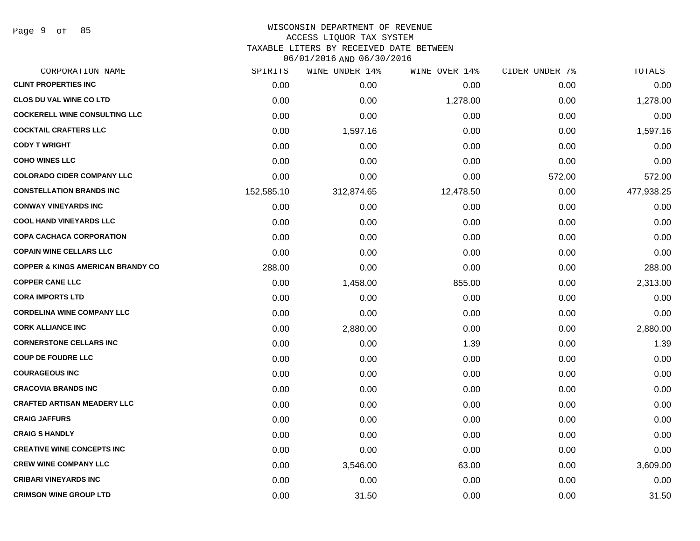Page 9 of 85

# WISCONSIN DEPARTMENT OF REVENUE ACCESS LIQUOR TAX SYSTEM

TAXABLE LITERS BY RECEIVED DATE BETWEEN

| CORPORATION NAME                             | SPIRITS    | WINE UNDER 14% | WINE OVER 14% | CIDER UNDER 7% | TOTALS     |
|----------------------------------------------|------------|----------------|---------------|----------------|------------|
| <b>CLINT PROPERTIES INC</b>                  | 0.00       | 0.00           | 0.00          | 0.00           | 0.00       |
| <b>CLOS DU VAL WINE CO LTD</b>               | 0.00       | 0.00           | 1,278.00      | 0.00           | 1,278.00   |
| <b>COCKERELL WINE CONSULTING LLC</b>         | 0.00       | 0.00           | 0.00          | 0.00           | 0.00       |
| <b>COCKTAIL CRAFTERS LLC</b>                 | 0.00       | 1,597.16       | 0.00          | 0.00           | 1,597.16   |
| <b>CODY T WRIGHT</b>                         | 0.00       | 0.00           | 0.00          | 0.00           | 0.00       |
| <b>COHO WINES LLC</b>                        | 0.00       | 0.00           | 0.00          | 0.00           | 0.00       |
| <b>COLORADO CIDER COMPANY LLC</b>            | 0.00       | 0.00           | 0.00          | 572.00         | 572.00     |
| <b>CONSTELLATION BRANDS INC</b>              | 152,585.10 | 312,874.65     | 12,478.50     | 0.00           | 477,938.25 |
| <b>CONWAY VINEYARDS INC</b>                  | 0.00       | 0.00           | 0.00          | 0.00           | 0.00       |
| <b>COOL HAND VINEYARDS LLC</b>               | 0.00       | 0.00           | 0.00          | 0.00           | 0.00       |
| <b>COPA CACHACA CORPORATION</b>              | 0.00       | 0.00           | 0.00          | 0.00           | 0.00       |
| <b>COPAIN WINE CELLARS LLC</b>               | 0.00       | 0.00           | 0.00          | 0.00           | 0.00       |
| <b>COPPER &amp; KINGS AMERICAN BRANDY CO</b> | 288.00     | 0.00           | 0.00          | 0.00           | 288.00     |
| <b>COPPER CANE LLC</b>                       | 0.00       | 1,458.00       | 855.00        | 0.00           | 2,313.00   |
| <b>CORA IMPORTS LTD</b>                      | 0.00       | 0.00           | 0.00          | 0.00           | 0.00       |
| <b>CORDELINA WINE COMPANY LLC</b>            | 0.00       | 0.00           | 0.00          | 0.00           | 0.00       |
| <b>CORK ALLIANCE INC</b>                     | 0.00       | 2,880.00       | 0.00          | 0.00           | 2,880.00   |
| <b>CORNERSTONE CELLARS INC</b>               | 0.00       | 0.00           | 1.39          | 0.00           | 1.39       |
| <b>COUP DE FOUDRE LLC</b>                    | 0.00       | 0.00           | 0.00          | 0.00           | 0.00       |
| <b>COURAGEOUS INC</b>                        | 0.00       | 0.00           | 0.00          | 0.00           | 0.00       |
| <b>CRACOVIA BRANDS INC</b>                   | 0.00       | 0.00           | 0.00          | 0.00           | 0.00       |
| <b>CRAFTED ARTISAN MEADERY LLC</b>           | 0.00       | 0.00           | 0.00          | 0.00           | 0.00       |
| <b>CRAIG JAFFURS</b>                         | 0.00       | 0.00           | 0.00          | 0.00           | 0.00       |
| <b>CRAIG S HANDLY</b>                        | 0.00       | 0.00           | 0.00          | 0.00           | 0.00       |
| <b>CREATIVE WINE CONCEPTS INC</b>            | 0.00       | 0.00           | 0.00          | 0.00           | 0.00       |
| <b>CREW WINE COMPANY LLC</b>                 | 0.00       | 3,546.00       | 63.00         | 0.00           | 3,609.00   |
| <b>CRIBARI VINEYARDS INC</b>                 | 0.00       | 0.00           | 0.00          | 0.00           | 0.00       |
| <b>CRIMSON WINE GROUP LTD</b>                | 0.00       | 31.50          | 0.00          | 0.00           | 31.50      |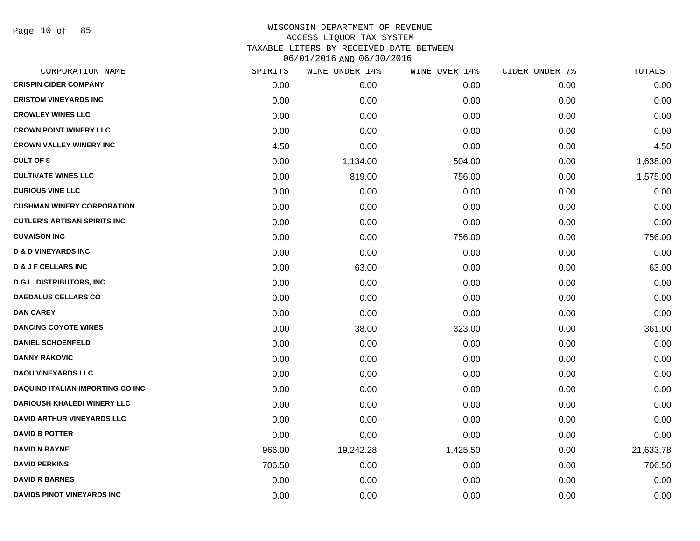Page 10 of 85

|        | WINE UNDER 14% |          | CIDER UNDER 7% | TOTALS    |
|--------|----------------|----------|----------------|-----------|
| 0.00   | 0.00           | 0.00     | 0.00           | 0.00      |
| 0.00   | 0.00           | 0.00     | 0.00           | 0.00      |
| 0.00   | 0.00           | 0.00     | 0.00           | 0.00      |
| 0.00   | 0.00           | 0.00     | 0.00           | 0.00      |
| 4.50   | 0.00           | 0.00     | 0.00           | 4.50      |
| 0.00   | 1,134.00       | 504.00   | 0.00           | 1,638.00  |
| 0.00   | 819.00         | 756.00   | 0.00           | 1,575.00  |
| 0.00   | 0.00           | 0.00     | 0.00           | 0.00      |
| 0.00   | 0.00           | 0.00     | 0.00           | 0.00      |
| 0.00   | 0.00           | 0.00     | 0.00           | 0.00      |
| 0.00   | 0.00           | 756.00   | 0.00           | 756.00    |
| 0.00   | 0.00           | 0.00     | 0.00           | 0.00      |
| 0.00   | 63.00          | 0.00     | 0.00           | 63.00     |
| 0.00   | 0.00           | 0.00     | 0.00           | 0.00      |
| 0.00   | 0.00           | 0.00     | 0.00           | 0.00      |
| 0.00   | 0.00           | 0.00     | 0.00           | 0.00      |
| 0.00   | 38.00          | 323.00   | 0.00           | 361.00    |
| 0.00   | 0.00           | 0.00     | 0.00           | 0.00      |
| 0.00   | 0.00           | 0.00     | 0.00           | 0.00      |
| 0.00   | 0.00           | 0.00     | 0.00           | 0.00      |
| 0.00   | 0.00           | 0.00     | 0.00           | 0.00      |
| 0.00   | 0.00           | 0.00     | 0.00           | 0.00      |
| 0.00   | 0.00           | 0.00     | 0.00           | 0.00      |
| 0.00   | 0.00           | 0.00     | 0.00           | 0.00      |
| 966.00 | 19,242.28      | 1,425.50 | 0.00           | 21,633.78 |
| 706.50 | 0.00           | 0.00     | 0.00           | 706.50    |
| 0.00   | 0.00           | 0.00     | 0.00           | 0.00      |
| 0.00   | 0.00           | 0.00     | 0.00           | 0.00      |
|        | SPIRITS        |          | WINE OVER 14%  |           |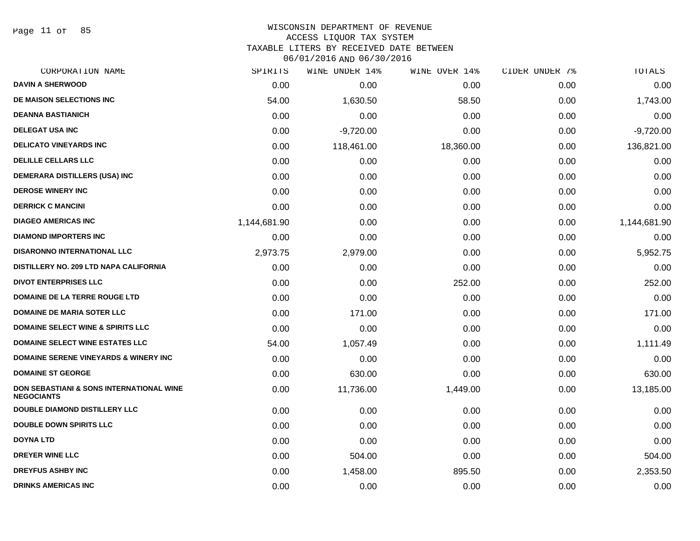Page 11 of 85

#### WISCONSIN DEPARTMENT OF REVENUE ACCESS LIQUOR TAX SYSTEM

TAXABLE LITERS BY RECEIVED DATE BETWEEN

| CORPORATION NAME                                                         | SPIRITS      | WINE UNDER 14% | WINE OVER 14% | CIDER UNDER 7% | TOTALS       |
|--------------------------------------------------------------------------|--------------|----------------|---------------|----------------|--------------|
| <b>DAVIN A SHERWOOD</b>                                                  | 0.00         | 0.00           | 0.00          | 0.00           | 0.00         |
| DE MAISON SELECTIONS INC                                                 | 54.00        | 1,630.50       | 58.50         | 0.00           | 1,743.00     |
| <b>DEANNA BASTIANICH</b>                                                 | 0.00         | 0.00           | 0.00          | 0.00           | 0.00         |
| <b>DELEGAT USA INC</b>                                                   | 0.00         | $-9,720.00$    | 0.00          | 0.00           | $-9,720.00$  |
| <b>DELICATO VINEYARDS INC</b>                                            | 0.00         | 118,461.00     | 18,360.00     | 0.00           | 136,821.00   |
| <b>DELILLE CELLARS LLC</b>                                               | 0.00         | 0.00           | 0.00          | 0.00           | 0.00         |
| <b>DEMERARA DISTILLERS (USA) INC</b>                                     | 0.00         | 0.00           | 0.00          | 0.00           | 0.00         |
| <b>DEROSE WINERY INC</b>                                                 | 0.00         | 0.00           | 0.00          | 0.00           | 0.00         |
| <b>DERRICK C MANCINI</b>                                                 | 0.00         | 0.00           | 0.00          | 0.00           | 0.00         |
| <b>DIAGEO AMERICAS INC</b>                                               | 1,144,681.90 | 0.00           | 0.00          | 0.00           | 1,144,681.90 |
| <b>DIAMOND IMPORTERS INC</b>                                             | 0.00         | 0.00           | 0.00          | 0.00           | 0.00         |
| <b>DISARONNO INTERNATIONAL LLC</b>                                       | 2,973.75     | 2,979.00       | 0.00          | 0.00           | 5,952.75     |
| DISTILLERY NO. 209 LTD NAPA CALIFORNIA                                   | 0.00         | 0.00           | 0.00          | 0.00           | 0.00         |
| <b>DIVOT ENTERPRISES LLC</b>                                             | 0.00         | 0.00           | 252.00        | 0.00           | 252.00       |
| <b>DOMAINE DE LA TERRE ROUGE LTD</b>                                     | 0.00         | 0.00           | 0.00          | 0.00           | 0.00         |
| <b>DOMAINE DE MARIA SOTER LLC</b>                                        | 0.00         | 171.00         | 0.00          | 0.00           | 171.00       |
| <b>DOMAINE SELECT WINE &amp; SPIRITS LLC</b>                             | 0.00         | 0.00           | 0.00          | 0.00           | 0.00         |
| <b>DOMAINE SELECT WINE ESTATES LLC</b>                                   | 54.00        | 1,057.49       | 0.00          | 0.00           | 1,111.49     |
| <b>DOMAINE SERENE VINEYARDS &amp; WINERY INC</b>                         | 0.00         | 0.00           | 0.00          | 0.00           | 0.00         |
| <b>DOMAINE ST GEORGE</b>                                                 | 0.00         | 630.00         | 0.00          | 0.00           | 630.00       |
| <b>DON SEBASTIANI &amp; SONS INTERNATIONAL WINE</b><br><b>NEGOCIANTS</b> | 0.00         | 11,736.00      | 1,449.00      | 0.00           | 13,185.00    |
| <b>DOUBLE DIAMOND DISTILLERY LLC</b>                                     | 0.00         | 0.00           | 0.00          | 0.00           | 0.00         |
| <b>DOUBLE DOWN SPIRITS LLC</b>                                           | 0.00         | 0.00           | 0.00          | 0.00           | 0.00         |
| <b>DOYNA LTD</b>                                                         | 0.00         | 0.00           | 0.00          | 0.00           | 0.00         |
| <b>DREYER WINE LLC</b>                                                   | 0.00         | 504.00         | 0.00          | 0.00           | 504.00       |
| <b>DREYFUS ASHBY INC</b>                                                 | 0.00         | 1,458.00       | 895.50        | 0.00           | 2,353.50     |
| <b>DRINKS AMERICAS INC</b>                                               | 0.00         | 0.00           | 0.00          | 0.00           | 0.00         |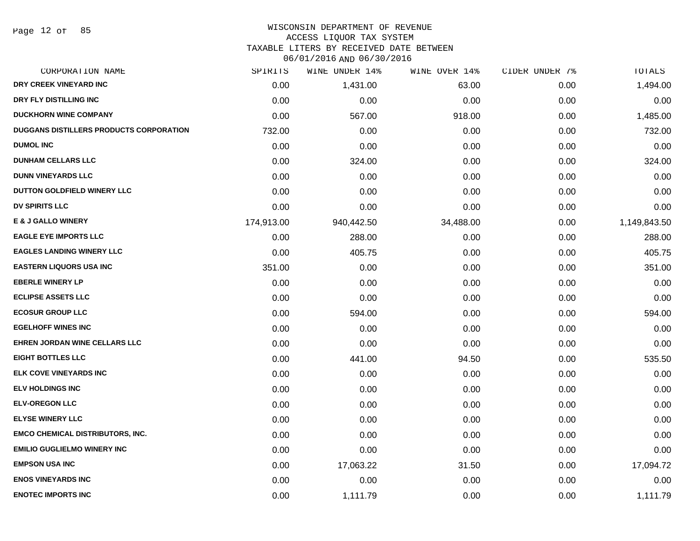#### WISCONSIN DEPARTMENT OF REVENUE ACCESS LIQUOR TAX SYSTEM

TAXABLE LITERS BY RECEIVED DATE BETWEEN

| CORPORATION NAME                               | SPIRITS    | WINE UNDER 14% | WINE OVER 14% | CIDER UNDER 7% | TOTALS       |
|------------------------------------------------|------------|----------------|---------------|----------------|--------------|
| DRY CREEK VINEYARD INC                         | 0.00       | 1,431.00       | 63.00         | 0.00           | 1,494.00     |
| DRY FLY DISTILLING INC                         | 0.00       | 0.00           | 0.00          | 0.00           | 0.00         |
| <b>DUCKHORN WINE COMPANY</b>                   | 0.00       | 567.00         | 918.00        | 0.00           | 1,485.00     |
| <b>DUGGANS DISTILLERS PRODUCTS CORPORATION</b> | 732.00     | 0.00           | 0.00          | 0.00           | 732.00       |
| <b>DUMOL INC</b>                               | 0.00       | 0.00           | 0.00          | 0.00           | 0.00         |
| <b>DUNHAM CELLARS LLC</b>                      | 0.00       | 324.00         | 0.00          | 0.00           | 324.00       |
| <b>DUNN VINEYARDS LLC</b>                      | 0.00       | 0.00           | 0.00          | 0.00           | 0.00         |
| DUTTON GOLDFIELD WINERY LLC                    | 0.00       | 0.00           | 0.00          | 0.00           | 0.00         |
| <b>DV SPIRITS LLC</b>                          | 0.00       | 0.00           | 0.00          | 0.00           | 0.00         |
| <b>E &amp; J GALLO WINERY</b>                  | 174,913.00 | 940,442.50     | 34,488.00     | 0.00           | 1,149,843.50 |
| <b>EAGLE EYE IMPORTS LLC</b>                   | 0.00       | 288.00         | 0.00          | 0.00           | 288.00       |
| <b>EAGLES LANDING WINERY LLC</b>               | 0.00       | 405.75         | 0.00          | 0.00           | 405.75       |
| <b>EASTERN LIQUORS USA INC</b>                 | 351.00     | 0.00           | 0.00          | 0.00           | 351.00       |
| <b>EBERLE WINERY LP</b>                        | 0.00       | 0.00           | 0.00          | 0.00           | 0.00         |
| <b>ECLIPSE ASSETS LLC</b>                      | 0.00       | 0.00           | 0.00          | 0.00           | 0.00         |
| <b>ECOSUR GROUP LLC</b>                        | 0.00       | 594.00         | 0.00          | 0.00           | 594.00       |
| <b>EGELHOFF WINES INC</b>                      | 0.00       | 0.00           | 0.00          | 0.00           | 0.00         |
| <b>EHREN JORDAN WINE CELLARS LLC</b>           | 0.00       | 0.00           | 0.00          | 0.00           | 0.00         |
| EIGHT BOTTLES LLC                              | 0.00       | 441.00         | 94.50         | 0.00           | 535.50       |
| <b>ELK COVE VINEYARDS INC</b>                  | 0.00       | 0.00           | 0.00          | 0.00           | 0.00         |
| <b>ELV HOLDINGS INC</b>                        | 0.00       | 0.00           | 0.00          | 0.00           | 0.00         |
| <b>ELV-OREGON LLC</b>                          | 0.00       | 0.00           | 0.00          | 0.00           | 0.00         |
| <b>ELYSE WINERY LLC</b>                        | 0.00       | 0.00           | 0.00          | 0.00           | 0.00         |
| <b>EMCO CHEMICAL DISTRIBUTORS, INC.</b>        | 0.00       | 0.00           | 0.00          | 0.00           | 0.00         |
| <b>EMILIO GUGLIELMO WINERY INC</b>             | 0.00       | 0.00           | 0.00          | 0.00           | 0.00         |
| <b>EMPSON USA INC</b>                          | 0.00       | 17,063.22      | 31.50         | 0.00           | 17,094.72    |
| <b>ENOS VINEYARDS INC</b>                      | 0.00       | 0.00           | 0.00          | 0.00           | 0.00         |
| <b>ENOTEC IMPORTS INC</b>                      | 0.00       | 1,111.79       | 0.00          | 0.00           | 1,111.79     |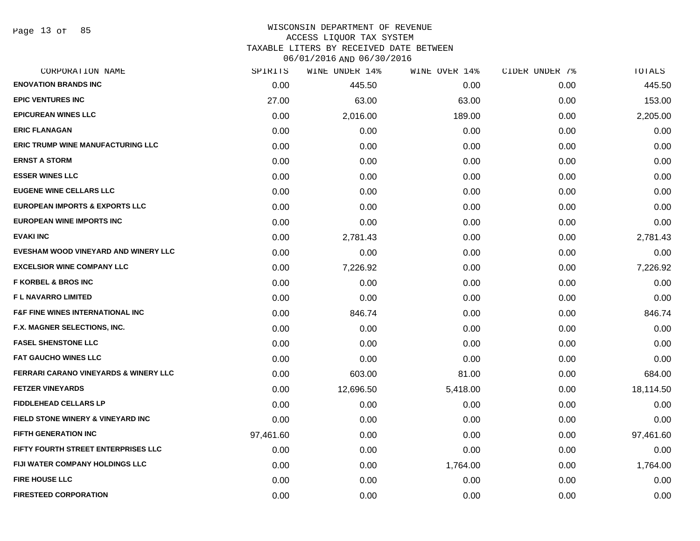Page 13 of 85

#### WISCONSIN DEPARTMENT OF REVENUE ACCESS LIQUOR TAX SYSTEM

TAXABLE LITERS BY RECEIVED DATE BETWEEN

| CORPORATION NAME                                 | SPIRITS   | WINE UNDER 14% | WINE OVER 14% | CIDER UNDER 7% | TOTALS    |
|--------------------------------------------------|-----------|----------------|---------------|----------------|-----------|
| <b>ENOVATION BRANDS INC</b>                      | 0.00      | 445.50         | 0.00          | 0.00           | 445.50    |
| <b>EPIC VENTURES INC</b>                         | 27.00     | 63.00          | 63.00         | 0.00           | 153.00    |
| <b>EPICUREAN WINES LLC</b>                       | 0.00      | 2,016.00       | 189.00        | 0.00           | 2,205.00  |
| <b>ERIC FLANAGAN</b>                             | 0.00      | 0.00           | 0.00          | 0.00           | 0.00      |
| <b>ERIC TRUMP WINE MANUFACTURING LLC</b>         | 0.00      | 0.00           | 0.00          | 0.00           | 0.00      |
| <b>ERNST A STORM</b>                             | 0.00      | 0.00           | 0.00          | 0.00           | 0.00      |
| <b>ESSER WINES LLC</b>                           | 0.00      | 0.00           | 0.00          | 0.00           | 0.00      |
| <b>EUGENE WINE CELLARS LLC</b>                   | 0.00      | 0.00           | 0.00          | 0.00           | 0.00      |
| <b>EUROPEAN IMPORTS &amp; EXPORTS LLC</b>        | 0.00      | 0.00           | 0.00          | 0.00           | 0.00      |
| EUROPEAN WINE IMPORTS INC                        | 0.00      | 0.00           | 0.00          | 0.00           | 0.00      |
| <b>EVAKI INC</b>                                 | 0.00      | 2,781.43       | 0.00          | 0.00           | 2,781.43  |
| EVESHAM WOOD VINEYARD AND WINERY LLC             | 0.00      | 0.00           | 0.00          | 0.00           | 0.00      |
| <b>EXCELSIOR WINE COMPANY LLC</b>                | 0.00      | 7,226.92       | 0.00          | 0.00           | 7,226.92  |
| <b>F KORBEL &amp; BROS INC</b>                   | 0.00      | 0.00           | 0.00          | 0.00           | 0.00      |
| F L NAVARRO LIMITED                              | 0.00      | 0.00           | 0.00          | 0.00           | 0.00      |
| <b>F&amp;F FINE WINES INTERNATIONAL INC</b>      | 0.00      | 846.74         | 0.00          | 0.00           | 846.74    |
| F.X. MAGNER SELECTIONS, INC.                     | 0.00      | 0.00           | 0.00          | 0.00           | 0.00      |
| <b>FASEL SHENSTONE LLC</b>                       | 0.00      | 0.00           | 0.00          | 0.00           | 0.00      |
| <b>FAT GAUCHO WINES LLC</b>                      | 0.00      | 0.00           | 0.00          | 0.00           | 0.00      |
| <b>FERRARI CARANO VINEYARDS &amp; WINERY LLC</b> | 0.00      | 603.00         | 81.00         | 0.00           | 684.00    |
| <b>FETZER VINEYARDS</b>                          | 0.00      | 12,696.50      | 5,418.00      | 0.00           | 18,114.50 |
| <b>FIDDLEHEAD CELLARS LP</b>                     | 0.00      | 0.00           | 0.00          | 0.00           | 0.00      |
| FIELD STONE WINERY & VINEYARD INC                | 0.00      | 0.00           | 0.00          | 0.00           | 0.00      |
| <b>FIFTH GENERATION INC</b>                      | 97,461.60 | 0.00           | 0.00          | 0.00           | 97,461.60 |
| FIFTY FOURTH STREET ENTERPRISES LLC              | 0.00      | 0.00           | 0.00          | 0.00           | 0.00      |
| FIJI WATER COMPANY HOLDINGS LLC                  | 0.00      | 0.00           | 1,764.00      | 0.00           | 1,764.00  |
| <b>FIRE HOUSE LLC</b>                            | 0.00      | 0.00           | 0.00          | 0.00           | 0.00      |
| <b>FIRESTEED CORPORATION</b>                     | 0.00      | 0.00           | 0.00          | 0.00           | 0.00      |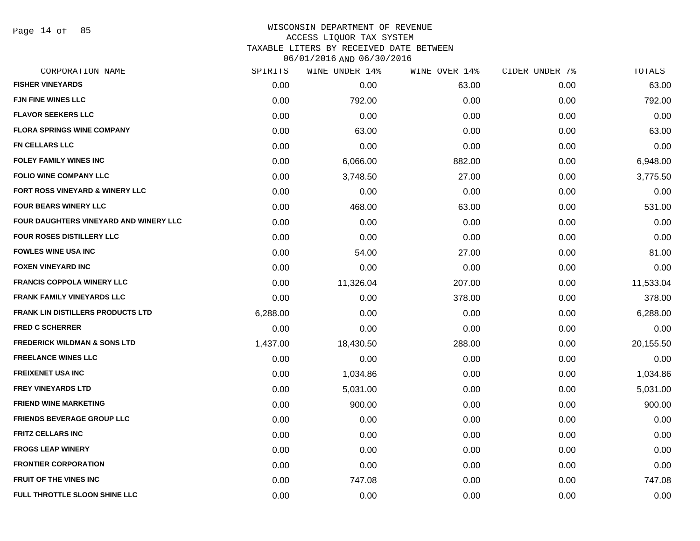Page 14 of 85

### WISCONSIN DEPARTMENT OF REVENUE ACCESS LIQUOR TAX SYSTEM TAXABLE LITERS BY RECEIVED DATE BETWEEN

| CORPORATION NAME                         | SPIRITS  | WINE UNDER 14% | WINE OVER 14% | CIDER UNDER 7% | TOTALS    |
|------------------------------------------|----------|----------------|---------------|----------------|-----------|
| <b>FISHER VINEYARDS</b>                  | 0.00     | 0.00           | 63.00         | 0.00           | 63.00     |
| <b>FJN FINE WINES LLC</b>                | 0.00     | 792.00         | 0.00          | 0.00           | 792.00    |
| <b>FLAVOR SEEKERS LLC</b>                | 0.00     | 0.00           | 0.00          | 0.00           | 0.00      |
| <b>FLORA SPRINGS WINE COMPANY</b>        | 0.00     | 63.00          | 0.00          | 0.00           | 63.00     |
| FN CELLARS LLC                           | 0.00     | 0.00           | 0.00          | 0.00           | 0.00      |
| <b>FOLEY FAMILY WINES INC</b>            | 0.00     | 6,066.00       | 882.00        | 0.00           | 6,948.00  |
| <b>FOLIO WINE COMPANY LLC</b>            | 0.00     | 3,748.50       | 27.00         | 0.00           | 3,775.50  |
| FORT ROSS VINEYARD & WINERY LLC          | 0.00     | 0.00           | 0.00          | 0.00           | 0.00      |
| <b>FOUR BEARS WINERY LLC</b>             | 0.00     | 468.00         | 63.00         | 0.00           | 531.00    |
| FOUR DAUGHTERS VINEYARD AND WINERY LLC   | 0.00     | 0.00           | 0.00          | 0.00           | 0.00      |
| <b>FOUR ROSES DISTILLERY LLC</b>         | 0.00     | 0.00           | 0.00          | 0.00           | 0.00      |
| <b>FOWLES WINE USA INC</b>               | 0.00     | 54.00          | 27.00         | 0.00           | 81.00     |
| <b>FOXEN VINEYARD INC</b>                | 0.00     | 0.00           | 0.00          | 0.00           | 0.00      |
| <b>FRANCIS COPPOLA WINERY LLC</b>        | 0.00     | 11,326.04      | 207.00        | 0.00           | 11,533.04 |
| <b>FRANK FAMILY VINEYARDS LLC</b>        | 0.00     | 0.00           | 378.00        | 0.00           | 378.00    |
| <b>FRANK LIN DISTILLERS PRODUCTS LTD</b> | 6,288.00 | 0.00           | 0.00          | 0.00           | 6,288.00  |
| <b>FRED C SCHERRER</b>                   | 0.00     | 0.00           | 0.00          | 0.00           | 0.00      |
| <b>FREDERICK WILDMAN &amp; SONS LTD</b>  | 1,437.00 | 18,430.50      | 288.00        | 0.00           | 20,155.50 |
| <b>FREELANCE WINES LLC</b>               | 0.00     | 0.00           | 0.00          | 0.00           | 0.00      |
| <b>FREIXENET USA INC</b>                 | 0.00     | 1,034.86       | 0.00          | 0.00           | 1,034.86  |
| <b>FREY VINEYARDS LTD</b>                | 0.00     | 5,031.00       | 0.00          | 0.00           | 5,031.00  |
| <b>FRIEND WINE MARKETING</b>             | 0.00     | 900.00         | 0.00          | 0.00           | 900.00    |
| <b>FRIENDS BEVERAGE GROUP LLC</b>        | 0.00     | 0.00           | 0.00          | 0.00           | 0.00      |
| <b>FRITZ CELLARS INC</b>                 | 0.00     | 0.00           | 0.00          | 0.00           | 0.00      |
| <b>FROGS LEAP WINERY</b>                 | 0.00     | 0.00           | 0.00          | 0.00           | 0.00      |
| <b>FRONTIER CORPORATION</b>              | 0.00     | 0.00           | 0.00          | 0.00           | 0.00      |
| <b>FRUIT OF THE VINES INC</b>            | 0.00     | 747.08         | 0.00          | 0.00           | 747.08    |
| FULL THROTTLE SLOON SHINE LLC            | 0.00     | 0.00           | 0.00          | 0.00           | 0.00      |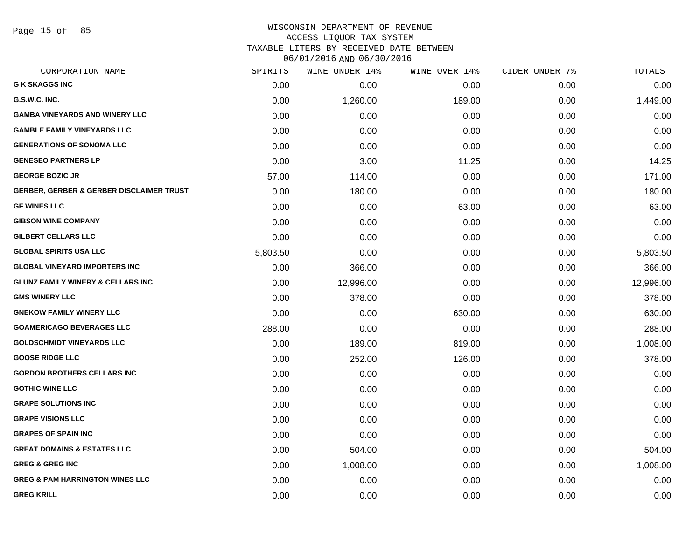Page 15 of 85

### WISCONSIN DEPARTMENT OF REVENUE ACCESS LIQUOR TAX SYSTEM TAXABLE LITERS BY RECEIVED DATE BETWEEN

| CORPORATION NAME                                    | SPIRITS  | WINE UNDER 14% | WINE OVER 14% | CIDER UNDER 7% | TOTALS    |
|-----------------------------------------------------|----------|----------------|---------------|----------------|-----------|
| <b>G K SKAGGS INC</b>                               | 0.00     | 0.00           | 0.00          | 0.00           | 0.00      |
| G.S.W.C. INC.                                       | 0.00     | 1,260.00       | 189.00        | 0.00           | 1,449.00  |
| <b>GAMBA VINEYARDS AND WINERY LLC</b>               | 0.00     | 0.00           | 0.00          | 0.00           | 0.00      |
| <b>GAMBLE FAMILY VINEYARDS LLC</b>                  | 0.00     | 0.00           | 0.00          | 0.00           | 0.00      |
| <b>GENERATIONS OF SONOMA LLC</b>                    | 0.00     | 0.00           | 0.00          | 0.00           | 0.00      |
| <b>GENESEO PARTNERS LP</b>                          | 0.00     | 3.00           | 11.25         | 0.00           | 14.25     |
| <b>GEORGE BOZIC JR</b>                              | 57.00    | 114.00         | 0.00          | 0.00           | 171.00    |
| <b>GERBER, GERBER &amp; GERBER DISCLAIMER TRUST</b> | 0.00     | 180.00         | 0.00          | 0.00           | 180.00    |
| <b>GF WINES LLC</b>                                 | 0.00     | 0.00           | 63.00         | 0.00           | 63.00     |
| <b>GIBSON WINE COMPANY</b>                          | 0.00     | 0.00           | 0.00          | 0.00           | 0.00      |
| <b>GILBERT CELLARS LLC</b>                          | 0.00     | 0.00           | 0.00          | 0.00           | 0.00      |
| <b>GLOBAL SPIRITS USA LLC</b>                       | 5,803.50 | 0.00           | 0.00          | 0.00           | 5,803.50  |
| <b>GLOBAL VINEYARD IMPORTERS INC</b>                | 0.00     | 366.00         | 0.00          | 0.00           | 366.00    |
| <b>GLUNZ FAMILY WINERY &amp; CELLARS INC</b>        | 0.00     | 12,996.00      | 0.00          | 0.00           | 12,996.00 |
| <b>GMS WINERY LLC</b>                               | 0.00     | 378.00         | 0.00          | 0.00           | 378.00    |
| <b>GNEKOW FAMILY WINERY LLC</b>                     | 0.00     | 0.00           | 630.00        | 0.00           | 630.00    |
| <b>GOAMERICAGO BEVERAGES LLC</b>                    | 288.00   | 0.00           | 0.00          | 0.00           | 288.00    |
| <b>GOLDSCHMIDT VINEYARDS LLC</b>                    | 0.00     | 189.00         | 819.00        | 0.00           | 1,008.00  |
| <b>GOOSE RIDGE LLC</b>                              | 0.00     | 252.00         | 126.00        | 0.00           | 378.00    |
| <b>GORDON BROTHERS CELLARS INC</b>                  | 0.00     | 0.00           | 0.00          | 0.00           | 0.00      |
| <b>GOTHIC WINE LLC</b>                              | 0.00     | 0.00           | 0.00          | 0.00           | 0.00      |
| <b>GRAPE SOLUTIONS INC</b>                          | 0.00     | 0.00           | 0.00          | 0.00           | 0.00      |
| <b>GRAPE VISIONS LLC</b>                            | 0.00     | 0.00           | 0.00          | 0.00           | 0.00      |
| <b>GRAPES OF SPAIN INC</b>                          | 0.00     | 0.00           | 0.00          | 0.00           | 0.00      |
| <b>GREAT DOMAINS &amp; ESTATES LLC</b>              | 0.00     | 504.00         | 0.00          | 0.00           | 504.00    |
| <b>GREG &amp; GREG INC</b>                          | 0.00     | 1,008.00       | 0.00          | 0.00           | 1,008.00  |
| <b>GREG &amp; PAM HARRINGTON WINES LLC</b>          | 0.00     | 0.00           | 0.00          | 0.00           | 0.00      |
| <b>GREG KRILL</b>                                   | 0.00     | 0.00           | 0.00          | 0.00           | 0.00      |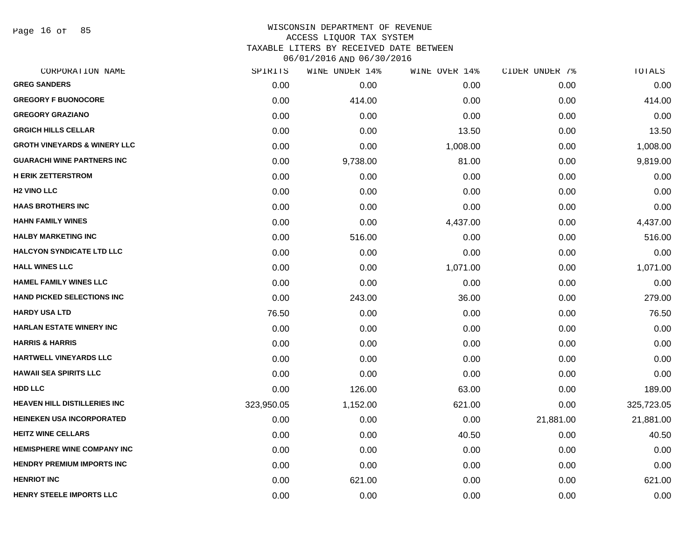Page 16 of 85

| CORPORATION NAME                        | SPIRITS    | WINE UNDER 14% | WINE OVER 14% | CIDER UNDER 7% | <b>TOTALS</b> |
|-----------------------------------------|------------|----------------|---------------|----------------|---------------|
| <b>GREG SANDERS</b>                     | 0.00       | 0.00           | 0.00          | 0.00           | 0.00          |
| <b>GREGORY F BUONOCORE</b>              | 0.00       | 414.00         | 0.00          | 0.00           | 414.00        |
| <b>GREGORY GRAZIANO</b>                 | 0.00       | 0.00           | 0.00          | 0.00           | 0.00          |
| <b>GRGICH HILLS CELLAR</b>              | 0.00       | 0.00           | 13.50         | 0.00           | 13.50         |
| <b>GROTH VINEYARDS &amp; WINERY LLC</b> | 0.00       | 0.00           | 1,008.00      | 0.00           | 1,008.00      |
| <b>GUARACHI WINE PARTNERS INC</b>       | 0.00       | 9,738.00       | 81.00         | 0.00           | 9,819.00      |
| <b>H ERIK ZETTERSTROM</b>               | 0.00       | 0.00           | 0.00          | 0.00           | 0.00          |
| <b>H2 VINO LLC</b>                      | 0.00       | 0.00           | 0.00          | 0.00           | 0.00          |
| <b>HAAS BROTHERS INC</b>                | 0.00       | 0.00           | 0.00          | 0.00           | 0.00          |
| <b>HAHN FAMILY WINES</b>                | 0.00       | 0.00           | 4,437.00      | 0.00           | 4,437.00      |
| <b>HALBY MARKETING INC</b>              | 0.00       | 516.00         | 0.00          | 0.00           | 516.00        |
| <b>HALCYON SYNDICATE LTD LLC</b>        | 0.00       | 0.00           | 0.00          | 0.00           | 0.00          |
| <b>HALL WINES LLC</b>                   | 0.00       | 0.00           | 1,071.00      | 0.00           | 1,071.00      |
| <b>HAMEL FAMILY WINES LLC</b>           | 0.00       | 0.00           | 0.00          | 0.00           | 0.00          |
| <b>HAND PICKED SELECTIONS INC</b>       | 0.00       | 243.00         | 36.00         | 0.00           | 279.00        |
| HARDY USA LTD                           | 76.50      | 0.00           | 0.00          | 0.00           | 76.50         |
| <b>HARLAN ESTATE WINERY INC</b>         | 0.00       | 0.00           | 0.00          | 0.00           | 0.00          |
| <b>HARRIS &amp; HARRIS</b>              | 0.00       | 0.00           | 0.00          | 0.00           | 0.00          |
| <b>HARTWELL VINEYARDS LLC</b>           | 0.00       | 0.00           | 0.00          | 0.00           | 0.00          |
| <b>HAWAII SEA SPIRITS LLC</b>           | 0.00       | 0.00           | 0.00          | 0.00           | 0.00          |
| HDD LLC                                 | 0.00       | 126.00         | 63.00         | 0.00           | 189.00        |
| <b>HEAVEN HILL DISTILLERIES INC</b>     | 323,950.05 | 1,152.00       | 621.00        | 0.00           | 325,723.05    |
| <b>HEINEKEN USA INCORPORATED</b>        | 0.00       | 0.00           | 0.00          | 21,881.00      | 21,881.00     |
| <b>HEITZ WINE CELLARS</b>               | 0.00       | 0.00           | 40.50         | 0.00           | 40.50         |
| <b>HEMISPHERE WINE COMPANY INC</b>      | 0.00       | 0.00           | 0.00          | 0.00           | 0.00          |
| <b>HENDRY PREMIUM IMPORTS INC</b>       | 0.00       | 0.00           | 0.00          | 0.00           | 0.00          |
| <b>HENRIOT INC</b>                      | 0.00       | 621.00         | 0.00          | 0.00           | 621.00        |
| <b>HENRY STEELE IMPORTS LLC</b>         | 0.00       | 0.00           | 0.00          | 0.00           | 0.00          |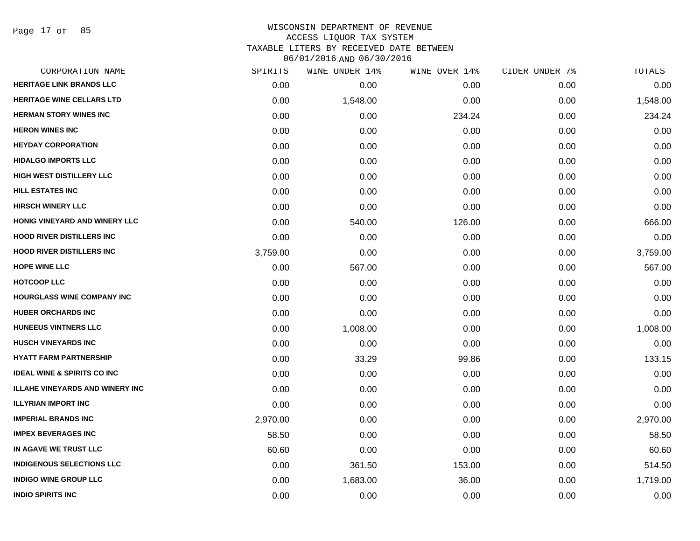Page 17 of 85

| CORPORATION NAME                       | SPIRITS  | WINE UNDER 14% | WINE OVER 14% | CIDER UNDER 7% | TOTALS   |
|----------------------------------------|----------|----------------|---------------|----------------|----------|
| <b>HERITAGE LINK BRANDS LLC</b>        | 0.00     | 0.00           | 0.00          | 0.00           | 0.00     |
| <b>HERITAGE WINE CELLARS LTD</b>       | 0.00     | 1,548.00       | 0.00          | 0.00           | 1,548.00 |
| <b>HERMAN STORY WINES INC</b>          | 0.00     | 0.00           | 234.24        | 0.00           | 234.24   |
| <b>HERON WINES INC</b>                 | 0.00     | 0.00           | 0.00          | 0.00           | 0.00     |
| <b>HEYDAY CORPORATION</b>              | 0.00     | 0.00           | 0.00          | 0.00           | 0.00     |
| <b>HIDALGO IMPORTS LLC</b>             | 0.00     | 0.00           | 0.00          | 0.00           | 0.00     |
| <b>HIGH WEST DISTILLERY LLC</b>        | 0.00     | 0.00           | 0.00          | 0.00           | 0.00     |
| <b>HILL ESTATES INC</b>                | 0.00     | 0.00           | 0.00          | 0.00           | 0.00     |
| <b>HIRSCH WINERY LLC</b>               | 0.00     | 0.00           | 0.00          | 0.00           | 0.00     |
| HONIG VINEYARD AND WINERY LLC          | 0.00     | 540.00         | 126.00        | 0.00           | 666.00   |
| <b>HOOD RIVER DISTILLERS INC</b>       | 0.00     | 0.00           | 0.00          | 0.00           | 0.00     |
| <b>HOOD RIVER DISTILLERS INC</b>       | 3,759.00 | 0.00           | 0.00          | 0.00           | 3,759.00 |
| <b>HOPE WINE LLC</b>                   | 0.00     | 567.00         | 0.00          | 0.00           | 567.00   |
| <b>HOTCOOP LLC</b>                     | 0.00     | 0.00           | 0.00          | 0.00           | 0.00     |
| HOURGLASS WINE COMPANY INC             | 0.00     | 0.00           | 0.00          | 0.00           | 0.00     |
| <b>HUBER ORCHARDS INC</b>              | 0.00     | 0.00           | 0.00          | 0.00           | 0.00     |
| <b>HUNEEUS VINTNERS LLC</b>            | 0.00     | 1,008.00       | 0.00          | 0.00           | 1,008.00 |
| <b>HUSCH VINEYARDS INC</b>             | 0.00     | 0.00           | 0.00          | 0.00           | 0.00     |
| <b>HYATT FARM PARTNERSHIP</b>          | 0.00     | 33.29          | 99.86         | 0.00           | 133.15   |
| <b>IDEAL WINE &amp; SPIRITS CO INC</b> | 0.00     | 0.00           | 0.00          | 0.00           | 0.00     |
| <b>ILLAHE VINEYARDS AND WINERY INC</b> | 0.00     | 0.00           | 0.00          | 0.00           | 0.00     |
| <b>ILLYRIAN IMPORT INC</b>             | 0.00     | 0.00           | 0.00          | 0.00           | 0.00     |
| <b>IMPERIAL BRANDS INC</b>             | 2,970.00 | 0.00           | 0.00          | 0.00           | 2,970.00 |
| <b>IMPEX BEVERAGES INC</b>             | 58.50    | 0.00           | 0.00          | 0.00           | 58.50    |
| IN AGAVE WE TRUST LLC                  | 60.60    | 0.00           | 0.00          | 0.00           | 60.60    |
| <b>INDIGENOUS SELECTIONS LLC</b>       | 0.00     | 361.50         | 153.00        | 0.00           | 514.50   |
| <b>INDIGO WINE GROUP LLC</b>           | 0.00     | 1,683.00       | 36.00         | 0.00           | 1,719.00 |
| <b>INDIO SPIRITS INC</b>               | 0.00     | 0.00           | 0.00          | 0.00           | 0.00     |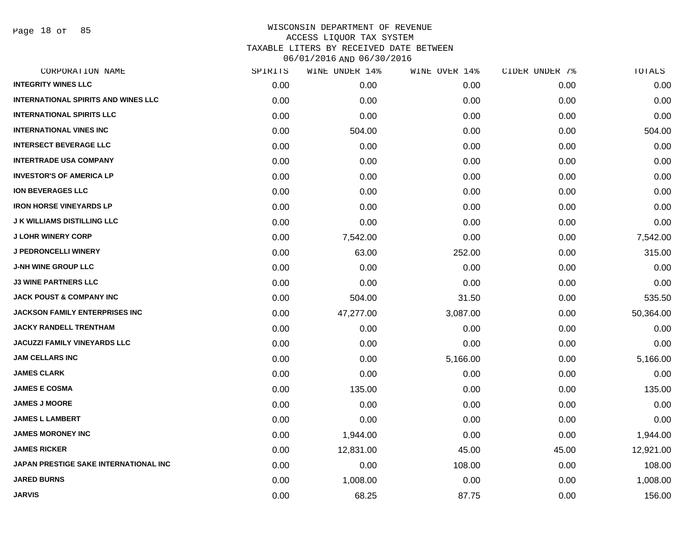Page 18 of 85

| CORPORATION NAME                           | SPIRITS | WINE UNDER 14% | WINE OVER 14% | CIDER UNDER 7% | TOTALS    |
|--------------------------------------------|---------|----------------|---------------|----------------|-----------|
| <b>INTEGRITY WINES LLC</b>                 | 0.00    | 0.00           | 0.00          | 0.00           | 0.00      |
| <b>INTERNATIONAL SPIRITS AND WINES LLC</b> | 0.00    | 0.00           | 0.00          | 0.00           | 0.00      |
| <b>INTERNATIONAL SPIRITS LLC</b>           | 0.00    | 0.00           | 0.00          | 0.00           | 0.00      |
| <b>INTERNATIONAL VINES INC</b>             | 0.00    | 504.00         | 0.00          | 0.00           | 504.00    |
| <b>INTERSECT BEVERAGE LLC</b>              | 0.00    | 0.00           | 0.00          | 0.00           | 0.00      |
| <b>INTERTRADE USA COMPANY</b>              | 0.00    | 0.00           | 0.00          | 0.00           | 0.00      |
| <b>INVESTOR'S OF AMERICA LP</b>            | 0.00    | 0.00           | 0.00          | 0.00           | 0.00      |
| <b>ION BEVERAGES LLC</b>                   | 0.00    | 0.00           | 0.00          | 0.00           | 0.00      |
| <b>IRON HORSE VINEYARDS LP</b>             | 0.00    | 0.00           | 0.00          | 0.00           | 0.00      |
| <b>J K WILLIAMS DISTILLING LLC</b>         | 0.00    | 0.00           | 0.00          | 0.00           | 0.00      |
| <b>J LOHR WINERY CORP</b>                  | 0.00    | 7,542.00       | 0.00          | 0.00           | 7,542.00  |
| <b>J PEDRONCELLI WINERY</b>                | 0.00    | 63.00          | 252.00        | 0.00           | 315.00    |
| <b>J-NH WINE GROUP LLC</b>                 | 0.00    | 0.00           | 0.00          | 0.00           | 0.00      |
| <b>J3 WINE PARTNERS LLC</b>                | 0.00    | 0.00           | 0.00          | 0.00           | 0.00      |
| <b>JACK POUST &amp; COMPANY INC</b>        | 0.00    | 504.00         | 31.50         | 0.00           | 535.50    |
| <b>JACKSON FAMILY ENTERPRISES INC</b>      | 0.00    | 47,277.00      | 3,087.00      | 0.00           | 50,364.00 |
| <b>JACKY RANDELL TRENTHAM</b>              | 0.00    | 0.00           | 0.00          | 0.00           | 0.00      |
| <b>JACUZZI FAMILY VINEYARDS LLC</b>        | 0.00    | 0.00           | 0.00          | 0.00           | 0.00      |
| <b>JAM CELLARS INC</b>                     | 0.00    | 0.00           | 5,166.00      | 0.00           | 5,166.00  |
| <b>JAMES CLARK</b>                         | 0.00    | 0.00           | 0.00          | 0.00           | 0.00      |
| <b>JAMES E COSMA</b>                       | 0.00    | 135.00         | 0.00          | 0.00           | 135.00    |
| <b>JAMES J MOORE</b>                       | 0.00    | 0.00           | 0.00          | 0.00           | 0.00      |
| <b>JAMES L LAMBERT</b>                     | 0.00    | 0.00           | 0.00          | 0.00           | 0.00      |
| <b>JAMES MORONEY INC</b>                   | 0.00    | 1,944.00       | 0.00          | 0.00           | 1,944.00  |
| <b>JAMES RICKER</b>                        | 0.00    | 12,831.00      | 45.00         | 45.00          | 12,921.00 |
| JAPAN PRESTIGE SAKE INTERNATIONAL INC      | 0.00    | 0.00           | 108.00        | 0.00           | 108.00    |
| <b>JARED BURNS</b>                         | 0.00    | 1,008.00       | 0.00          | 0.00           | 1,008.00  |
| <b>JARVIS</b>                              | 0.00    | 68.25          | 87.75         | 0.00           | 156.00    |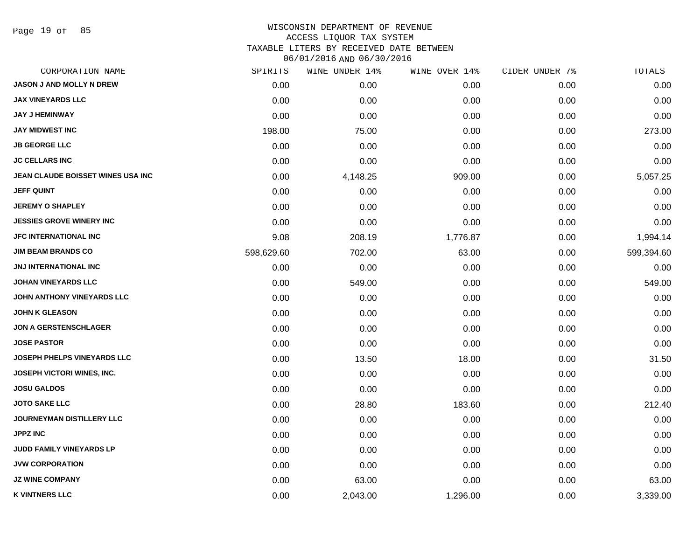Page 19 of 85

# WISCONSIN DEPARTMENT OF REVENUE ACCESS LIQUOR TAX SYSTEM

TAXABLE LITERS BY RECEIVED DATE BETWEEN

| CORPORATION NAME                   | SPIRITS    | WINE UNDER 14% | WINE OVER 14% | CIDER UNDER 7% | TOTALS     |
|------------------------------------|------------|----------------|---------------|----------------|------------|
| JASON J AND MOLLY N DREW           | 0.00       | 0.00           | 0.00          | 0.00           | 0.00       |
| <b>JAX VINEYARDS LLC</b>           | 0.00       | 0.00           | 0.00          | 0.00           | 0.00       |
| <b>JAY J HEMINWAY</b>              | 0.00       | 0.00           | 0.00          | 0.00           | 0.00       |
| <b>JAY MIDWEST INC</b>             | 198.00     | 75.00          | 0.00          | 0.00           | 273.00     |
| <b>JB GEORGE LLC</b>               | 0.00       | 0.00           | 0.00          | 0.00           | 0.00       |
| <b>JC CELLARS INC</b>              | 0.00       | 0.00           | 0.00          | 0.00           | 0.00       |
| JEAN CLAUDE BOISSET WINES USA INC  | 0.00       | 4,148.25       | 909.00        | 0.00           | 5,057.25   |
| <b>JEFF QUINT</b>                  | 0.00       | 0.00           | 0.00          | 0.00           | 0.00       |
| <b>JEREMY O SHAPLEY</b>            | 0.00       | 0.00           | 0.00          | 0.00           | 0.00       |
| <b>JESSIES GROVE WINERY INC</b>    | 0.00       | 0.00           | 0.00          | 0.00           | 0.00       |
| JFC INTERNATIONAL INC              | 9.08       | 208.19         | 1,776.87      | 0.00           | 1,994.14   |
| <b>JIM BEAM BRANDS CO</b>          | 598,629.60 | 702.00         | 63.00         | 0.00           | 599,394.60 |
| <b>JNJ INTERNATIONAL INC</b>       | 0.00       | 0.00           | 0.00          | 0.00           | 0.00       |
| <b>JOHAN VINEYARDS LLC</b>         | 0.00       | 549.00         | 0.00          | 0.00           | 549.00     |
| JOHN ANTHONY VINEYARDS LLC         | 0.00       | 0.00           | 0.00          | 0.00           | 0.00       |
| <b>JOHN K GLEASON</b>              | 0.00       | 0.00           | 0.00          | 0.00           | 0.00       |
| <b>JON A GERSTENSCHLAGER</b>       | 0.00       | 0.00           | 0.00          | 0.00           | 0.00       |
| <b>JOSE PASTOR</b>                 | 0.00       | 0.00           | 0.00          | 0.00           | 0.00       |
| <b>JOSEPH PHELPS VINEYARDS LLC</b> | 0.00       | 13.50          | 18.00         | 0.00           | 31.50      |
| <b>JOSEPH VICTORI WINES, INC.</b>  | 0.00       | 0.00           | 0.00          | 0.00           | 0.00       |
| <b>JOSU GALDOS</b>                 | 0.00       | 0.00           | 0.00          | 0.00           | 0.00       |
| <b>JOTO SAKE LLC</b>               | 0.00       | 28.80          | 183.60        | 0.00           | 212.40     |
| JOURNEYMAN DISTILLERY LLC          | 0.00       | 0.00           | 0.00          | 0.00           | 0.00       |
| <b>JPPZ INC</b>                    | 0.00       | 0.00           | 0.00          | 0.00           | 0.00       |
| JUDD FAMILY VINEYARDS LP           | 0.00       | 0.00           | 0.00          | 0.00           | 0.00       |
| <b>JVW CORPORATION</b>             | 0.00       | 0.00           | 0.00          | 0.00           | 0.00       |
| <b>JZ WINE COMPANY</b>             | 0.00       | 63.00          | 0.00          | 0.00           | 63.00      |
| <b>K VINTNERS LLC</b>              | 0.00       | 2,043.00       | 1,296.00      | 0.00           | 3,339.00   |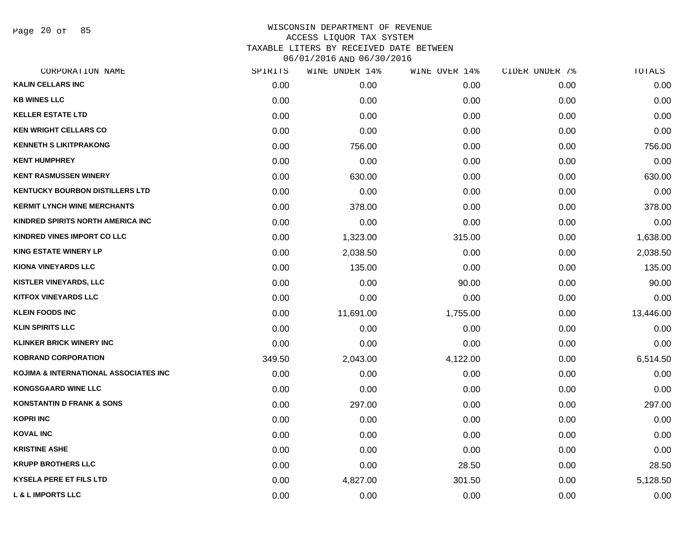Page 20 of 85

|        | WINE UNDER 14% |          |               | TOTALS         |
|--------|----------------|----------|---------------|----------------|
| 0.00   | 0.00           | 0.00     | 0.00          | 0.00           |
| 0.00   | 0.00           | 0.00     | 0.00          | 0.00           |
| 0.00   | 0.00           | 0.00     | 0.00          | 0.00           |
| 0.00   | 0.00           | 0.00     | 0.00          | 0.00           |
| 0.00   | 756.00         | 0.00     | 0.00          | 756.00         |
| 0.00   | 0.00           | 0.00     | 0.00          | 0.00           |
| 0.00   | 630.00         | 0.00     | 0.00          | 630.00         |
| 0.00   | 0.00           | 0.00     | 0.00          | 0.00           |
| 0.00   | 378.00         | 0.00     | 0.00          | 378.00         |
| 0.00   | 0.00           | 0.00     | 0.00          | 0.00           |
| 0.00   | 1,323.00       | 315.00   | 0.00          | 1,638.00       |
| 0.00   | 2,038.50       | 0.00     | 0.00          | 2,038.50       |
| 0.00   | 135.00         | 0.00     | 0.00          | 135.00         |
| 0.00   | 0.00           | 90.00    | 0.00          | 90.00          |
| 0.00   | 0.00           | 0.00     | 0.00          | 0.00           |
| 0.00   | 11,691.00      | 1,755.00 | 0.00          | 13,446.00      |
| 0.00   | 0.00           | 0.00     | 0.00          | 0.00           |
| 0.00   | 0.00           | 0.00     | 0.00          | 0.00           |
| 349.50 | 2,043.00       | 4,122.00 | 0.00          | 6,514.50       |
| 0.00   | 0.00           | 0.00     | 0.00          | 0.00           |
| 0.00   | 0.00           | 0.00     | 0.00          | 0.00           |
| 0.00   | 297.00         | 0.00     | 0.00          | 297.00         |
| 0.00   | 0.00           | 0.00     | 0.00          | 0.00           |
| 0.00   | 0.00           | 0.00     | 0.00          | 0.00           |
| 0.00   | 0.00           | 0.00     | 0.00          | 0.00           |
| 0.00   | 0.00           | 28.50    | 0.00          | 28.50          |
| 0.00   | 4,827.00       | 301.50   | 0.00          | 5,128.50       |
| 0.00   | 0.00           | 0.00     | 0.00          | 0.00           |
|        | SPIRITS        |          | WINE OVER 14% | CIDER UNDER 7% |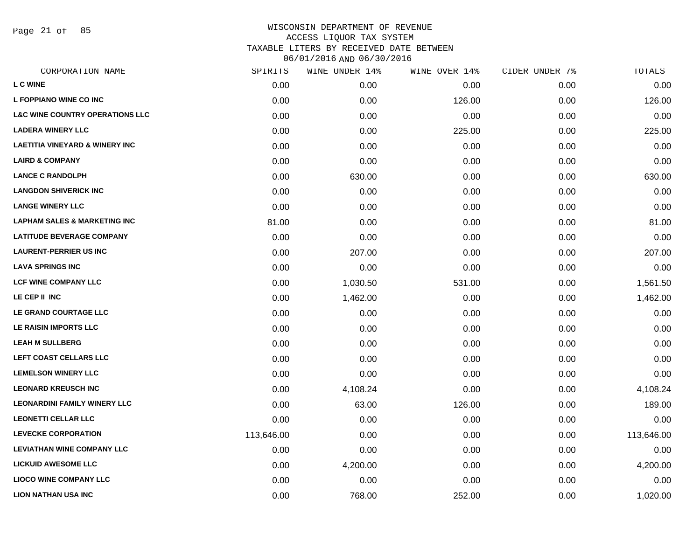Page 21 of 85

| CORPORATION NAME                           | SPIRITS    | WINE UNDER 14% | WINE OVER 14% | CIDER UNDER 7% | TOTALS     |
|--------------------------------------------|------------|----------------|---------------|----------------|------------|
| <b>L C WINE</b>                            | 0.00       | 0.00           | 0.00          | 0.00           | 0.00       |
| <b>L FOPPIANO WINE CO INC</b>              | 0.00       | 0.00           | 126.00        | 0.00           | 126.00     |
| <b>L&amp;C WINE COUNTRY OPERATIONS LLC</b> | 0.00       | 0.00           | 0.00          | 0.00           | 0.00       |
| <b>LADERA WINERY LLC</b>                   | 0.00       | 0.00           | 225.00        | 0.00           | 225.00     |
| <b>LAETITIA VINEYARD &amp; WINERY INC</b>  | 0.00       | 0.00           | 0.00          | 0.00           | 0.00       |
| <b>LAIRD &amp; COMPANY</b>                 | 0.00       | 0.00           | 0.00          | 0.00           | 0.00       |
| <b>LANCE C RANDOLPH</b>                    | 0.00       | 630.00         | 0.00          | 0.00           | 630.00     |
| <b>LANGDON SHIVERICK INC</b>               | 0.00       | 0.00           | 0.00          | 0.00           | 0.00       |
| <b>LANGE WINERY LLC</b>                    | 0.00       | 0.00           | 0.00          | 0.00           | 0.00       |
| <b>LAPHAM SALES &amp; MARKETING INC</b>    | 81.00      | 0.00           | 0.00          | 0.00           | 81.00      |
| <b>LATITUDE BEVERAGE COMPANY</b>           | 0.00       | 0.00           | 0.00          | 0.00           | 0.00       |
| <b>LAURENT-PERRIER US INC</b>              | 0.00       | 207.00         | 0.00          | 0.00           | 207.00     |
| <b>LAVA SPRINGS INC</b>                    | 0.00       | 0.00           | 0.00          | 0.00           | 0.00       |
| <b>LCF WINE COMPANY LLC</b>                | 0.00       | 1,030.50       | 531.00        | 0.00           | 1,561.50   |
| LE CEP II INC                              | 0.00       | 1,462.00       | 0.00          | 0.00           | 1,462.00   |
| LE GRAND COURTAGE LLC                      | 0.00       | 0.00           | 0.00          | 0.00           | 0.00       |
| LE RAISIN IMPORTS LLC                      | 0.00       | 0.00           | 0.00          | 0.00           | 0.00       |
| <b>LEAH M SULLBERG</b>                     | 0.00       | 0.00           | 0.00          | 0.00           | 0.00       |
| LEFT COAST CELLARS LLC                     | 0.00       | 0.00           | 0.00          | 0.00           | 0.00       |
| <b>LEMELSON WINERY LLC</b>                 | 0.00       | 0.00           | 0.00          | 0.00           | 0.00       |
| <b>LEONARD KREUSCH INC</b>                 | 0.00       | 4,108.24       | 0.00          | 0.00           | 4,108.24   |
| <b>LEONARDINI FAMILY WINERY LLC</b>        | 0.00       | 63.00          | 126.00        | 0.00           | 189.00     |
| <b>LEONETTI CELLAR LLC</b>                 | 0.00       | 0.00           | 0.00          | 0.00           | 0.00       |
| <b>LEVECKE CORPORATION</b>                 | 113,646.00 | 0.00           | 0.00          | 0.00           | 113,646.00 |
| <b>LEVIATHAN WINE COMPANY LLC</b>          | 0.00       | 0.00           | 0.00          | 0.00           | 0.00       |
| <b>LICKUID AWESOME LLC</b>                 | 0.00       | 4,200.00       | 0.00          | 0.00           | 4,200.00   |
| <b>LIOCO WINE COMPANY LLC</b>              | 0.00       | 0.00           | 0.00          | 0.00           | 0.00       |
| <b>LION NATHAN USA INC</b>                 | 0.00       | 768.00         | 252.00        | 0.00           | 1,020.00   |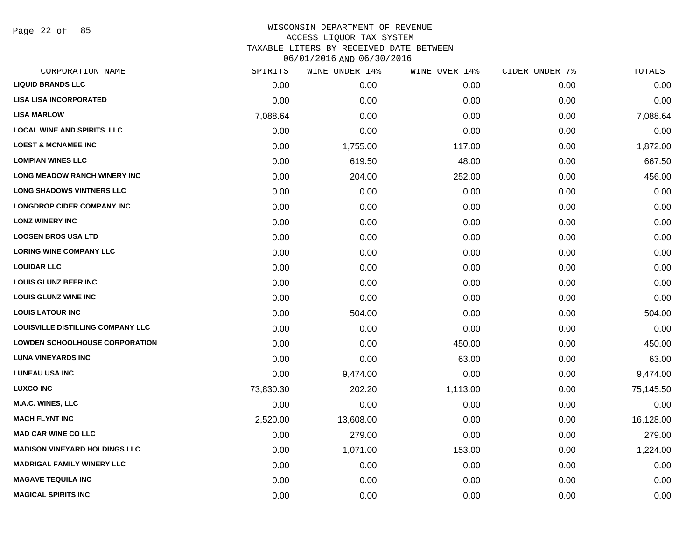Page 22 of 85

| SPIRITS   | WINE UNDER 14% | WINE OVER 14% | CIDER UNDER 7% | TOTALS    |
|-----------|----------------|---------------|----------------|-----------|
| 0.00      | 0.00           | 0.00          | 0.00           | 0.00      |
| 0.00      | 0.00           | 0.00          | 0.00           | 0.00      |
| 7,088.64  | 0.00           | 0.00          | 0.00           | 7,088.64  |
| 0.00      | 0.00           | 0.00          | 0.00           | 0.00      |
| 0.00      | 1,755.00       | 117.00        | 0.00           | 1,872.00  |
| 0.00      | 619.50         | 48.00         | 0.00           | 667.50    |
| 0.00      | 204.00         | 252.00        | 0.00           | 456.00    |
| 0.00      | 0.00           | 0.00          | 0.00           | 0.00      |
| 0.00      | 0.00           | 0.00          | 0.00           | 0.00      |
| 0.00      | 0.00           | 0.00          | 0.00           | 0.00      |
| 0.00      | 0.00           | 0.00          | 0.00           | 0.00      |
| 0.00      | 0.00           | 0.00          | 0.00           | 0.00      |
| 0.00      | 0.00           | 0.00          | 0.00           | 0.00      |
| 0.00      | 0.00           | 0.00          | 0.00           | 0.00      |
| 0.00      | 0.00           | 0.00          | 0.00           | 0.00      |
| 0.00      | 504.00         | 0.00          | 0.00           | 504.00    |
| 0.00      | 0.00           | 0.00          | 0.00           | 0.00      |
| 0.00      | 0.00           | 450.00        | 0.00           | 450.00    |
| 0.00      | 0.00           | 63.00         | 0.00           | 63.00     |
| 0.00      | 9,474.00       | 0.00          | 0.00           | 9,474.00  |
| 73,830.30 | 202.20         | 1,113.00      | 0.00           | 75,145.50 |
| 0.00      | 0.00           | 0.00          | 0.00           | 0.00      |
| 2,520.00  | 13,608.00      | 0.00          | 0.00           | 16,128.00 |
| 0.00      | 279.00         | 0.00          | 0.00           | 279.00    |
| 0.00      | 1,071.00       | 153.00        | 0.00           | 1,224.00  |
| 0.00      | 0.00           | 0.00          | 0.00           | 0.00      |
| 0.00      | 0.00           | 0.00          | 0.00           | 0.00      |
| 0.00      | 0.00           | 0.00          | 0.00           | 0.00      |
|           |                |               |                |           |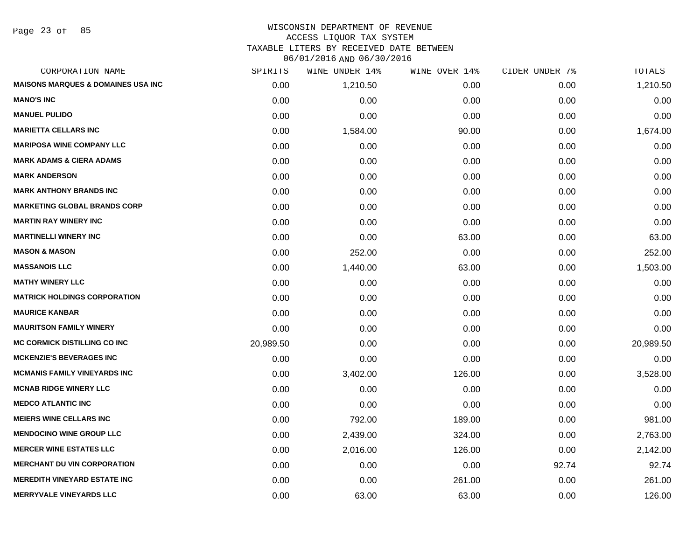Page 23 of 85

# WISCONSIN DEPARTMENT OF REVENUE ACCESS LIQUOR TAX SYSTEM TAXABLE LITERS BY RECEIVED DATE BETWEEN

| CORPORATION NAME                              | SPIRITS   | WINE UNDER 14% | WINE OVER 14% | CIDER UNDER 7% | TOTALS    |
|-----------------------------------------------|-----------|----------------|---------------|----------------|-----------|
| <b>MAISONS MARQUES &amp; DOMAINES USA INC</b> | 0.00      | 1,210.50       | 0.00          | 0.00           | 1,210.50  |
| <b>MANO'S INC</b>                             | 0.00      | 0.00           | 0.00          | 0.00           | 0.00      |
| <b>MANUEL PULIDO</b>                          | 0.00      | 0.00           | 0.00          | 0.00           | 0.00      |
| <b>MARIETTA CELLARS INC</b>                   | 0.00      | 1,584.00       | 90.00         | 0.00           | 1,674.00  |
| <b>MARIPOSA WINE COMPANY LLC</b>              | 0.00      | 0.00           | 0.00          | 0.00           | 0.00      |
| <b>MARK ADAMS &amp; CIERA ADAMS</b>           | 0.00      | 0.00           | 0.00          | 0.00           | 0.00      |
| <b>MARK ANDERSON</b>                          | 0.00      | 0.00           | 0.00          | 0.00           | 0.00      |
| <b>MARK ANTHONY BRANDS INC</b>                | 0.00      | 0.00           | 0.00          | 0.00           | 0.00      |
| <b>MARKETING GLOBAL BRANDS CORP</b>           | 0.00      | 0.00           | 0.00          | 0.00           | 0.00      |
| <b>MARTIN RAY WINERY INC</b>                  | 0.00      | 0.00           | 0.00          | 0.00           | 0.00      |
| <b>MARTINELLI WINERY INC</b>                  | 0.00      | 0.00           | 63.00         | 0.00           | 63.00     |
| <b>MASON &amp; MASON</b>                      | 0.00      | 252.00         | 0.00          | 0.00           | 252.00    |
| <b>MASSANOIS LLC</b>                          | 0.00      | 1,440.00       | 63.00         | 0.00           | 1,503.00  |
| <b>MATHY WINERY LLC</b>                       | 0.00      | 0.00           | 0.00          | 0.00           | 0.00      |
| <b>MATRICK HOLDINGS CORPORATION</b>           | 0.00      | 0.00           | 0.00          | 0.00           | 0.00      |
| <b>MAURICE KANBAR</b>                         | 0.00      | 0.00           | 0.00          | 0.00           | 0.00      |
| <b>MAURITSON FAMILY WINERY</b>                | 0.00      | 0.00           | 0.00          | 0.00           | 0.00      |
| <b>MC CORMICK DISTILLING CO INC</b>           | 20,989.50 | 0.00           | 0.00          | 0.00           | 20,989.50 |
| <b>MCKENZIE'S BEVERAGES INC</b>               | 0.00      | 0.00           | 0.00          | 0.00           | 0.00      |
| <b>MCMANIS FAMILY VINEYARDS INC</b>           | 0.00      | 3,402.00       | 126.00        | 0.00           | 3,528.00  |
| <b>MCNAB RIDGE WINERY LLC</b>                 | 0.00      | 0.00           | 0.00          | 0.00           | 0.00      |
| <b>MEDCO ATLANTIC INC</b>                     | 0.00      | 0.00           | 0.00          | 0.00           | 0.00      |
| <b>MEIERS WINE CELLARS INC</b>                | 0.00      | 792.00         | 189.00        | 0.00           | 981.00    |
| <b>MENDOCINO WINE GROUP LLC</b>               | 0.00      | 2,439.00       | 324.00        | 0.00           | 2,763.00  |
| <b>MERCER WINE ESTATES LLC</b>                | 0.00      | 2,016.00       | 126.00        | 0.00           | 2,142.00  |
| <b>MERCHANT DU VIN CORPORATION</b>            | 0.00      | 0.00           | 0.00          | 92.74          | 92.74     |
| <b>MEREDITH VINEYARD ESTATE INC</b>           | 0.00      | 0.00           | 261.00        | 0.00           | 261.00    |
| <b>MERRYVALE VINEYARDS LLC</b>                | 0.00      | 63.00          | 63.00         | 0.00           | 126.00    |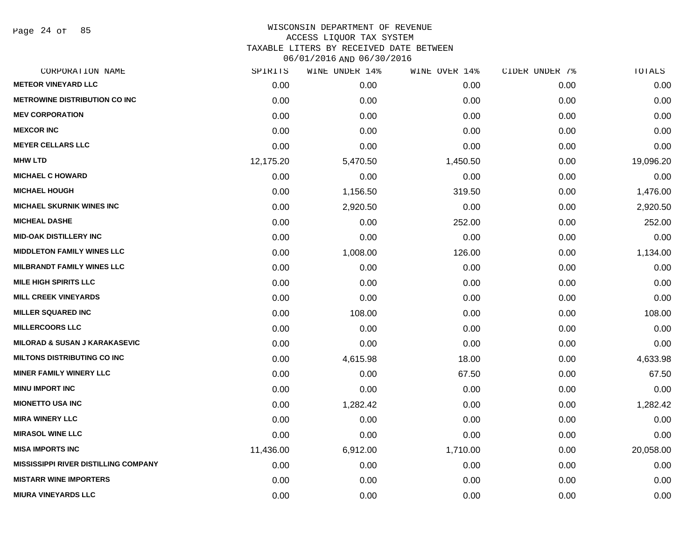Page 24 of 85

| SPIRITS   | WINE UNDER 14% | WINE OVER 14% | CIDER UNDER 7% | TOTALS    |
|-----------|----------------|---------------|----------------|-----------|
| 0.00      | 0.00           | 0.00          | 0.00           | 0.00      |
| 0.00      | 0.00           | 0.00          | 0.00           | 0.00      |
| 0.00      | 0.00           | 0.00          | 0.00           | 0.00      |
| 0.00      | 0.00           | 0.00          | 0.00           | 0.00      |
| 0.00      | 0.00           | 0.00          | 0.00           | 0.00      |
| 12,175.20 | 5,470.50       | 1,450.50      | 0.00           | 19,096.20 |
| 0.00      | 0.00           | 0.00          | 0.00           | 0.00      |
| 0.00      | 1,156.50       | 319.50        | 0.00           | 1,476.00  |
| 0.00      | 2,920.50       | 0.00          | 0.00           | 2,920.50  |
| 0.00      | 0.00           | 252.00        | 0.00           | 252.00    |
| 0.00      | 0.00           | 0.00          | 0.00           | 0.00      |
| 0.00      | 1,008.00       | 126.00        | 0.00           | 1,134.00  |
| 0.00      | 0.00           | 0.00          | 0.00           | 0.00      |
| 0.00      | 0.00           | 0.00          | 0.00           | 0.00      |
| 0.00      | 0.00           | 0.00          | 0.00           | 0.00      |
| 0.00      | 108.00         | 0.00          | 0.00           | 108.00    |
| 0.00      | 0.00           | 0.00          | 0.00           | 0.00      |
| 0.00      | 0.00           | 0.00          | 0.00           | 0.00      |
| 0.00      | 4,615.98       | 18.00         | 0.00           | 4,633.98  |
| 0.00      | 0.00           | 67.50         | 0.00           | 67.50     |
| 0.00      | 0.00           | 0.00          | 0.00           | 0.00      |
| 0.00      | 1,282.42       | 0.00          | 0.00           | 1,282.42  |
| 0.00      | 0.00           | 0.00          | 0.00           | 0.00      |
| 0.00      | 0.00           | 0.00          | 0.00           | 0.00      |
| 11,436.00 | 6,912.00       | 1,710.00      | 0.00           | 20,058.00 |
| 0.00      | 0.00           | 0.00          | 0.00           | 0.00      |
| 0.00      | 0.00           | 0.00          | 0.00           | 0.00      |
| 0.00      | 0.00           | 0.00          | 0.00           | 0.00      |
|           |                |               |                |           |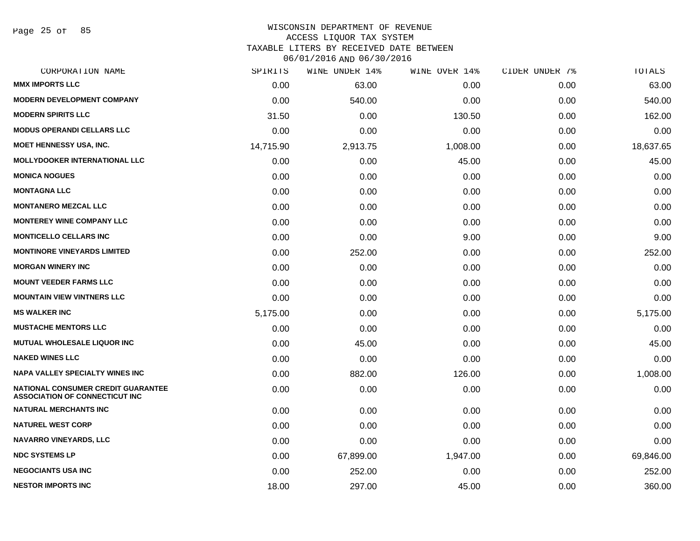Page 25 of 85

#### WISCONSIN DEPARTMENT OF REVENUE ACCESS LIQUOR TAX SYSTEM

TAXABLE LITERS BY RECEIVED DATE BETWEEN

| CORPORATION NAME                                                                   | SPIRITS   | WINE UNDER 14% | WINE OVER 14% | CIDER UNDER 7% | TOTALS    |
|------------------------------------------------------------------------------------|-----------|----------------|---------------|----------------|-----------|
| <b>MMX IMPORTS LLC</b>                                                             | 0.00      | 63.00          | 0.00          | 0.00           | 63.00     |
| <b>MODERN DEVELOPMENT COMPANY</b>                                                  | 0.00      | 540.00         | 0.00          | 0.00           | 540.00    |
| <b>MODERN SPIRITS LLC</b>                                                          | 31.50     | 0.00           | 130.50        | 0.00           | 162.00    |
| <b>MODUS OPERANDI CELLARS LLC</b>                                                  | 0.00      | 0.00           | 0.00          | 0.00           | 0.00      |
| MOET HENNESSY USA, INC.                                                            | 14,715.90 | 2,913.75       | 1,008.00      | 0.00           | 18,637.65 |
| <b>MOLLYDOOKER INTERNATIONAL LLC</b>                                               | 0.00      | 0.00           | 45.00         | 0.00           | 45.00     |
| <b>MONICA NOGUES</b>                                                               | 0.00      | 0.00           | 0.00          | 0.00           | 0.00      |
| <b>MONTAGNA LLC</b>                                                                | 0.00      | 0.00           | 0.00          | 0.00           | 0.00      |
| <b>MONTANERO MEZCAL LLC</b>                                                        | 0.00      | 0.00           | 0.00          | 0.00           | 0.00      |
| <b>MONTEREY WINE COMPANY LLC</b>                                                   | 0.00      | 0.00           | 0.00          | 0.00           | 0.00      |
| <b>MONTICELLO CELLARS INC</b>                                                      | 0.00      | 0.00           | 9.00          | 0.00           | 9.00      |
| <b>MONTINORE VINEYARDS LIMITED</b>                                                 | 0.00      | 252.00         | 0.00          | 0.00           | 252.00    |
| <b>MORGAN WINERY INC</b>                                                           | 0.00      | 0.00           | 0.00          | 0.00           | 0.00      |
| <b>MOUNT VEEDER FARMS LLC</b>                                                      | 0.00      | 0.00           | 0.00          | 0.00           | 0.00      |
| <b>MOUNTAIN VIEW VINTNERS LLC</b>                                                  | 0.00      | 0.00           | 0.00          | 0.00           | 0.00      |
| <b>MS WALKER INC</b>                                                               | 5,175.00  | 0.00           | 0.00          | 0.00           | 5,175.00  |
| <b>MUSTACHE MENTORS LLC</b>                                                        | 0.00      | 0.00           | 0.00          | 0.00           | 0.00      |
| <b>MUTUAL WHOLESALE LIQUOR INC</b>                                                 | 0.00      | 45.00          | 0.00          | 0.00           | 45.00     |
| <b>NAKED WINES LLC</b>                                                             | 0.00      | 0.00           | 0.00          | 0.00           | 0.00      |
| <b>NAPA VALLEY SPECIALTY WINES INC</b>                                             | 0.00      | 882.00         | 126.00        | 0.00           | 1,008.00  |
| <b>NATIONAL CONSUMER CREDIT GUARANTEE</b><br><b>ASSOCIATION OF CONNECTICUT INC</b> | 0.00      | 0.00           | 0.00          | 0.00           | 0.00      |
| <b>NATURAL MERCHANTS INC</b>                                                       | 0.00      | 0.00           | 0.00          | 0.00           | 0.00      |
| <b>NATUREL WEST CORP</b>                                                           | 0.00      | 0.00           | 0.00          | 0.00           | 0.00      |
| <b>NAVARRO VINEYARDS, LLC</b>                                                      | 0.00      | 0.00           | 0.00          | 0.00           | 0.00      |
| <b>NDC SYSTEMS LP</b>                                                              | 0.00      | 67,899.00      | 1,947.00      | 0.00           | 69,846.00 |
| <b>NEGOCIANTS USA INC</b>                                                          | 0.00      | 252.00         | 0.00          | 0.00           | 252.00    |
| <b>NESTOR IMPORTS INC</b>                                                          | 18.00     | 297.00         | 45.00         | 0.00           | 360.00    |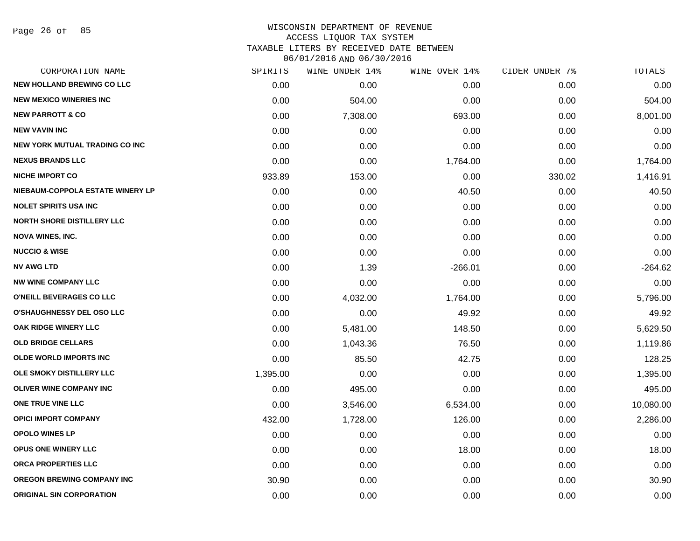Page 26 of 85

### WISCONSIN DEPARTMENT OF REVENUE ACCESS LIQUOR TAX SYSTEM TAXABLE LITERS BY RECEIVED DATE BETWEEN

| CORPORATION NAME                      | SPIRITS  | WINE UNDER 14% | WINE OVER 14% | CIDER UNDER 7% | TOTALS    |
|---------------------------------------|----------|----------------|---------------|----------------|-----------|
| <b>NEW HOLLAND BREWING CO LLC</b>     | 0.00     | 0.00           | 0.00          | 0.00           | 0.00      |
| <b>NEW MEXICO WINERIES INC.</b>       | 0.00     | 504.00         | 0.00          | 0.00           | 504.00    |
| <b>NEW PARROTT &amp; CO</b>           | 0.00     | 7,308.00       | 693.00        | 0.00           | 8,001.00  |
| <b>NEW VAVIN INC</b>                  | 0.00     | 0.00           | 0.00          | 0.00           | 0.00      |
| <b>NEW YORK MUTUAL TRADING CO INC</b> | 0.00     | 0.00           | 0.00          | 0.00           | 0.00      |
| <b>NEXUS BRANDS LLC</b>               | 0.00     | 0.00           | 1,764.00      | 0.00           | 1,764.00  |
| <b>NICHE IMPORT CO</b>                | 933.89   | 153.00         | 0.00          | 330.02         | 1,416.91  |
| NIEBAUM-COPPOLA ESTATE WINERY LP      | 0.00     | 0.00           | 40.50         | 0.00           | 40.50     |
| <b>NOLET SPIRITS USA INC</b>          | 0.00     | 0.00           | 0.00          | 0.00           | 0.00      |
| <b>NORTH SHORE DISTILLERY LLC</b>     | 0.00     | 0.00           | 0.00          | 0.00           | 0.00      |
| <b>NOVA WINES, INC.</b>               | 0.00     | 0.00           | 0.00          | 0.00           | 0.00      |
| <b>NUCCIO &amp; WISE</b>              | 0.00     | 0.00           | 0.00          | 0.00           | 0.00      |
| <b>NV AWG LTD</b>                     | 0.00     | 1.39           | $-266.01$     | 0.00           | $-264.62$ |
| <b>NW WINE COMPANY LLC</b>            | 0.00     | 0.00           | 0.00          | 0.00           | 0.00      |
| O'NEILL BEVERAGES CO LLC              | 0.00     | 4,032.00       | 1,764.00      | 0.00           | 5,796.00  |
| O'SHAUGHNESSY DEL OSO LLC             | 0.00     | 0.00           | 49.92         | 0.00           | 49.92     |
| OAK RIDGE WINERY LLC                  | 0.00     | 5,481.00       | 148.50        | 0.00           | 5,629.50  |
| <b>OLD BRIDGE CELLARS</b>             | 0.00     | 1,043.36       | 76.50         | 0.00           | 1,119.86  |
| <b>OLDE WORLD IMPORTS INC</b>         | 0.00     | 85.50          | 42.75         | 0.00           | 128.25    |
| OLE SMOKY DISTILLERY LLC              | 1,395.00 | 0.00           | 0.00          | 0.00           | 1,395.00  |
| <b>OLIVER WINE COMPANY INC</b>        | 0.00     | 495.00         | 0.00          | 0.00           | 495.00    |
| ONE TRUE VINE LLC                     | 0.00     | 3,546.00       | 6,534.00      | 0.00           | 10,080.00 |
| <b>OPICI IMPORT COMPANY</b>           | 432.00   | 1,728.00       | 126.00        | 0.00           | 2,286.00  |
| <b>OPOLO WINES LP</b>                 | 0.00     | 0.00           | 0.00          | 0.00           | 0.00      |
| <b>OPUS ONE WINERY LLC</b>            | 0.00     | 0.00           | 18.00         | 0.00           | 18.00     |
| ORCA PROPERTIES LLC                   | 0.00     | 0.00           | 0.00          | 0.00           | 0.00      |
| OREGON BREWING COMPANY INC            | 30.90    | 0.00           | 0.00          | 0.00           | 30.90     |
| <b>ORIGINAL SIN CORPORATION</b>       | 0.00     | 0.00           | 0.00          | 0.00           | 0.00      |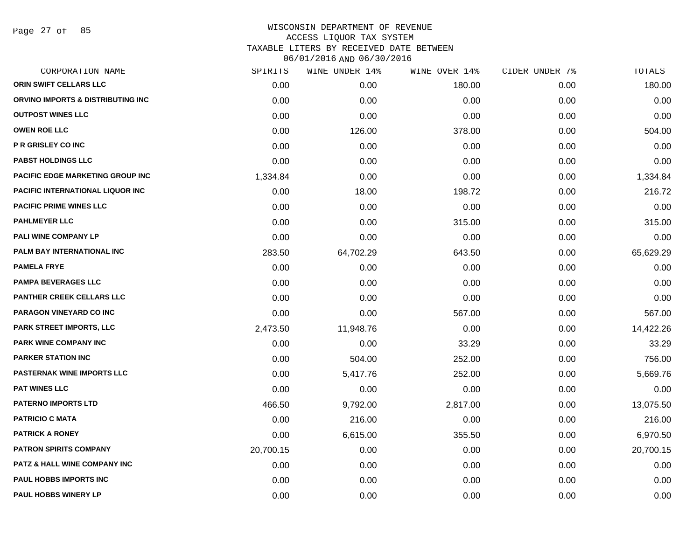Page 27 of 85

| CORPORATION NAME                        | SPIRITS   | WINE UNDER 14% | WINE OVER 14% | CIDER UNDER 7% | TOTALS    |
|-----------------------------------------|-----------|----------------|---------------|----------------|-----------|
| ORIN SWIFT CELLARS LLC                  | 0.00      | 0.00           | 180.00        | 0.00           | 180.00    |
| ORVINO IMPORTS & DISTRIBUTING INC       | 0.00      | 0.00           | 0.00          | 0.00           | 0.00      |
| <b>OUTPOST WINES LLC</b>                | 0.00      | 0.00           | 0.00          | 0.00           | 0.00      |
| <b>OWEN ROE LLC</b>                     | 0.00      | 126.00         | 378.00        | 0.00           | 504.00    |
| <b>P R GRISLEY CO INC</b>               | 0.00      | 0.00           | 0.00          | 0.00           | 0.00      |
| <b>PABST HOLDINGS LLC</b>               | 0.00      | 0.00           | 0.00          | 0.00           | 0.00      |
| <b>PACIFIC EDGE MARKETING GROUP INC</b> | 1,334.84  | 0.00           | 0.00          | 0.00           | 1,334.84  |
| <b>PACIFIC INTERNATIONAL LIQUOR INC</b> | 0.00      | 18.00          | 198.72        | 0.00           | 216.72    |
| <b>PACIFIC PRIME WINES LLC</b>          | 0.00      | 0.00           | 0.00          | 0.00           | 0.00      |
| <b>PAHLMEYER LLC</b>                    | 0.00      | 0.00           | 315.00        | 0.00           | 315.00    |
| <b>PALI WINE COMPANY LP</b>             | 0.00      | 0.00           | 0.00          | 0.00           | 0.00      |
| PALM BAY INTERNATIONAL INC              | 283.50    | 64,702.29      | 643.50        | 0.00           | 65,629.29 |
| <b>PAMELA FRYE</b>                      | 0.00      | 0.00           | 0.00          | 0.00           | 0.00      |
| <b>PAMPA BEVERAGES LLC</b>              | 0.00      | 0.00           | 0.00          | 0.00           | 0.00      |
| <b>PANTHER CREEK CELLARS LLC</b>        | 0.00      | 0.00           | 0.00          | 0.00           | 0.00      |
| PARAGON VINEYARD CO INC                 | 0.00      | 0.00           | 567.00        | 0.00           | 567.00    |
| <b>PARK STREET IMPORTS, LLC</b>         | 2,473.50  | 11,948.76      | 0.00          | 0.00           | 14,422.26 |
| <b>PARK WINE COMPANY INC</b>            | 0.00      | 0.00           | 33.29         | 0.00           | 33.29     |
| <b>PARKER STATION INC</b>               | 0.00      | 504.00         | 252.00        | 0.00           | 756.00    |
| <b>PASTERNAK WINE IMPORTS LLC</b>       | 0.00      | 5,417.76       | 252.00        | 0.00           | 5,669.76  |
| <b>PAT WINES LLC</b>                    | 0.00      | 0.00           | 0.00          | 0.00           | 0.00      |
| <b>PATERNO IMPORTS LTD</b>              | 466.50    | 9,792.00       | 2,817.00      | 0.00           | 13,075.50 |
| <b>PATRICIO C MATA</b>                  | 0.00      | 216.00         | 0.00          | 0.00           | 216.00    |
| <b>PATRICK A RONEY</b>                  | 0.00      | 6,615.00       | 355.50        | 0.00           | 6,970.50  |
| <b>PATRON SPIRITS COMPANY</b>           | 20,700.15 | 0.00           | 0.00          | 0.00           | 20,700.15 |
| PATZ & HALL WINE COMPANY INC            | 0.00      | 0.00           | 0.00          | 0.00           | 0.00      |
| <b>PAUL HOBBS IMPORTS INC</b>           | 0.00      | 0.00           | 0.00          | 0.00           | 0.00      |
| <b>PAUL HOBBS WINERY LP</b>             | 0.00      | 0.00           | 0.00          | 0.00           | 0.00      |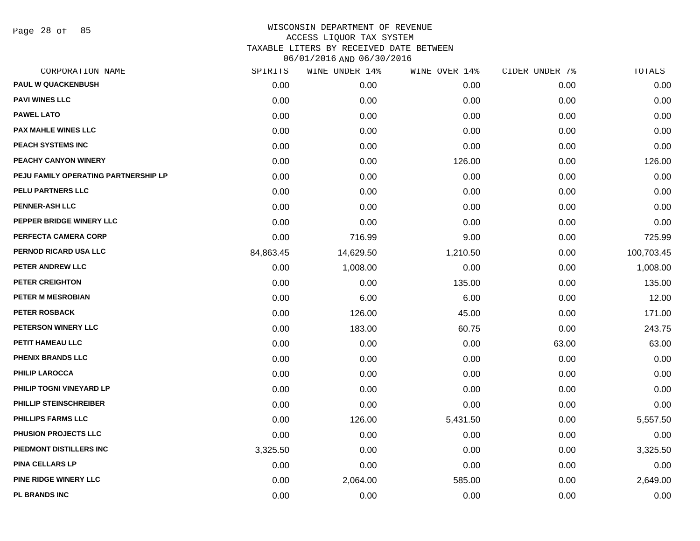Page 28 of 85

| CORPORATION NAME                     | SPIRITS   | WINE UNDER 14% | WINE OVER 14% | CIDER UNDER 7% | TOTALS     |
|--------------------------------------|-----------|----------------|---------------|----------------|------------|
| <b>PAUL W QUACKENBUSH</b>            | 0.00      | 0.00           | 0.00          | 0.00           | 0.00       |
| <b>PAVI WINES LLC</b>                | 0.00      | 0.00           | 0.00          | 0.00           | 0.00       |
| <b>PAWEL LATO</b>                    | 0.00      | 0.00           | 0.00          | 0.00           | 0.00       |
| <b>PAX MAHLE WINES LLC</b>           | 0.00      | 0.00           | 0.00          | 0.00           | 0.00       |
| PEACH SYSTEMS INC                    | 0.00      | 0.00           | 0.00          | 0.00           | 0.00       |
| PEACHY CANYON WINERY                 | 0.00      | 0.00           | 126.00        | 0.00           | 126.00     |
| PEJU FAMILY OPERATING PARTNERSHIP LP | 0.00      | 0.00           | 0.00          | 0.00           | 0.00       |
| PELU PARTNERS LLC                    | 0.00      | 0.00           | 0.00          | 0.00           | 0.00       |
| <b>PENNER-ASH LLC</b>                | 0.00      | 0.00           | 0.00          | 0.00           | 0.00       |
| PEPPER BRIDGE WINERY LLC             | 0.00      | 0.00           | 0.00          | 0.00           | 0.00       |
| PERFECTA CAMERA CORP                 | 0.00      | 716.99         | 9.00          | 0.00           | 725.99     |
| PERNOD RICARD USA LLC                | 84,863.45 | 14,629.50      | 1,210.50      | 0.00           | 100,703.45 |
| PETER ANDREW LLC                     | 0.00      | 1,008.00       | 0.00          | 0.00           | 1,008.00   |
| <b>PETER CREIGHTON</b>               | 0.00      | 0.00           | 135.00        | 0.00           | 135.00     |
| PETER M MESROBIAN                    | 0.00      | 6.00           | 6.00          | 0.00           | 12.00      |
| PETER ROSBACK                        | 0.00      | 126.00         | 45.00         | 0.00           | 171.00     |
| PETERSON WINERY LLC                  | 0.00      | 183.00         | 60.75         | 0.00           | 243.75     |
| PETIT HAMEAU LLC                     | 0.00      | 0.00           | 0.00          | 63.00          | 63.00      |
| PHENIX BRANDS LLC                    | 0.00      | 0.00           | 0.00          | 0.00           | 0.00       |
| <b>PHILIP LAROCCA</b>                | 0.00      | 0.00           | 0.00          | 0.00           | 0.00       |
| PHILIP TOGNI VINEYARD LP             | 0.00      | 0.00           | 0.00          | 0.00           | 0.00       |
| PHILLIP STEINSCHREIBER               | 0.00      | 0.00           | 0.00          | 0.00           | 0.00       |
| <b>PHILLIPS FARMS LLC</b>            | 0.00      | 126.00         | 5,431.50      | 0.00           | 5,557.50   |
| PHUSION PROJECTS LLC                 | 0.00      | 0.00           | 0.00          | 0.00           | 0.00       |
| PIEDMONT DISTILLERS INC              | 3,325.50  | 0.00           | 0.00          | 0.00           | 3,325.50   |
| <b>PINA CELLARS LP</b>               | 0.00      | 0.00           | 0.00          | 0.00           | 0.00       |
| PINE RIDGE WINERY LLC                | 0.00      | 2,064.00       | 585.00        | 0.00           | 2,649.00   |
| PL BRANDS INC                        | 0.00      | 0.00           | 0.00          | 0.00           | 0.00       |
|                                      |           |                |               |                |            |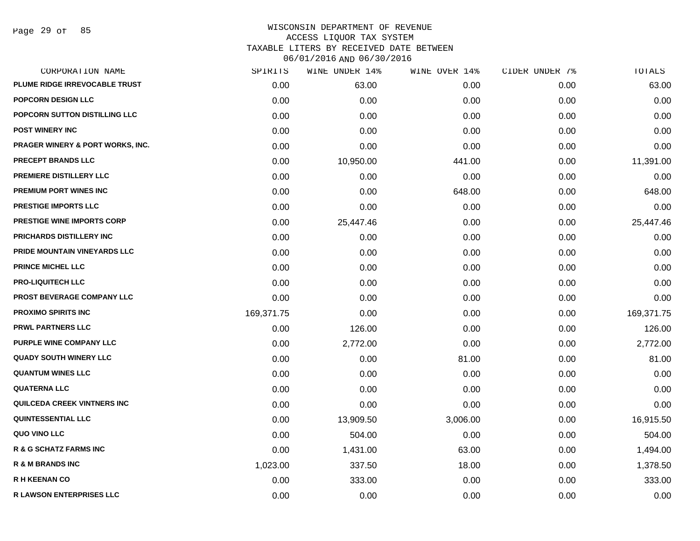Page 29 of 85

| SPIRITS    | WINE UNDER 14% | WINE OVER 14% | CIDER UNDER 7% | TOTALS     |
|------------|----------------|---------------|----------------|------------|
| 0.00       | 63.00          | 0.00          | 0.00           | 63.00      |
| 0.00       | 0.00           | 0.00          | 0.00           | 0.00       |
| 0.00       | 0.00           | 0.00          | 0.00           | 0.00       |
| 0.00       | 0.00           | 0.00          | 0.00           | 0.00       |
| 0.00       | 0.00           | 0.00          | 0.00           | 0.00       |
| 0.00       | 10,950.00      | 441.00        | 0.00           | 11,391.00  |
| 0.00       | 0.00           | 0.00          | 0.00           | 0.00       |
| 0.00       | 0.00           | 648.00        | 0.00           | 648.00     |
| 0.00       | 0.00           | 0.00          | 0.00           | 0.00       |
| 0.00       | 25,447.46      | 0.00          | 0.00           | 25,447.46  |
| 0.00       | 0.00           | 0.00          | 0.00           | 0.00       |
| 0.00       | 0.00           | 0.00          | 0.00           | 0.00       |
| 0.00       | 0.00           | 0.00          | 0.00           | 0.00       |
| 0.00       | 0.00           | 0.00          | 0.00           | 0.00       |
| 0.00       | 0.00           | 0.00          | 0.00           | 0.00       |
| 169,371.75 | 0.00           | 0.00          | 0.00           | 169,371.75 |
| 0.00       | 126.00         | 0.00          | 0.00           | 126.00     |
| 0.00       | 2,772.00       | 0.00          | 0.00           | 2,772.00   |
| 0.00       | 0.00           | 81.00         | 0.00           | 81.00      |
| 0.00       | 0.00           | 0.00          | 0.00           | 0.00       |
| 0.00       | 0.00           | 0.00          | 0.00           | 0.00       |
| 0.00       | 0.00           | 0.00          | 0.00           | 0.00       |
| 0.00       | 13,909.50      | 3,006.00      | 0.00           | 16,915.50  |
| 0.00       | 504.00         | 0.00          | 0.00           | 504.00     |
| 0.00       | 1,431.00       | 63.00         | 0.00           | 1,494.00   |
| 1,023.00   | 337.50         | 18.00         | 0.00           | 1,378.50   |
| 0.00       | 333.00         | 0.00          | 0.00           | 333.00     |
| 0.00       | 0.00           | 0.00          | 0.00           | 0.00       |
|            |                |               |                |            |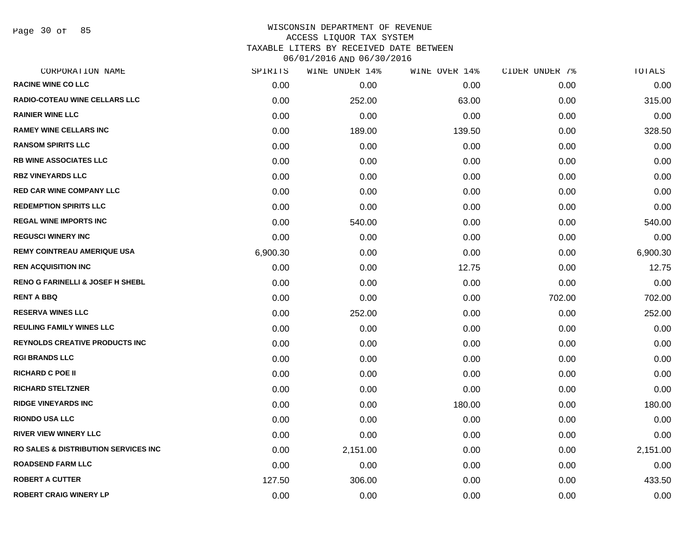Page 30 of 85

| CORPORATION NAME                                 | SPIRITS  | WINE UNDER 14% | WINE OVER 14% | CIDER UNDER 7% | TOTALS   |
|--------------------------------------------------|----------|----------------|---------------|----------------|----------|
| <b>RACINE WINE CO LLC</b>                        | 0.00     | 0.00           | 0.00          | 0.00           | 0.00     |
| <b>RADIO-COTEAU WINE CELLARS LLC</b>             | 0.00     | 252.00         | 63.00         | 0.00           | 315.00   |
| <b>RAINIER WINE LLC</b>                          | 0.00     | 0.00           | 0.00          | 0.00           | 0.00     |
| <b>RAMEY WINE CELLARS INC</b>                    | 0.00     | 189.00         | 139.50        | 0.00           | 328.50   |
| <b>RANSOM SPIRITS LLC</b>                        | 0.00     | 0.00           | 0.00          | 0.00           | 0.00     |
| <b>RB WINE ASSOCIATES LLC</b>                    | 0.00     | 0.00           | 0.00          | 0.00           | 0.00     |
| <b>RBZ VINEYARDS LLC</b>                         | 0.00     | 0.00           | 0.00          | 0.00           | 0.00     |
| RED CAR WINE COMPANY LLC                         | 0.00     | 0.00           | 0.00          | 0.00           | 0.00     |
| <b>REDEMPTION SPIRITS LLC</b>                    | 0.00     | 0.00           | 0.00          | 0.00           | 0.00     |
| <b>REGAL WINE IMPORTS INC</b>                    | 0.00     | 540.00         | 0.00          | 0.00           | 540.00   |
| <b>REGUSCI WINERY INC</b>                        | 0.00     | 0.00           | 0.00          | 0.00           | 0.00     |
| <b>REMY COINTREAU AMERIQUE USA</b>               | 6,900.30 | 0.00           | 0.00          | 0.00           | 6,900.30 |
| <b>REN ACQUISITION INC</b>                       | 0.00     | 0.00           | 12.75         | 0.00           | 12.75    |
| <b>RENO G FARINELLI &amp; JOSEF H SHEBL</b>      | 0.00     | 0.00           | 0.00          | 0.00           | 0.00     |
| <b>RENT A BBQ</b>                                | 0.00     | 0.00           | 0.00          | 702.00         | 702.00   |
| <b>RESERVA WINES LLC</b>                         | 0.00     | 252.00         | 0.00          | 0.00           | 252.00   |
| <b>REULING FAMILY WINES LLC</b>                  | 0.00     | 0.00           | 0.00          | 0.00           | 0.00     |
| <b>REYNOLDS CREATIVE PRODUCTS INC</b>            | 0.00     | 0.00           | 0.00          | 0.00           | 0.00     |
| <b>RGI BRANDS LLC</b>                            | 0.00     | 0.00           | 0.00          | 0.00           | 0.00     |
| <b>RICHARD C POE II</b>                          | 0.00     | 0.00           | 0.00          | 0.00           | 0.00     |
| <b>RICHARD STELTZNER</b>                         | 0.00     | 0.00           | 0.00          | 0.00           | 0.00     |
| <b>RIDGE VINEYARDS INC</b>                       | 0.00     | 0.00           | 180.00        | 0.00           | 180.00   |
| <b>RIONDO USA LLC</b>                            | 0.00     | 0.00           | 0.00          | 0.00           | 0.00     |
| <b>RIVER VIEW WINERY LLC</b>                     | 0.00     | 0.00           | 0.00          | 0.00           | 0.00     |
| <b>RO SALES &amp; DISTRIBUTION SERVICES INC.</b> | 0.00     | 2,151.00       | 0.00          | 0.00           | 2,151.00 |
| <b>ROADSEND FARM LLC</b>                         | 0.00     | 0.00           | 0.00          | 0.00           | 0.00     |
| <b>ROBERT A CUTTER</b>                           | 127.50   | 306.00         | 0.00          | 0.00           | 433.50   |
| <b>ROBERT CRAIG WINERY LP</b>                    | 0.00     | 0.00           | 0.00          | 0.00           | 0.00     |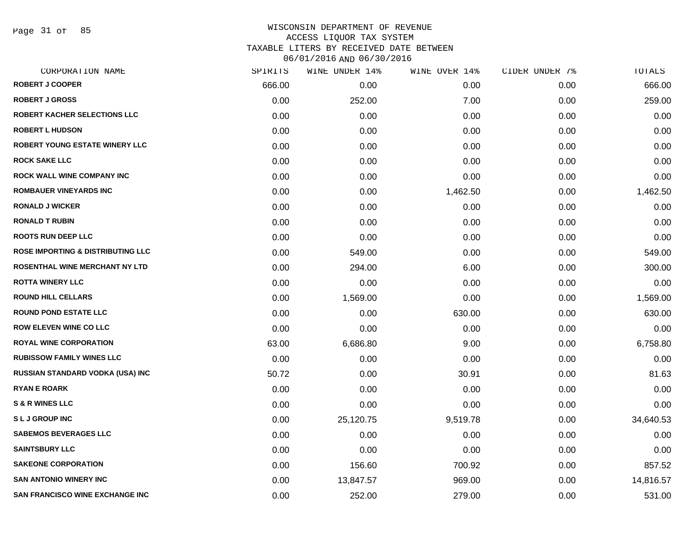Page 31 of 85

| CORPORATION NAME                             | SPIRITS | WINE UNDER 14% | WINE OVER 14% | CIDER UNDER 7% | TOTALS    |
|----------------------------------------------|---------|----------------|---------------|----------------|-----------|
| <b>ROBERT J COOPER</b>                       | 666.00  | 0.00           | 0.00          | 0.00           | 666.00    |
| <b>ROBERT J GROSS</b>                        | 0.00    | 252.00         | 7.00          | 0.00           | 259.00    |
| ROBERT KACHER SELECTIONS LLC                 | 0.00    | 0.00           | 0.00          | 0.00           | 0.00      |
| <b>ROBERT L HUDSON</b>                       | 0.00    | 0.00           | 0.00          | 0.00           | 0.00      |
| ROBERT YOUNG ESTATE WINERY LLC               | 0.00    | 0.00           | 0.00          | 0.00           | 0.00      |
| <b>ROCK SAKE LLC</b>                         | 0.00    | 0.00           | 0.00          | 0.00           | 0.00      |
| ROCK WALL WINE COMPANY INC                   | 0.00    | 0.00           | 0.00          | 0.00           | 0.00      |
| <b>ROMBAUER VINEYARDS INC</b>                | 0.00    | 0.00           | 1,462.50      | 0.00           | 1,462.50  |
| <b>RONALD J WICKER</b>                       | 0.00    | 0.00           | 0.00          | 0.00           | 0.00      |
| <b>RONALD T RUBIN</b>                        | 0.00    | 0.00           | 0.00          | 0.00           | 0.00      |
| <b>ROOTS RUN DEEP LLC</b>                    | 0.00    | 0.00           | 0.00          | 0.00           | 0.00      |
| <b>ROSE IMPORTING &amp; DISTRIBUTING LLC</b> | 0.00    | 549.00         | 0.00          | 0.00           | 549.00    |
| ROSENTHAL WINE MERCHANT NY LTD               | 0.00    | 294.00         | 6.00          | 0.00           | 300.00    |
| <b>ROTTA WINERY LLC</b>                      | 0.00    | 0.00           | 0.00          | 0.00           | 0.00      |
| <b>ROUND HILL CELLARS</b>                    | 0.00    | 1,569.00       | 0.00          | 0.00           | 1,569.00  |
| <b>ROUND POND ESTATE LLC</b>                 | 0.00    | 0.00           | 630.00        | 0.00           | 630.00    |
| <b>ROW ELEVEN WINE CO LLC</b>                | 0.00    | 0.00           | 0.00          | 0.00           | 0.00      |
| <b>ROYAL WINE CORPORATION</b>                | 63.00   | 6,686.80       | 9.00          | 0.00           | 6,758.80  |
| <b>RUBISSOW FAMILY WINES LLC</b>             | 0.00    | 0.00           | 0.00          | 0.00           | 0.00      |
| <b>RUSSIAN STANDARD VODKA (USA) INC</b>      | 50.72   | 0.00           | 30.91         | 0.00           | 81.63     |
| <b>RYAN E ROARK</b>                          | 0.00    | 0.00           | 0.00          | 0.00           | 0.00      |
| <b>S &amp; R WINES LLC</b>                   | 0.00    | 0.00           | 0.00          | 0.00           | 0.00      |
| <b>SLJGROUPINC</b>                           | 0.00    | 25,120.75      | 9,519.78      | 0.00           | 34,640.53 |
| <b>SABEMOS BEVERAGES LLC</b>                 | 0.00    | 0.00           | 0.00          | 0.00           | 0.00      |
| <b>SAINTSBURY LLC</b>                        | 0.00    | 0.00           | 0.00          | 0.00           | 0.00      |
| <b>SAKEONE CORPORATION</b>                   | 0.00    | 156.60         | 700.92        | 0.00           | 857.52    |
| <b>SAN ANTONIO WINERY INC</b>                | 0.00    | 13,847.57      | 969.00        | 0.00           | 14,816.57 |
| <b>SAN FRANCISCO WINE EXCHANGE INC</b>       | 0.00    | 252.00         | 279.00        | 0.00           | 531.00    |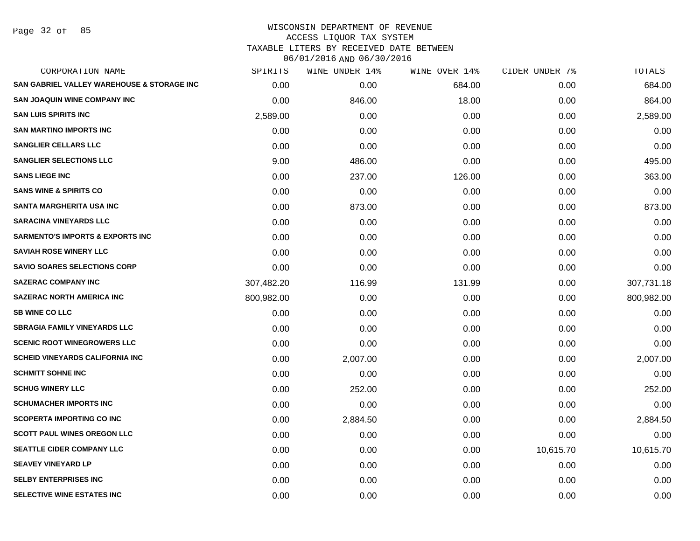Page 32 of 85

| CORPORATION NAME                                      | SPIRITS    | <b>WINE UNDER 14%</b> | WINE OVER 14% | CIDER UNDER 7% | TOTALS     |
|-------------------------------------------------------|------------|-----------------------|---------------|----------------|------------|
| <b>SAN GABRIEL VALLEY WAREHOUSE &amp; STORAGE INC</b> | 0.00       | 0.00                  | 684.00        | 0.00           | 684.00     |
| <b>SAN JOAQUIN WINE COMPANY INC</b>                   | 0.00       | 846.00                | 18.00         | 0.00           | 864.00     |
| <b>SAN LUIS SPIRITS INC</b>                           | 2,589.00   | 0.00                  | 0.00          | 0.00           | 2,589.00   |
| <b>SAN MARTINO IMPORTS INC</b>                        | 0.00       | 0.00                  | 0.00          | 0.00           | 0.00       |
| <b>SANGLIER CELLARS LLC</b>                           | 0.00       | 0.00                  | 0.00          | 0.00           | 0.00       |
| <b>SANGLIER SELECTIONS LLC</b>                        | 9.00       | 486.00                | 0.00          | 0.00           | 495.00     |
| <b>SANS LIEGE INC</b>                                 | 0.00       | 237.00                | 126.00        | 0.00           | 363.00     |
| <b>SANS WINE &amp; SPIRITS CO</b>                     | 0.00       | 0.00                  | 0.00          | 0.00           | 0.00       |
| <b>SANTA MARGHERITA USA INC</b>                       | 0.00       | 873.00                | 0.00          | 0.00           | 873.00     |
| <b>SARACINA VINEYARDS LLC</b>                         | 0.00       | 0.00                  | 0.00          | 0.00           | 0.00       |
| <b>SARMENTO'S IMPORTS &amp; EXPORTS INC</b>           | 0.00       | 0.00                  | 0.00          | 0.00           | 0.00       |
| <b>SAVIAH ROSE WINERY LLC</b>                         | 0.00       | 0.00                  | 0.00          | 0.00           | 0.00       |
| <b>SAVIO SOARES SELECTIONS CORP</b>                   | 0.00       | 0.00                  | 0.00          | 0.00           | 0.00       |
| <b>SAZERAC COMPANY INC</b>                            | 307,482.20 | 116.99                | 131.99        | 0.00           | 307,731.18 |
| <b>SAZERAC NORTH AMERICA INC</b>                      | 800,982.00 | 0.00                  | 0.00          | 0.00           | 800,982.00 |
| <b>SB WINE CO LLC</b>                                 | 0.00       | 0.00                  | 0.00          | 0.00           | 0.00       |
| <b>SBRAGIA FAMILY VINEYARDS LLC</b>                   | 0.00       | 0.00                  | 0.00          | 0.00           | 0.00       |
| <b>SCENIC ROOT WINEGROWERS LLC</b>                    | 0.00       | 0.00                  | 0.00          | 0.00           | 0.00       |
| <b>SCHEID VINEYARDS CALIFORNIA INC</b>                | 0.00       | 2,007.00              | 0.00          | 0.00           | 2,007.00   |
| <b>SCHMITT SOHNE INC</b>                              | 0.00       | 0.00                  | 0.00          | 0.00           | 0.00       |
| <b>SCHUG WINERY LLC</b>                               | 0.00       | 252.00                | 0.00          | 0.00           | 252.00     |
| <b>SCHUMACHER IMPORTS INC</b>                         | 0.00       | 0.00                  | 0.00          | 0.00           | 0.00       |
| <b>SCOPERTA IMPORTING CO INC</b>                      | 0.00       | 2,884.50              | 0.00          | 0.00           | 2,884.50   |
| <b>SCOTT PAUL WINES OREGON LLC</b>                    | 0.00       | 0.00                  | 0.00          | 0.00           | 0.00       |
| <b>SEATTLE CIDER COMPANY LLC</b>                      | 0.00       | 0.00                  | 0.00          | 10,615.70      | 10,615.70  |
| <b>SEAVEY VINEYARD LP</b>                             | 0.00       | 0.00                  | 0.00          | 0.00           | 0.00       |
| <b>SELBY ENTERPRISES INC</b>                          | 0.00       | 0.00                  | 0.00          | 0.00           | 0.00       |
| SELECTIVE WINE ESTATES INC                            | 0.00       | 0.00                  | 0.00          | 0.00           | 0.00       |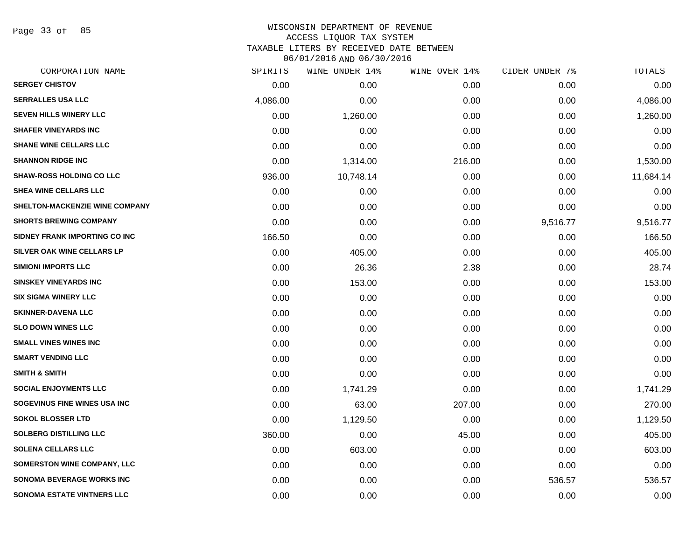Page 33 of 85

# WISCONSIN DEPARTMENT OF REVENUE ACCESS LIQUOR TAX SYSTEM TAXABLE LITERS BY RECEIVED DATE BETWEEN

| CORPORATION NAME                  | SPIRITS  | WINE UNDER 14% | WINE OVER 14% | CIDER UNDER 7% | TOTALS    |
|-----------------------------------|----------|----------------|---------------|----------------|-----------|
| <b>SERGEY CHISTOV</b>             | 0.00     | 0.00           | 0.00          | 0.00           | 0.00      |
| <b>SERRALLES USA LLC</b>          | 4,086.00 | 0.00           | 0.00          | 0.00           | 4,086.00  |
| <b>SEVEN HILLS WINERY LLC</b>     | 0.00     | 1,260.00       | 0.00          | 0.00           | 1,260.00  |
| <b>SHAFER VINEYARDS INC</b>       | 0.00     | 0.00           | 0.00          | 0.00           | 0.00      |
| <b>SHANE WINE CELLARS LLC</b>     | 0.00     | 0.00           | 0.00          | 0.00           | 0.00      |
| <b>SHANNON RIDGE INC</b>          | 0.00     | 1,314.00       | 216.00        | 0.00           | 1,530.00  |
| <b>SHAW-ROSS HOLDING CO LLC</b>   | 936.00   | 10,748.14      | 0.00          | 0.00           | 11,684.14 |
| <b>SHEA WINE CELLARS LLC</b>      | 0.00     | 0.00           | 0.00          | 0.00           | 0.00      |
| SHELTON-MACKENZIE WINE COMPANY    | 0.00     | 0.00           | 0.00          | 0.00           | 0.00      |
| <b>SHORTS BREWING COMPANY</b>     | 0.00     | 0.00           | 0.00          | 9,516.77       | 9,516.77  |
| SIDNEY FRANK IMPORTING CO INC     | 166.50   | 0.00           | 0.00          | 0.00           | 166.50    |
| SILVER OAK WINE CELLARS LP        | 0.00     | 405.00         | 0.00          | 0.00           | 405.00    |
| <b>SIMIONI IMPORTS LLC</b>        | 0.00     | 26.36          | 2.38          | 0.00           | 28.74     |
| <b>SINSKEY VINEYARDS INC</b>      | 0.00     | 153.00         | 0.00          | 0.00           | 153.00    |
| <b>SIX SIGMA WINERY LLC</b>       | 0.00     | 0.00           | 0.00          | 0.00           | 0.00      |
| <b>SKINNER-DAVENA LLC</b>         | 0.00     | 0.00           | 0.00          | 0.00           | 0.00      |
| <b>SLO DOWN WINES LLC</b>         | 0.00     | 0.00           | 0.00          | 0.00           | 0.00      |
| <b>SMALL VINES WINES INC</b>      | 0.00     | 0.00           | 0.00          | 0.00           | 0.00      |
| <b>SMART VENDING LLC</b>          | 0.00     | 0.00           | 0.00          | 0.00           | 0.00      |
| <b>SMITH &amp; SMITH</b>          | 0.00     | 0.00           | 0.00          | 0.00           | 0.00      |
| <b>SOCIAL ENJOYMENTS LLC</b>      | 0.00     | 1,741.29       | 0.00          | 0.00           | 1,741.29  |
| SOGEVINUS FINE WINES USA INC      | 0.00     | 63.00          | 207.00        | 0.00           | 270.00    |
| <b>SOKOL BLOSSER LTD</b>          | 0.00     | 1,129.50       | 0.00          | 0.00           | 1,129.50  |
| SOLBERG DISTILLING LLC            | 360.00   | 0.00           | 45.00         | 0.00           | 405.00    |
| <b>SOLENA CELLARS LLC</b>         | 0.00     | 603.00         | 0.00          | 0.00           | 603.00    |
| SOMERSTON WINE COMPANY, LLC       | 0.00     | 0.00           | 0.00          | 0.00           | 0.00      |
| <b>SONOMA BEVERAGE WORKS INC</b>  | 0.00     | 0.00           | 0.00          | 536.57         | 536.57    |
| <b>SONOMA ESTATE VINTNERS LLC</b> | 0.00     | 0.00           | 0.00          | 0.00           | 0.00      |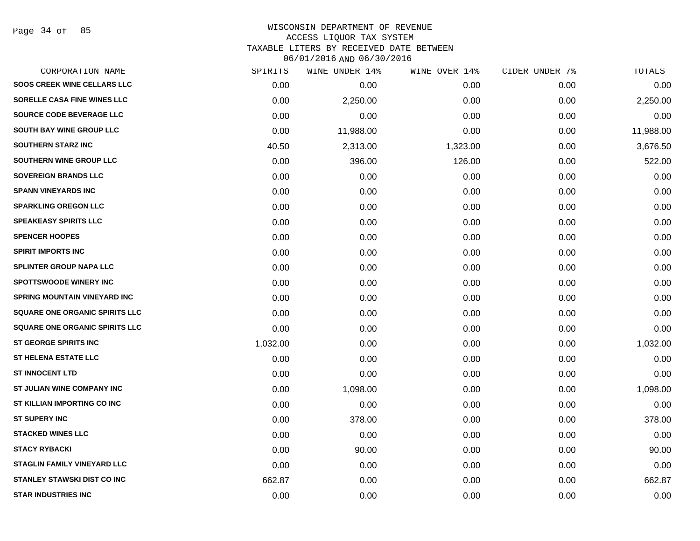Page 34 of 85

# WISCONSIN DEPARTMENT OF REVENUE ACCESS LIQUOR TAX SYSTEM TAXABLE LITERS BY RECEIVED DATE BETWEEN

| CORPORATION NAME                      | SPIRITS  | WINE UNDER 14% | WINE OVER 14% | CIDER UNDER 7% | TOTALS    |
|---------------------------------------|----------|----------------|---------------|----------------|-----------|
| <b>SOOS CREEK WINE CELLARS LLC</b>    | 0.00     | 0.00           | 0.00          | 0.00           | 0.00      |
| <b>SORELLE CASA FINE WINES LLC</b>    | 0.00     | 2,250.00       | 0.00          | 0.00           | 2,250.00  |
| SOURCE CODE BEVERAGE LLC              | 0.00     | 0.00           | 0.00          | 0.00           | 0.00      |
| SOUTH BAY WINE GROUP LLC              | 0.00     | 11,988.00      | 0.00          | 0.00           | 11,988.00 |
| <b>SOUTHERN STARZ INC</b>             | 40.50    | 2,313.00       | 1,323.00      | 0.00           | 3,676.50  |
| SOUTHERN WINE GROUP LLC               | 0.00     | 396.00         | 126.00        | 0.00           | 522.00    |
| <b>SOVEREIGN BRANDS LLC</b>           | 0.00     | 0.00           | 0.00          | 0.00           | 0.00      |
| <b>SPANN VINEYARDS INC</b>            | 0.00     | 0.00           | 0.00          | 0.00           | 0.00      |
| <b>SPARKLING OREGON LLC</b>           | 0.00     | 0.00           | 0.00          | 0.00           | 0.00      |
| <b>SPEAKEASY SPIRITS LLC</b>          | 0.00     | 0.00           | 0.00          | 0.00           | 0.00      |
| <b>SPENCER HOOPES</b>                 | 0.00     | 0.00           | 0.00          | 0.00           | 0.00      |
| <b>SPIRIT IMPORTS INC</b>             | 0.00     | 0.00           | 0.00          | 0.00           | 0.00      |
| <b>SPLINTER GROUP NAPA LLC</b>        | 0.00     | 0.00           | 0.00          | 0.00           | 0.00      |
| <b>SPOTTSWOODE WINERY INC</b>         | 0.00     | 0.00           | 0.00          | 0.00           | 0.00      |
| <b>SPRING MOUNTAIN VINEYARD INC</b>   | 0.00     | 0.00           | 0.00          | 0.00           | 0.00      |
| <b>SQUARE ONE ORGANIC SPIRITS LLC</b> | 0.00     | 0.00           | 0.00          | 0.00           | 0.00      |
| SQUARE ONE ORGANIC SPIRITS LLC        | 0.00     | 0.00           | 0.00          | 0.00           | 0.00      |
| <b>ST GEORGE SPIRITS INC</b>          | 1,032.00 | 0.00           | 0.00          | 0.00           | 1,032.00  |
| <b>ST HELENA ESTATE LLC</b>           | 0.00     | 0.00           | 0.00          | 0.00           | 0.00      |
| <b>ST INNOCENT LTD</b>                | 0.00     | 0.00           | 0.00          | 0.00           | 0.00      |
| ST JULIAN WINE COMPANY INC            | 0.00     | 1,098.00       | 0.00          | 0.00           | 1,098.00  |
| ST KILLIAN IMPORTING CO INC           | 0.00     | 0.00           | 0.00          | 0.00           | 0.00      |
| <b>ST SUPERY INC</b>                  | 0.00     | 378.00         | 0.00          | 0.00           | 378.00    |
| <b>STACKED WINES LLC</b>              | 0.00     | 0.00           | 0.00          | 0.00           | 0.00      |
| <b>STACY RYBACKI</b>                  | 0.00     | 90.00          | 0.00          | 0.00           | 90.00     |
| <b>STAGLIN FAMILY VINEYARD LLC</b>    | 0.00     | 0.00           | 0.00          | 0.00           | 0.00      |
| <b>STANLEY STAWSKI DIST CO INC</b>    | 662.87   | 0.00           | 0.00          | 0.00           | 662.87    |
| <b>STAR INDUSTRIES INC</b>            | 0.00     | 0.00           | 0.00          | 0.00           | 0.00      |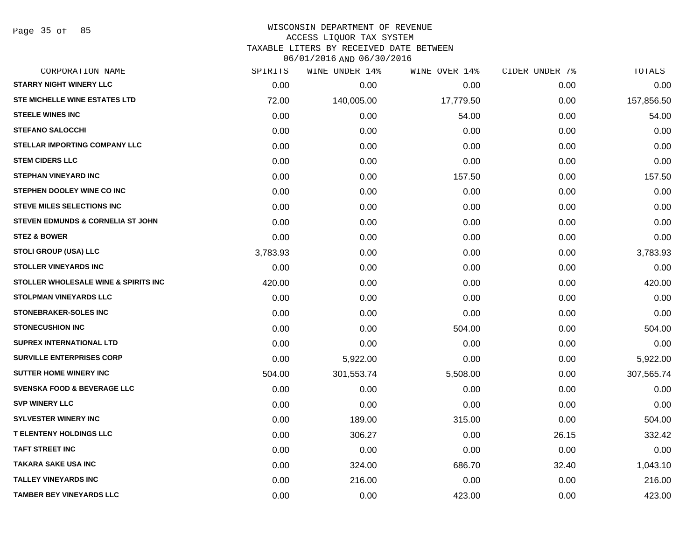#### WISCONSIN DEPARTMENT OF REVENUE ACCESS LIQUOR TAX SYSTEM

TAXABLE LITERS BY RECEIVED DATE BETWEEN

| CORPORATION NAME                             | SPIRITS  | WINE UNDER 14% | WINE OVER 14% | CIDER UNDER 7% | TOTALS     |
|----------------------------------------------|----------|----------------|---------------|----------------|------------|
| <b>STARRY NIGHT WINERY LLC</b>               | 0.00     | 0.00           | 0.00          | 0.00           | 0.00       |
| STE MICHELLE WINE ESTATES LTD                | 72.00    | 140,005.00     | 17,779.50     | 0.00           | 157,856.50 |
| <b>STEELE WINES INC</b>                      | 0.00     | 0.00           | 54.00         | 0.00           | 54.00      |
| <b>STEFANO SALOCCHI</b>                      | 0.00     | 0.00           | 0.00          | 0.00           | 0.00       |
| <b>STELLAR IMPORTING COMPANY LLC</b>         | 0.00     | 0.00           | 0.00          | 0.00           | 0.00       |
| <b>STEM CIDERS LLC</b>                       | 0.00     | 0.00           | 0.00          | 0.00           | 0.00       |
| <b>STEPHAN VINEYARD INC</b>                  | 0.00     | 0.00           | 157.50        | 0.00           | 157.50     |
| STEPHEN DOOLEY WINE CO INC                   | 0.00     | 0.00           | 0.00          | 0.00           | 0.00       |
| <b>STEVE MILES SELECTIONS INC</b>            | 0.00     | 0.00           | 0.00          | 0.00           | 0.00       |
| <b>STEVEN EDMUNDS &amp; CORNELIA ST JOHN</b> | 0.00     | 0.00           | 0.00          | 0.00           | 0.00       |
| <b>STEZ &amp; BOWER</b>                      | 0.00     | 0.00           | 0.00          | 0.00           | 0.00       |
| STOLI GROUP (USA) LLC                        | 3,783.93 | 0.00           | 0.00          | 0.00           | 3,783.93   |
| <b>STOLLER VINEYARDS INC</b>                 | 0.00     | 0.00           | 0.00          | 0.00           | 0.00       |
| STOLLER WHOLESALE WINE & SPIRITS INC         | 420.00   | 0.00           | 0.00          | 0.00           | 420.00     |
| <b>STOLPMAN VINEYARDS LLC</b>                | 0.00     | 0.00           | 0.00          | 0.00           | 0.00       |
| <b>STONEBRAKER-SOLES INC</b>                 | 0.00     | 0.00           | 0.00          | 0.00           | 0.00       |
| <b>STONECUSHION INC</b>                      | 0.00     | 0.00           | 504.00        | 0.00           | 504.00     |
| <b>SUPREX INTERNATIONAL LTD</b>              | 0.00     | 0.00           | 0.00          | 0.00           | 0.00       |
| <b>SURVILLE ENTERPRISES CORP</b>             | 0.00     | 5,922.00       | 0.00          | 0.00           | 5,922.00   |
| <b>SUTTER HOME WINERY INC</b>                | 504.00   | 301,553.74     | 5,508.00      | 0.00           | 307,565.74 |
| <b>SVENSKA FOOD &amp; BEVERAGE LLC</b>       | 0.00     | 0.00           | 0.00          | 0.00           | 0.00       |
| <b>SVP WINERY LLC</b>                        | 0.00     | 0.00           | 0.00          | 0.00           | 0.00       |
| <b>SYLVESTER WINERY INC</b>                  | 0.00     | 189.00         | 315.00        | 0.00           | 504.00     |
| <b>T ELENTENY HOLDINGS LLC</b>               | 0.00     | 306.27         | 0.00          | 26.15          | 332.42     |
| <b>TAFT STREET INC</b>                       | 0.00     | 0.00           | 0.00          | 0.00           | 0.00       |
| <b>TAKARA SAKE USA INC</b>                   | 0.00     | 324.00         | 686.70        | 32.40          | 1,043.10   |
| <b>TALLEY VINEYARDS INC</b>                  | 0.00     | 216.00         | 0.00          | 0.00           | 216.00     |
| <b>TAMBER BEY VINEYARDS LLC</b>              | 0.00     | 0.00           | 423.00        | 0.00           | 423.00     |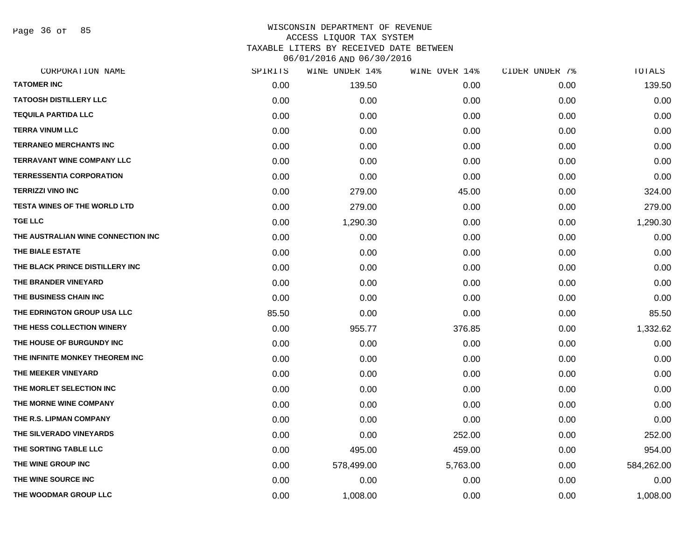Page 36 of 85

| CORPORATION NAME                    | SPIRITS | WINE UNDER 14% | WINE OVER 14% | CIDER UNDER 7% | TOTALS     |
|-------------------------------------|---------|----------------|---------------|----------------|------------|
| <b>TATOMER INC</b>                  | 0.00    | 139.50         | 0.00          | 0.00           | 139.50     |
| <b>TATOOSH DISTILLERY LLC</b>       | 0.00    | 0.00           | 0.00          | 0.00           | 0.00       |
| <b>TEQUILA PARTIDA LLC</b>          | 0.00    | 0.00           | 0.00          | 0.00           | 0.00       |
| <b>TERRA VINUM LLC</b>              | 0.00    | 0.00           | 0.00          | 0.00           | 0.00       |
| <b>TERRANEO MERCHANTS INC</b>       | 0.00    | 0.00           | 0.00          | 0.00           | 0.00       |
| <b>TERRAVANT WINE COMPANY LLC</b>   | 0.00    | 0.00           | 0.00          | 0.00           | 0.00       |
| <b>TERRESSENTIA CORPORATION</b>     | 0.00    | 0.00           | 0.00          | 0.00           | 0.00       |
| <b>TERRIZZI VINO INC</b>            | 0.00    | 279.00         | 45.00         | 0.00           | 324.00     |
| <b>TESTA WINES OF THE WORLD LTD</b> | 0.00    | 279.00         | 0.00          | 0.00           | 279.00     |
| <b>TGE LLC</b>                      | 0.00    | 1,290.30       | 0.00          | 0.00           | 1,290.30   |
| THE AUSTRALIAN WINE CONNECTION INC  | 0.00    | 0.00           | 0.00          | 0.00           | 0.00       |
| THE BIALE ESTATE                    | 0.00    | 0.00           | 0.00          | 0.00           | 0.00       |
| THE BLACK PRINCE DISTILLERY INC     | 0.00    | 0.00           | 0.00          | 0.00           | 0.00       |
| THE BRANDER VINEYARD                | 0.00    | 0.00           | 0.00          | 0.00           | 0.00       |
| THE BUSINESS CHAIN INC              | 0.00    | 0.00           | 0.00          | 0.00           | 0.00       |
| THE EDRINGTON GROUP USA LLC         | 85.50   | 0.00           | 0.00          | 0.00           | 85.50      |
| THE HESS COLLECTION WINERY          | 0.00    | 955.77         | 376.85        | 0.00           | 1,332.62   |
| THE HOUSE OF BURGUNDY INC           | 0.00    | 0.00           | 0.00          | 0.00           | 0.00       |
| THE INFINITE MONKEY THEOREM INC     | 0.00    | 0.00           | 0.00          | 0.00           | 0.00       |
| THE MEEKER VINEYARD                 | 0.00    | 0.00           | 0.00          | 0.00           | 0.00       |
| THE MORLET SELECTION INC            | 0.00    | 0.00           | 0.00          | 0.00           | 0.00       |
| THE MORNE WINE COMPANY              | 0.00    | 0.00           | 0.00          | 0.00           | 0.00       |
| THE R.S. LIPMAN COMPANY             | 0.00    | 0.00           | 0.00          | 0.00           | 0.00       |
| THE SILVERADO VINEYARDS             | 0.00    | 0.00           | 252.00        | 0.00           | 252.00     |
| THE SORTING TABLE LLC               | 0.00    | 495.00         | 459.00        | 0.00           | 954.00     |
| THE WINE GROUP INC                  | 0.00    | 578,499.00     | 5,763.00      | 0.00           | 584,262.00 |
| <b>THE WINE SOURCE INC</b>          | 0.00    | 0.00           | 0.00          | 0.00           | 0.00       |
| THE WOODMAR GROUP LLC               | 0.00    | 1,008.00       | 0.00          | 0.00           | 1,008.00   |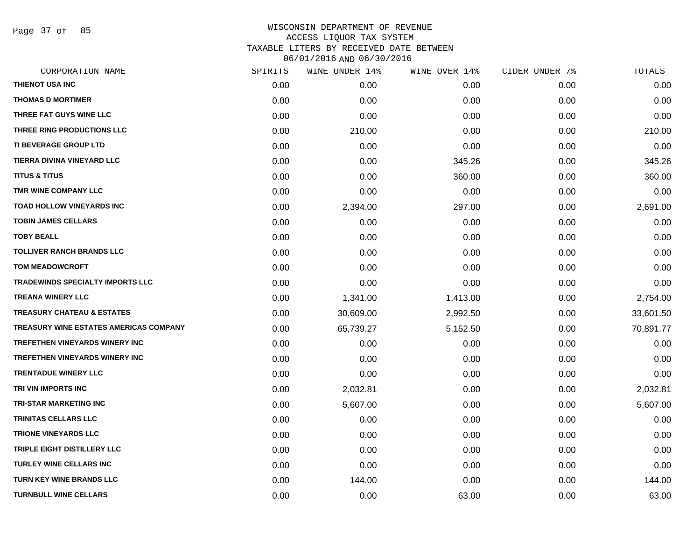Page 37 of 85

| CORPORATION NAME                              | SPIRITS | WINE UNDER 14% | WINE OVER 14% | CIDER UNDER 7% | TOTALS    |
|-----------------------------------------------|---------|----------------|---------------|----------------|-----------|
| THIENOT USA INC                               | 0.00    | 0.00           | 0.00          | 0.00           | 0.00      |
| <b>THOMAS D MORTIMER</b>                      | 0.00    | 0.00           | 0.00          | 0.00           | 0.00      |
| THREE FAT GUYS WINE LLC                       | 0.00    | 0.00           | 0.00          | 0.00           | 0.00      |
| THREE RING PRODUCTIONS LLC                    | 0.00    | 210.00         | 0.00          | 0.00           | 210.00    |
| <b>TI BEVERAGE GROUP LTD</b>                  | 0.00    | 0.00           | 0.00          | 0.00           | 0.00      |
| TIERRA DIVINA VINEYARD LLC                    | 0.00    | 0.00           | 345.26        | 0.00           | 345.26    |
| <b>TITUS &amp; TITUS</b>                      | 0.00    | 0.00           | 360.00        | 0.00           | 360.00    |
| TMR WINE COMPANY LLC                          | 0.00    | 0.00           | 0.00          | 0.00           | 0.00      |
| <b>TOAD HOLLOW VINEYARDS INC</b>              | 0.00    | 2,394.00       | 297.00        | 0.00           | 2,691.00  |
| <b>TOBIN JAMES CELLARS</b>                    | 0.00    | 0.00           | 0.00          | 0.00           | 0.00      |
| <b>TOBY BEALL</b>                             | 0.00    | 0.00           | 0.00          | 0.00           | 0.00      |
| <b>TOLLIVER RANCH BRANDS LLC</b>              | 0.00    | 0.00           | 0.00          | 0.00           | 0.00      |
| <b>TOM MEADOWCROFT</b>                        | 0.00    | 0.00           | 0.00          | 0.00           | 0.00      |
| <b>TRADEWINDS SPECIALTY IMPORTS LLC</b>       | 0.00    | 0.00           | 0.00          | 0.00           | 0.00      |
| <b>TREANA WINERY LLC</b>                      | 0.00    | 1,341.00       | 1,413.00      | 0.00           | 2,754.00  |
| <b>TREASURY CHATEAU &amp; ESTATES</b>         | 0.00    | 30,609.00      | 2,992.50      | 0.00           | 33,601.50 |
| <b>TREASURY WINE ESTATES AMERICAS COMPANY</b> | 0.00    | 65,739.27      | 5,152.50      | 0.00           | 70,891.77 |
| <b>TREFETHEN VINEYARDS WINERY INC</b>         | 0.00    | 0.00           | 0.00          | 0.00           | 0.00      |
| <b>TREFETHEN VINEYARDS WINERY INC</b>         | 0.00    | 0.00           | 0.00          | 0.00           | 0.00      |
| <b>TRENTADUE WINERY LLC</b>                   | 0.00    | 0.00           | 0.00          | 0.00           | 0.00      |
| TRI VIN IMPORTS INC                           | 0.00    | 2,032.81       | 0.00          | 0.00           | 2,032.81  |
| <b>TRI-STAR MARKETING INC</b>                 | 0.00    | 5,607.00       | 0.00          | 0.00           | 5,607.00  |
| <b>TRINITAS CELLARS LLC</b>                   | 0.00    | 0.00           | 0.00          | 0.00           | 0.00      |
| <b>TRIONE VINEYARDS LLC</b>                   | 0.00    | 0.00           | 0.00          | 0.00           | 0.00      |
| TRIPLE EIGHT DISTILLERY LLC                   | 0.00    | 0.00           | 0.00          | 0.00           | 0.00      |
| <b>TURLEY WINE CELLARS INC</b>                | 0.00    | 0.00           | 0.00          | 0.00           | 0.00      |
| <b>TURN KEY WINE BRANDS LLC</b>               | 0.00    | 144.00         | 0.00          | 0.00           | 144.00    |
| <b>TURNBULL WINE CELLARS</b>                  | 0.00    | 0.00           | 63.00         | 0.00           | 63.00     |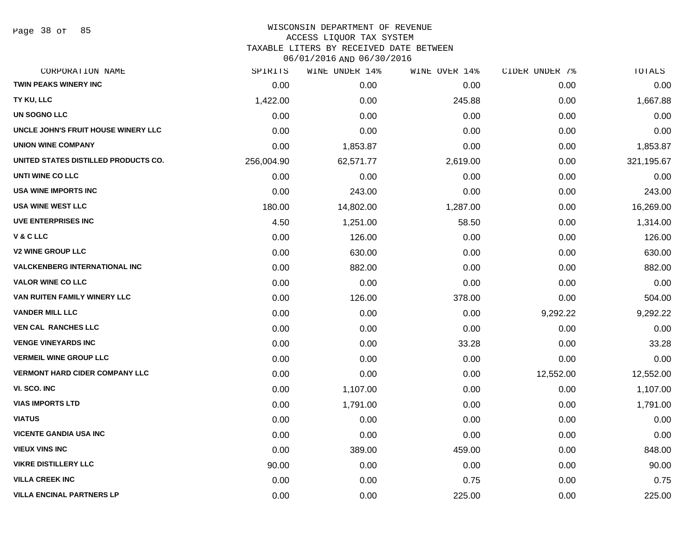Page 38 of 85

# WISCONSIN DEPARTMENT OF REVENUE

ACCESS LIQUOR TAX SYSTEM

TAXABLE LITERS BY RECEIVED DATE BETWEEN

| CORPORATION NAME                      | SPIRITS    | WINE UNDER 14% | WINE OVER 14% | CIDER UNDER 7% | TOTALS     |
|---------------------------------------|------------|----------------|---------------|----------------|------------|
| <b>TWIN PEAKS WINERY INC</b>          | 0.00       | 0.00           | 0.00          | 0.00           | 0.00       |
| TY KU, LLC                            | 1,422.00   | 0.00           | 245.88        | 0.00           | 1,667.88   |
| UN SOGNO LLC                          | 0.00       | 0.00           | 0.00          | 0.00           | 0.00       |
| UNCLE JOHN'S FRUIT HOUSE WINERY LLC   | 0.00       | 0.00           | 0.00          | 0.00           | 0.00       |
| <b>UNION WINE COMPANY</b>             | 0.00       | 1,853.87       | 0.00          | 0.00           | 1,853.87   |
| UNITED STATES DISTILLED PRODUCTS CO.  | 256,004.90 | 62,571.77      | 2,619.00      | 0.00           | 321,195.67 |
| UNTI WINE CO LLC                      | 0.00       | 0.00           | 0.00          | 0.00           | 0.00       |
| <b>USA WINE IMPORTS INC</b>           | 0.00       | 243.00         | 0.00          | 0.00           | 243.00     |
| <b>USA WINE WEST LLC</b>              | 180.00     | 14,802.00      | 1,287.00      | 0.00           | 16,269.00  |
| <b>UVE ENTERPRISES INC</b>            | 4.50       | 1,251.00       | 58.50         | 0.00           | 1,314.00   |
| V & C LLC                             | 0.00       | 126.00         | 0.00          | 0.00           | 126.00     |
| <b>V2 WINE GROUP LLC</b>              | 0.00       | 630.00         | 0.00          | 0.00           | 630.00     |
| <b>VALCKENBERG INTERNATIONAL INC</b>  | 0.00       | 882.00         | 0.00          | 0.00           | 882.00     |
| <b>VALOR WINE CO LLC</b>              | 0.00       | 0.00           | 0.00          | 0.00           | 0.00       |
| VAN RUITEN FAMILY WINERY LLC          | 0.00       | 126.00         | 378.00        | 0.00           | 504.00     |
| <b>VANDER MILL LLC</b>                | 0.00       | 0.00           | 0.00          | 9,292.22       | 9,292.22   |
| <b>VEN CAL RANCHES LLC</b>            | 0.00       | 0.00           | 0.00          | 0.00           | 0.00       |
| <b>VENGE VINEYARDS INC</b>            | 0.00       | 0.00           | 33.28         | 0.00           | 33.28      |
| <b>VERMEIL WINE GROUP LLC</b>         | 0.00       | 0.00           | 0.00          | 0.00           | 0.00       |
| <b>VERMONT HARD CIDER COMPANY LLC</b> | 0.00       | 0.00           | 0.00          | 12,552.00      | 12,552.00  |
| VI. SCO. INC                          | 0.00       | 1,107.00       | 0.00          | 0.00           | 1,107.00   |
| <b>VIAS IMPORTS LTD</b>               | 0.00       | 1,791.00       | 0.00          | 0.00           | 1,791.00   |
| <b>VIATUS</b>                         | 0.00       | 0.00           | 0.00          | 0.00           | 0.00       |
| <b>VICENTE GANDIA USA INC</b>         | 0.00       | 0.00           | 0.00          | 0.00           | 0.00       |
| <b>VIEUX VINS INC</b>                 | 0.00       | 389.00         | 459.00        | 0.00           | 848.00     |
| <b>VIKRE DISTILLERY LLC</b>           | 90.00      | 0.00           | 0.00          | 0.00           | 90.00      |
| <b>VILLA CREEK INC</b>                | 0.00       | 0.00           | 0.75          | 0.00           | 0.75       |
| <b>VILLA ENCINAL PARTNERS LP</b>      | 0.00       | 0.00           | 225.00        | 0.00           | 225.00     |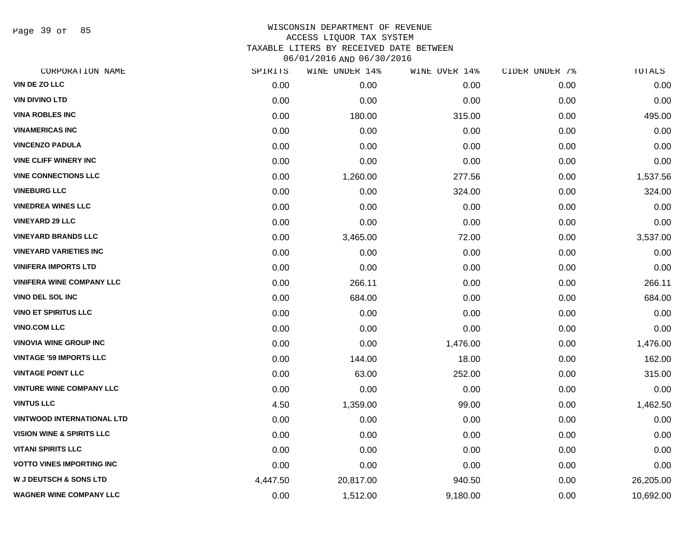Page 39 of 85

| CORPORATION NAME                     | SPIRITS  | WINE UNDER 14% | WINE OVER 14% | CIDER UNDER 7% | TOTALS    |
|--------------------------------------|----------|----------------|---------------|----------------|-----------|
| VIN DE ZO LLC                        | 0.00     | 0.00           | 0.00          | 0.00           | 0.00      |
| <b>VIN DIVINO LTD</b>                | 0.00     | 0.00           | 0.00          | 0.00           | 0.00      |
| <b>VINA ROBLES INC</b>               | 0.00     | 180.00         | 315.00        | 0.00           | 495.00    |
| <b>VINAMERICAS INC</b>               | 0.00     | 0.00           | 0.00          | 0.00           | 0.00      |
| <b>VINCENZO PADULA</b>               | 0.00     | 0.00           | 0.00          | 0.00           | 0.00      |
| <b>VINE CLIFF WINERY INC</b>         | 0.00     | 0.00           | 0.00          | 0.00           | 0.00      |
| <b>VINE CONNECTIONS LLC</b>          | 0.00     | 1,260.00       | 277.56        | 0.00           | 1,537.56  |
| <b>VINEBURG LLC</b>                  | 0.00     | 0.00           | 324.00        | 0.00           | 324.00    |
| <b>VINEDREA WINES LLC</b>            | 0.00     | 0.00           | 0.00          | 0.00           | 0.00      |
| <b>VINEYARD 29 LLC</b>               | 0.00     | 0.00           | 0.00          | 0.00           | 0.00      |
| <b>VINEYARD BRANDS LLC</b>           | 0.00     | 3,465.00       | 72.00         | 0.00           | 3,537.00  |
| <b>VINEYARD VARIETIES INC</b>        | 0.00     | 0.00           | 0.00          | 0.00           | 0.00      |
| <b>VINIFERA IMPORTS LTD</b>          | 0.00     | 0.00           | 0.00          | 0.00           | 0.00      |
| <b>VINIFERA WINE COMPANY LLC</b>     | 0.00     | 266.11         | 0.00          | 0.00           | 266.11    |
| <b>VINO DEL SOL INC</b>              | 0.00     | 684.00         | 0.00          | 0.00           | 684.00    |
| <b>VINO ET SPIRITUS LLC</b>          | 0.00     | 0.00           | 0.00          | 0.00           | 0.00      |
| <b>VINO.COM LLC</b>                  | 0.00     | 0.00           | 0.00          | 0.00           | 0.00      |
| <b>VINOVIA WINE GROUP INC</b>        | 0.00     | 0.00           | 1,476.00      | 0.00           | 1,476.00  |
| <b>VINTAGE '59 IMPORTS LLC</b>       | 0.00     | 144.00         | 18.00         | 0.00           | 162.00    |
| <b>VINTAGE POINT LLC</b>             | 0.00     | 63.00          | 252.00        | 0.00           | 315.00    |
| <b>VINTURE WINE COMPANY LLC</b>      | 0.00     | 0.00           | 0.00          | 0.00           | 0.00      |
| <b>VINTUS LLC</b>                    | 4.50     | 1,359.00       | 99.00         | 0.00           | 1,462.50  |
| <b>VINTWOOD INTERNATIONAL LTD</b>    | 0.00     | 0.00           | 0.00          | 0.00           | 0.00      |
| <b>VISION WINE &amp; SPIRITS LLC</b> | 0.00     | 0.00           | 0.00          | 0.00           | 0.00      |
| <b>VITANI SPIRITS LLC</b>            | 0.00     | 0.00           | 0.00          | 0.00           | 0.00      |
| <b>VOTTO VINES IMPORTING INC</b>     | 0.00     | 0.00           | 0.00          | 0.00           | 0.00      |
| <b>W J DEUTSCH &amp; SONS LTD</b>    | 4,447.50 | 20,817.00      | 940.50        | 0.00           | 26,205.00 |
| <b>WAGNER WINE COMPANY LLC</b>       | 0.00     | 1,512.00       | 9,180.00      | 0.00           | 10,692.00 |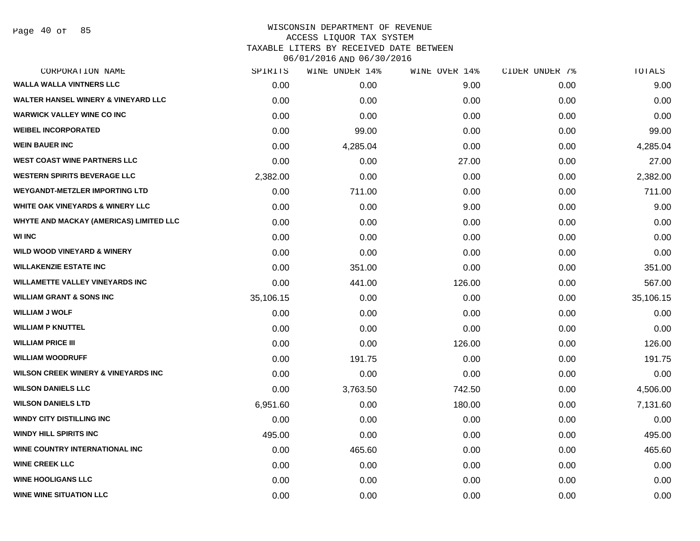Page 40 of 85

| CORPORATION NAME                                | SPIRITS   | WINE UNDER 14% | WINE OVER 14% | CIDER UNDER 7% | TOTALS    |
|-------------------------------------------------|-----------|----------------|---------------|----------------|-----------|
| <b>WALLA WALLA VINTNERS LLC</b>                 | 0.00      | 0.00           | 9.00          | 0.00           | 9.00      |
| <b>WALTER HANSEL WINERY &amp; VINEYARD LLC</b>  | 0.00      | 0.00           | 0.00          | 0.00           | 0.00      |
| <b>WARWICK VALLEY WINE CO INC</b>               | 0.00      | 0.00           | 0.00          | 0.00           | 0.00      |
| <b>WEIBEL INCORPORATED</b>                      | 0.00      | 99.00          | 0.00          | 0.00           | 99.00     |
| <b>WEIN BAUER INC</b>                           | 0.00      | 4,285.04       | 0.00          | 0.00           | 4,285.04  |
| <b>WEST COAST WINE PARTNERS LLC</b>             | 0.00      | 0.00           | 27.00         | 0.00           | 27.00     |
| <b>WESTERN SPIRITS BEVERAGE LLC</b>             | 2,382.00  | 0.00           | 0.00          | 0.00           | 2,382.00  |
| <b>WEYGANDT-METZLER IMPORTING LTD</b>           | 0.00      | 711.00         | 0.00          | 0.00           | 711.00    |
| <b>WHITE OAK VINEYARDS &amp; WINERY LLC</b>     | 0.00      | 0.00           | 9.00          | 0.00           | 9.00      |
| <b>WHYTE AND MACKAY (AMERICAS) LIMITED LLC</b>  | 0.00      | 0.00           | 0.00          | 0.00           | 0.00      |
| <b>WI INC</b>                                   | 0.00      | 0.00           | 0.00          | 0.00           | 0.00      |
| <b>WILD WOOD VINEYARD &amp; WINERY</b>          | 0.00      | 0.00           | 0.00          | 0.00           | 0.00      |
| <b>WILLAKENZIE ESTATE INC</b>                   | 0.00      | 351.00         | 0.00          | 0.00           | 351.00    |
| <b>WILLAMETTE VALLEY VINEYARDS INC</b>          | 0.00      | 441.00         | 126.00        | 0.00           | 567.00    |
| <b>WILLIAM GRANT &amp; SONS INC</b>             | 35,106.15 | 0.00           | 0.00          | 0.00           | 35,106.15 |
| <b>WILLIAM J WOLF</b>                           | 0.00      | 0.00           | 0.00          | 0.00           | 0.00      |
| <b>WILLIAM P KNUTTEL</b>                        | 0.00      | 0.00           | 0.00          | 0.00           | 0.00      |
| <b>WILLIAM PRICE III</b>                        | 0.00      | 0.00           | 126.00        | 0.00           | 126.00    |
| <b>WILLIAM WOODRUFF</b>                         | 0.00      | 191.75         | 0.00          | 0.00           | 191.75    |
| <b>WILSON CREEK WINERY &amp; VINEYARDS INC.</b> | 0.00      | 0.00           | 0.00          | 0.00           | 0.00      |
| <b>WILSON DANIELS LLC</b>                       | 0.00      | 3,763.50       | 742.50        | 0.00           | 4,506.00  |
| <b>WILSON DANIELS LTD</b>                       | 6,951.60  | 0.00           | 180.00        | 0.00           | 7,131.60  |
| <b>WINDY CITY DISTILLING INC</b>                | 0.00      | 0.00           | 0.00          | 0.00           | 0.00      |
| <b>WINDY HILL SPIRITS INC</b>                   | 495.00    | 0.00           | 0.00          | 0.00           | 495.00    |
| <b>WINE COUNTRY INTERNATIONAL INC</b>           | 0.00      | 465.60         | 0.00          | 0.00           | 465.60    |
| <b>WINE CREEK LLC</b>                           | 0.00      | 0.00           | 0.00          | 0.00           | 0.00      |
| <b>WINE HOOLIGANS LLC</b>                       | 0.00      | 0.00           | 0.00          | 0.00           | 0.00      |
| <b>WINE WINE SITUATION LLC</b>                  | 0.00      | 0.00           | 0.00          | 0.00           | 0.00      |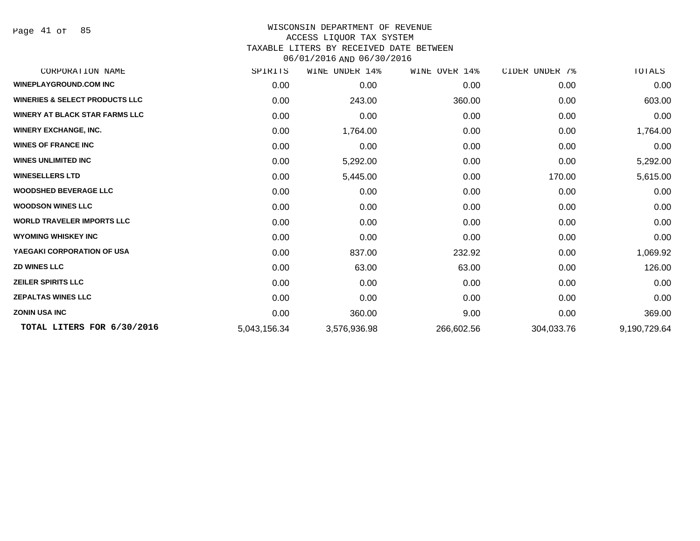Page 41 of 85

| CORPORATION NAME                          | SPIRITS      | WINE<br>UNDER 14% | WINE OVER 14% | CIDER UNDER 7% | TOTALS       |
|-------------------------------------------|--------------|-------------------|---------------|----------------|--------------|
| <b>WINEPLAYGROUND.COM INC</b>             | 0.00         | 0.00              | 0.00          | 0.00           | 0.00         |
| <b>WINERIES &amp; SELECT PRODUCTS LLC</b> | 0.00         | 243.00            | 360.00        | 0.00           | 603.00       |
| <b>WINERY AT BLACK STAR FARMS LLC</b>     | 0.00         | 0.00              | 0.00          | 0.00           | 0.00         |
| <b>WINERY EXCHANGE, INC.</b>              | 0.00         | 1,764.00          | 0.00          | 0.00           | 1,764.00     |
| <b>WINES OF FRANCE INC</b>                | 0.00         | 0.00              | 0.00          | 0.00           | 0.00         |
| <b>WINES UNLIMITED INC</b>                | 0.00         | 5,292.00          | 0.00          | 0.00           | 5,292.00     |
| <b>WINESELLERS LTD</b>                    | 0.00         | 5,445.00          | 0.00          | 170.00         | 5,615.00     |
| <b>WOODSHED BEVERAGE LLC</b>              | 0.00         | 0.00              | 0.00          | 0.00           | 0.00         |
| <b>WOODSON WINES LLC</b>                  | 0.00         | 0.00              | 0.00          | 0.00           | 0.00         |
| <b>WORLD TRAVELER IMPORTS LLC</b>         | 0.00         | 0.00              | 0.00          | 0.00           | 0.00         |
| <b>WYOMING WHISKEY INC</b>                | 0.00         | 0.00              | 0.00          | 0.00           | 0.00         |
| YAEGAKI CORPORATION OF USA                | 0.00         | 837.00            | 232.92        | 0.00           | 1,069.92     |
| <b>ZD WINES LLC</b>                       | 0.00         | 63.00             | 63.00         | 0.00           | 126.00       |
| <b>ZEILER SPIRITS LLC</b>                 | 0.00         | 0.00              | 0.00          | 0.00           | 0.00         |
| <b>ZEPALTAS WINES LLC</b>                 | 0.00         | 0.00              | 0.00          | 0.00           | 0.00         |
| <b>ZONIN USA INC</b>                      | 0.00         | 360.00            | 9.00          | 0.00           | 369.00       |
| TOTAL LITERS FOR 6/30/2016                | 5,043,156.34 | 3,576,936.98      | 266,602.56    | 304,033.76     | 9,190,729.64 |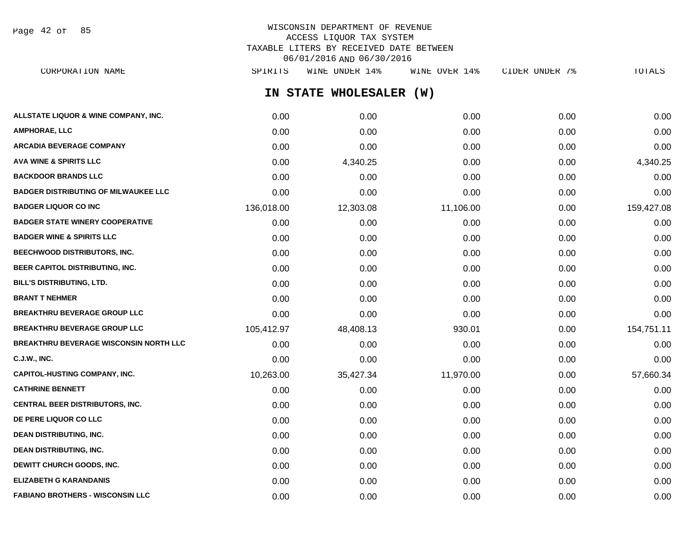Page 42 of 85

# WISCONSIN DEPARTMENT OF REVENUE ACCESS LIQUOR TAX SYSTEM TAXABLE LITERS BY RECEIVED DATE BETWEEN 06/01/2016 AND 06/30/2016

**IN STATE WHOLESALER (W) ALLSTATE LIQUOR & WINE COMPANY, INC.**  $0.00$   $0.00$   $0.00$   $0.00$   $0.00$   $0.00$   $0.00$   $0.00$   $0.00$   $0.00$   $0.00$   $0.00$ **AMPHORAE, LLC** 0.00 0.00 0.00 0.00 0.00 **ARCADIA BEVERAGE COMPANY** 0.00 0.00 0.00 0.00 0.00 **AVA WINE & SPIRITS LLC** 0.00 4,340.25 0.00 0.00 4,340.25 **BACKDOOR BRANDS LLC** 0.00 0.00 0.00 0.00 0.00 **BADGER DISTRIBUTING OF MILWAUKEE LLC** 0.00 0.00 0.00 0.00 0.00 **BADGER LIQUOR CO INC** 136,018.00 12,303.08 11,106.00 0.00 159,427.08 **BADGER STATE WINERY COOPERATIVE** 0.00 0.00 0.00 0.00 0.00 **BADGER WINE & SPIRITS LLC**  $\begin{array}{ccc} 0.00 & 0.00 & 0.00 \\ 0.00 & 0.00 & 0.00 \end{array}$ **BEECHWOOD DISTRIBUTORS, INC.** 0.00 0.00 0.00 0.00 0.00 **BEER CAPITOL DISTRIBUTING, INC.** 0.00 0.00 0.00 0.00 0.00 **BILL'S DISTRIBUTING, LTD.** 0.00 0.00 0.00 0.00 0.00 **BRANT T NEHMER** 0.00 0.00 0.00 0.00 0.00 **BREAKTHRU BEVERAGE GROUP LLC** 0.00 0.00 0.00 0.00 0.00 **BREAKTHRU BEVERAGE GROUP LLC** 105,412.97 48,408.13 930.01 0.00 154,751.11 **BREAKTHRU BEVERAGE WISCONSIN NORTH LLC** 0.00 0.00 0.00 0.00 0.00 **C.J.W., INC.** 0.00 0.00 0.00 0.00 0.00 **CAPITOL-HUSTING COMPANY, INC.** 10,263.00 35,427.34 11,970.00 0.00 57,660.34 **CATHRINE BENNETT** 0.00 0.00 0.00 0.00 0.00 **CENTRAL BEER DISTRIBUTORS, INC.** 0.00 0.00 0.00 0.00 0.00 **DE PERE LIQUOR CO LLC** 0.00 0.00 0.00 0.00 0.00 **DEAN DISTRIBUTING, INC.** 0.00 0.00 0.00 0.00 0.00 **DEAN DISTRIBUTING, INC.** 0.00 0.00 0.00 0.00 0.00 **DEWITT CHURCH GOODS, INC.** 0.00 0.00 0.00 0.00 0.00 **ELIZABETH G KARANDANIS** 0.00 0.00 0.00 0.00 0.00 CORPORATION NAME SPIRITS WINE UNDER 14% WINE OVER 14% CIDER UNDER 7% TOTALS

**FABIANO BROTHERS - WISCONSIN LLC** 0.00 0.00 0.00 0.00 0.00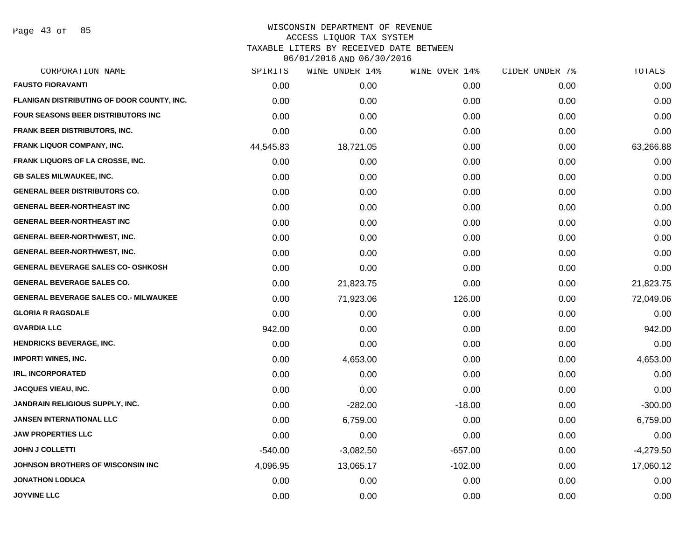Page 43 of 85

| CORPORATION NAME                             | SPIRITS   | WINE UNDER 14% | WINE OVER 14% | CIDER UNDER 7% | TOTALS      |
|----------------------------------------------|-----------|----------------|---------------|----------------|-------------|
| <b>FAUSTO FIORAVANTI</b>                     | 0.00      | 0.00           | 0.00          | 0.00           | 0.00        |
| FLANIGAN DISTRIBUTING OF DOOR COUNTY, INC.   | 0.00      | 0.00           | 0.00          | 0.00           | 0.00        |
| <b>FOUR SEASONS BEER DISTRIBUTORS INC</b>    | 0.00      | 0.00           | 0.00          | 0.00           | 0.00        |
| FRANK BEER DISTRIBUTORS, INC.                | 0.00      | 0.00           | 0.00          | 0.00           | 0.00        |
| <b>FRANK LIQUOR COMPANY, INC.</b>            | 44,545.83 | 18,721.05      | 0.00          | 0.00           | 63,266.88   |
| <b>FRANK LIQUORS OF LA CROSSE, INC.</b>      | 0.00      | 0.00           | 0.00          | 0.00           | 0.00        |
| <b>GB SALES MILWAUKEE, INC.</b>              | 0.00      | 0.00           | 0.00          | 0.00           | 0.00        |
| <b>GENERAL BEER DISTRIBUTORS CO.</b>         | 0.00      | 0.00           | 0.00          | 0.00           | 0.00        |
| <b>GENERAL BEER-NORTHEAST INC</b>            | 0.00      | 0.00           | 0.00          | 0.00           | 0.00        |
| <b>GENERAL BEER-NORTHEAST INC</b>            | 0.00      | 0.00           | 0.00          | 0.00           | 0.00        |
| <b>GENERAL BEER-NORTHWEST, INC.</b>          | 0.00      | 0.00           | 0.00          | 0.00           | 0.00        |
| <b>GENERAL BEER-NORTHWEST, INC.</b>          | 0.00      | 0.00           | 0.00          | 0.00           | 0.00        |
| <b>GENERAL BEVERAGE SALES CO- OSHKOSH</b>    | 0.00      | 0.00           | 0.00          | 0.00           | 0.00        |
| <b>GENERAL BEVERAGE SALES CO.</b>            | 0.00      | 21,823.75      | 0.00          | 0.00           | 21,823.75   |
| <b>GENERAL BEVERAGE SALES CO.- MILWAUKEE</b> | 0.00      | 71,923.06      | 126.00        | 0.00           | 72,049.06   |
| <b>GLORIA R RAGSDALE</b>                     | 0.00      | 0.00           | 0.00          | 0.00           | 0.00        |
| <b>GVARDIA LLC</b>                           | 942.00    | 0.00           | 0.00          | 0.00           | 942.00      |
| HENDRICKS BEVERAGE, INC.                     | 0.00      | 0.00           | 0.00          | 0.00           | 0.00        |
| <b>IMPORT! WINES, INC.</b>                   | 0.00      | 4,653.00       | 0.00          | 0.00           | 4,653.00    |
| <b>IRL, INCORPORATED</b>                     | 0.00      | 0.00           | 0.00          | 0.00           | 0.00        |
| JACQUES VIEAU, INC.                          | 0.00      | 0.00           | 0.00          | 0.00           | 0.00        |
| JANDRAIN RELIGIOUS SUPPLY, INC.              | 0.00      | $-282.00$      | $-18.00$      | 0.00           | $-300.00$   |
| <b>JANSEN INTERNATIONAL LLC</b>              | 0.00      | 6,759.00       | 0.00          | 0.00           | 6,759.00    |
| <b>JAW PROPERTIES LLC</b>                    | 0.00      | 0.00           | 0.00          | 0.00           | 0.00        |
| <b>JOHN J COLLETTI</b>                       | $-540.00$ | $-3,082.50$    | $-657.00$     | 0.00           | $-4,279.50$ |
| <b>JOHNSON BROTHERS OF WISCONSIN INC</b>     | 4,096.95  | 13,065.17      | $-102.00$     | 0.00           | 17,060.12   |
| <b>JONATHON LODUCA</b>                       | 0.00      | 0.00           | 0.00          | 0.00           | 0.00        |
| <b>JOYVINE LLC</b>                           | 0.00      | 0.00           | 0.00          | 0.00           | 0.00        |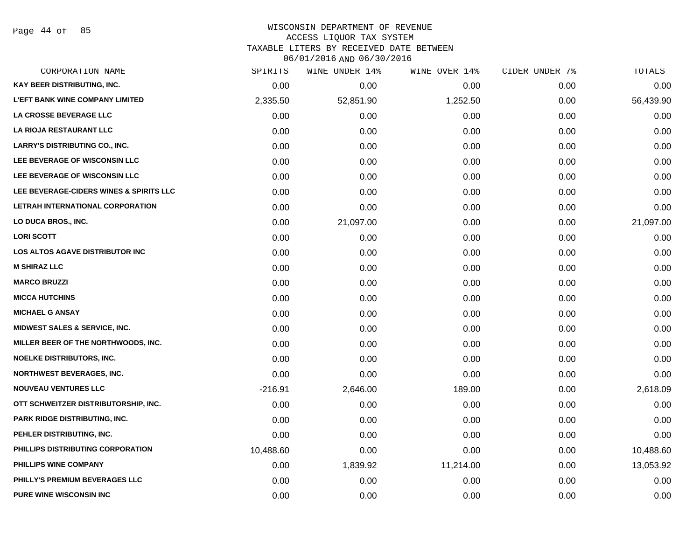Page 44 of 85

# WISCONSIN DEPARTMENT OF REVENUE ACCESS LIQUOR TAX SYSTEM

TAXABLE LITERS BY RECEIVED DATE BETWEEN

| CORPORATION NAME                         | SPIRITS   | WINE UNDER 14% | WINE OVER 14% | CIDER UNDER 7% | TOTALS    |
|------------------------------------------|-----------|----------------|---------------|----------------|-----------|
| KAY BEER DISTRIBUTING, INC.              | 0.00      | 0.00           | 0.00          | 0.00           | 0.00      |
| <b>L'EFT BANK WINE COMPANY LIMITED</b>   | 2,335.50  | 52,851.90      | 1,252.50      | 0.00           | 56,439.90 |
| LA CROSSE BEVERAGE LLC                   | 0.00      | 0.00           | 0.00          | 0.00           | 0.00      |
| LA RIOJA RESTAURANT LLC                  | 0.00      | 0.00           | 0.00          | 0.00           | 0.00      |
| <b>LARRY'S DISTRIBUTING CO., INC.</b>    | 0.00      | 0.00           | 0.00          | 0.00           | 0.00      |
| LEE BEVERAGE OF WISCONSIN LLC            | 0.00      | 0.00           | 0.00          | 0.00           | 0.00      |
| LEE BEVERAGE OF WISCONSIN LLC            | 0.00      | 0.00           | 0.00          | 0.00           | 0.00      |
| LEE BEVERAGE-CIDERS WINES & SPIRITS LLC  | 0.00      | 0.00           | 0.00          | 0.00           | 0.00      |
| LETRAH INTERNATIONAL CORPORATION         | 0.00      | 0.00           | 0.00          | 0.00           | 0.00      |
| LO DUCA BROS., INC.                      | 0.00      | 21,097.00      | 0.00          | 0.00           | 21,097.00 |
| <b>LORI SCOTT</b>                        | 0.00      | 0.00           | 0.00          | 0.00           | 0.00      |
| <b>LOS ALTOS AGAVE DISTRIBUTOR INC</b>   | 0.00      | 0.00           | 0.00          | 0.00           | 0.00      |
| <b>M SHIRAZ LLC</b>                      | 0.00      | 0.00           | 0.00          | 0.00           | 0.00      |
| <b>MARCO BRUZZI</b>                      | 0.00      | 0.00           | 0.00          | 0.00           | 0.00      |
| <b>MICCA HUTCHINS</b>                    | 0.00      | 0.00           | 0.00          | 0.00           | 0.00      |
| <b>MICHAEL G ANSAY</b>                   | 0.00      | 0.00           | 0.00          | 0.00           | 0.00      |
| <b>MIDWEST SALES &amp; SERVICE, INC.</b> | 0.00      | 0.00           | 0.00          | 0.00           | 0.00      |
| MILLER BEER OF THE NORTHWOODS, INC.      | 0.00      | 0.00           | 0.00          | 0.00           | 0.00      |
| <b>NOELKE DISTRIBUTORS, INC.</b>         | 0.00      | 0.00           | 0.00          | 0.00           | 0.00      |
| <b>NORTHWEST BEVERAGES, INC.</b>         | 0.00      | 0.00           | 0.00          | 0.00           | 0.00      |
| <b>NOUVEAU VENTURES LLC</b>              | $-216.91$ | 2,646.00       | 189.00        | 0.00           | 2,618.09  |
| OTT SCHWEITZER DISTRIBUTORSHIP, INC.     | 0.00      | 0.00           | 0.00          | 0.00           | 0.00      |
| PARK RIDGE DISTRIBUTING, INC.            | 0.00      | 0.00           | 0.00          | 0.00           | 0.00      |
| PEHLER DISTRIBUTING, INC.                | 0.00      | 0.00           | 0.00          | 0.00           | 0.00      |
| PHILLIPS DISTRIBUTING CORPORATION        | 10,488.60 | 0.00           | 0.00          | 0.00           | 10,488.60 |
| PHILLIPS WINE COMPANY                    | 0.00      | 1,839.92       | 11,214.00     | 0.00           | 13,053.92 |
| PHILLY'S PREMIUM BEVERAGES LLC           | 0.00      | 0.00           | 0.00          | 0.00           | 0.00      |
| <b>PURE WINE WISCONSIN INC</b>           | 0.00      | 0.00           | 0.00          | 0.00           | 0.00      |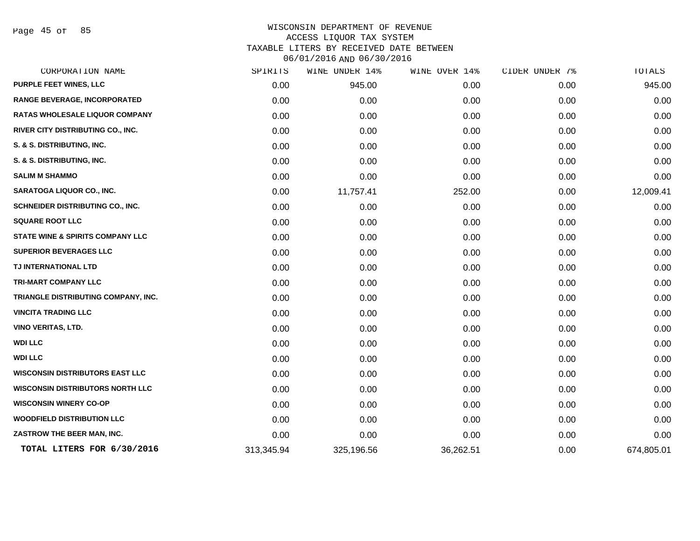Page 45 of 85

| CORPORATION NAME                            | SPIRITS    | UNDER 14%<br>WINE | WINE OVER 14% | CIDER UNDER 7% | TOTALS     |
|---------------------------------------------|------------|-------------------|---------------|----------------|------------|
| PURPLE FEET WINES, LLC                      | 0.00       | 945.00            | 0.00          | 0.00           | 945.00     |
| RANGE BEVERAGE, INCORPORATED                | 0.00       | 0.00              | 0.00          | 0.00           | 0.00       |
| <b>RATAS WHOLESALE LIQUOR COMPANY</b>       | 0.00       | 0.00              | 0.00          | 0.00           | 0.00       |
| RIVER CITY DISTRIBUTING CO., INC.           | 0.00       | 0.00              | 0.00          | 0.00           | 0.00       |
| S. & S. DISTRIBUTING, INC.                  | 0.00       | 0.00              | 0.00          | 0.00           | 0.00       |
| S. & S. DISTRIBUTING, INC.                  | 0.00       | 0.00              | 0.00          | 0.00           | 0.00       |
| <b>SALIM M SHAMMO</b>                       | 0.00       | 0.00              | 0.00          | 0.00           | 0.00       |
| <b>SARATOGA LIQUOR CO., INC.</b>            | 0.00       | 11,757.41         | 252.00        | 0.00           | 12,009.41  |
| SCHNEIDER DISTRIBUTING CO., INC.            | 0.00       | 0.00              | 0.00          | 0.00           | 0.00       |
| <b>SQUARE ROOT LLC</b>                      | 0.00       | 0.00              | 0.00          | 0.00           | 0.00       |
| <b>STATE WINE &amp; SPIRITS COMPANY LLC</b> | 0.00       | 0.00              | 0.00          | 0.00           | 0.00       |
| <b>SUPERIOR BEVERAGES LLC</b>               | 0.00       | 0.00              | 0.00          | 0.00           | 0.00       |
| TJ INTERNATIONAL LTD                        | 0.00       | 0.00              | 0.00          | 0.00           | 0.00       |
| TRI-MART COMPANY LLC                        | 0.00       | 0.00              | 0.00          | 0.00           | 0.00       |
| TRIANGLE DISTRIBUTING COMPANY, INC.         | 0.00       | 0.00              | 0.00          | 0.00           | 0.00       |
| <b>VINCITA TRADING LLC</b>                  | 0.00       | 0.00              | 0.00          | 0.00           | 0.00       |
| <b>VINO VERITAS, LTD.</b>                   | 0.00       | 0.00              | 0.00          | 0.00           | 0.00       |
| <b>WDI LLC</b>                              | 0.00       | 0.00              | 0.00          | 0.00           | 0.00       |
| <b>WDI LLC</b>                              | 0.00       | 0.00              | 0.00          | 0.00           | 0.00       |
| <b>WISCONSIN DISTRIBUTORS EAST LLC</b>      | 0.00       | 0.00              | 0.00          | 0.00           | 0.00       |
| <b>WISCONSIN DISTRIBUTORS NORTH LLC</b>     | 0.00       | 0.00              | 0.00          | 0.00           | 0.00       |
| <b>WISCONSIN WINERY CO-OP</b>               | 0.00       | 0.00              | 0.00          | 0.00           | 0.00       |
| <b>WOODFIELD DISTRIBUTION LLC</b>           | 0.00       | 0.00              | 0.00          | 0.00           | 0.00       |
| ZASTROW THE BEER MAN, INC.                  | 0.00       | 0.00              | 0.00          | 0.00           | 0.00       |
| TOTAL LITERS FOR 6/30/2016                  | 313,345.94 | 325,196.56        | 36,262.51     | 0.00           | 674,805.01 |
|                                             |            |                   |               |                |            |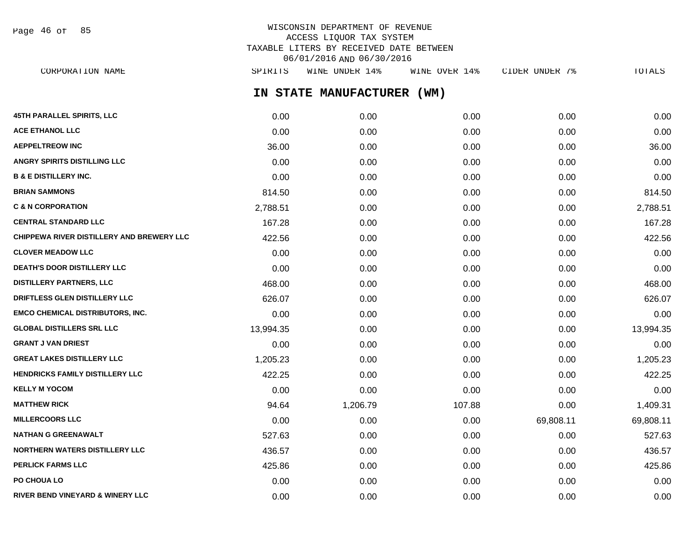Page 46 of 85

# WISCONSIN DEPARTMENT OF REVENUE ACCESS LIQUOR TAX SYSTEM TAXABLE LITERS BY RECEIVED DATE BETWEEN 06/01/2016 AND 06/30/2016

**IN STATE MANUFACTURER (WM) 45TH PARALLEL SPIRITS, LLC** 0.00 0.00 0.00 0.00 0.00 **ACE ETHANOL LLC** 0.00 0.00 0.00 0.00 0.00 **AEPPELTREOW INC** 36.00 0.00 0.00 0.00 36.00 **ANGRY SPIRITS DISTILLING LLC** 0.00 0.00 0.00 0.00 0.00 **B & E DISTILLERY INC.** 0.00 0.00 0.00 0.00 0.00 **BRIAN SAMMONS** 814.50 0.00 0.00 0.00 814.50 **C & N CORPORATION** 2,788.51 0.00 0.00 0.00 2,788.51 **CENTRAL STANDARD LLC** 167.28 0.00 0.00 0.00 167.28 **CHIPPEWA RIVER DISTILLERY AND BREWERY LLC**  $422.56$  0.00 0.00 0.00 0.00 0.00 0.00 422.56 **CLOVER MEADOW LLC** 0.00 0.00 0.00 0.00 0.00 **DEATH'S DOOR DISTILLERY LLC**  $0.00$   $0.00$   $0.00$   $0.00$   $0.00$   $0.00$   $0.00$   $0.00$   $0.00$   $0.00$   $0.00$   $0.00$   $0.00$   $0.00$   $0.00$   $0.00$   $0.00$   $0.00$   $0.00$   $0.00$   $0.00$   $0.00$   $0.00$   $0.00$   $0.00$   $0.00$   $0.00$   $0.$ **DISTILLERY PARTNERS, LLC** 468.00 0.00 0.00 0.00 468.00 **DRIFTLESS GLEN DISTILLERY LLC** 626.07 0.00 0.00 0.00 626.07 **EMCO CHEMICAL DISTRIBUTORS, INC.** 0.00 0.00 0.00 0.00 0.00 **GLOBAL DISTILLERS SRL LLC** 13,994.35 0.00 0.00 0.00 13,994.35 **GRANT J VAN DRIEST** 0.00 0.00 0.00 0.00 0.00 **GREAT LAKES DISTILLERY LLC** 1,205.23 0.00 0.00 0.00 1,205.23 **HENDRICKS FAMILY DISTILLERY LLC** 422.25 0.00 0.00 0.00 422.25 **KELLY M YOCOM** 0.00 0.00 0.00 0.00 0.00 MATTHEW RICK 94.64 1,206.79 107.88 0.00 1,409.31 **MILLERCOORS LLC** 69,808.11 69,808.11 69,808.11 69,808.11 69,808.11 69,808.11 69,808.11 69,808.11 **69,808.11 NATHAN G GREENAWALT** 527.63 0.00 0.00 0.00 527.63 **NORTHERN WATERS DISTILLERY LLC** 436.57 0.00 0.00 0.00 436.57 **PERLICK FARMS LLC** 425.86 0.00 0.00 0.00 425.86 **PO CHOUA LO** 0.00 0.00 0.00 0.00 0.00 CORPORATION NAME SPIRITS WINE UNDER 14% WINE OVER 14% CIDER UNDER 7% TOTALS

**RIVER BEND VINEYARD & WINERY LLC** 0.00 0.00 0.00 0.00 0.00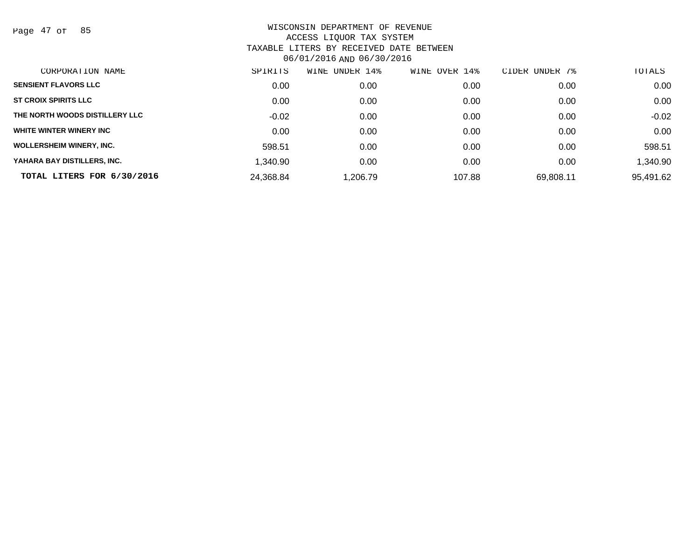Page 47 of 85

| CORPORATION NAME                | SPIRITS   | UNDER 14%<br>WINE | WINE OVER 14% | CIDER UNDER 7% | TOTALS    |
|---------------------------------|-----------|-------------------|---------------|----------------|-----------|
| <b>SENSIENT FLAVORS LLC</b>     | 0.00      | 0.00              | 0.00          | 0.00           | 0.00      |
| <b>ST CROIX SPIRITS LLC</b>     | 0.00      | 0.00              | 0.00          | 0.00           | 0.00      |
| THE NORTH WOODS DISTILLERY LLC  | $-0.02$   | 0.00              | 0.00          | 0.00           | $-0.02$   |
| WHITE WINTER WINERY INC         | 0.00      | 0.00              | 0.00          | 0.00           | 0.00      |
| <b>WOLLERSHEIM WINERY, INC.</b> | 598.51    | 0.00              | 0.00          | 0.00           | 598.51    |
| YAHARA BAY DISTILLERS, INC.     | 1,340.90  | 0.00              | 0.00          | 0.00           | 1,340.90  |
| TOTAL LITERS FOR 6/30/2016      | 24,368.84 | 1.206.79          | 107.88        | 69,808.11      | 95,491.62 |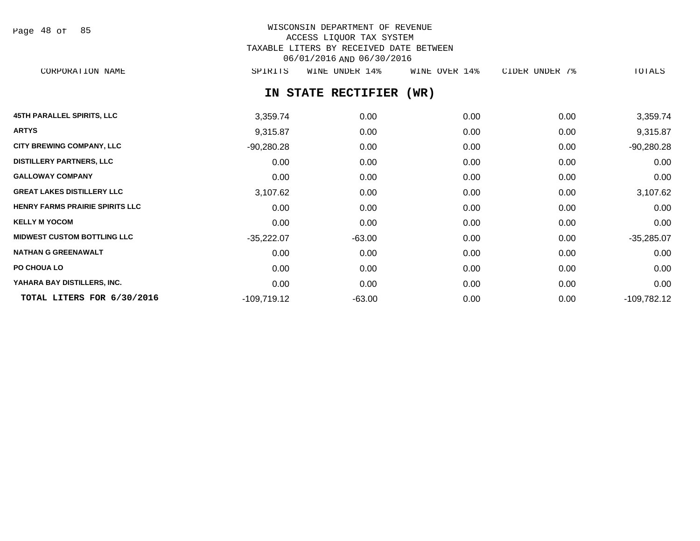| Page | 48 of |  | 85 |
|------|-------|--|----|
|------|-------|--|----|

# WISCONSIN DEPARTMENT OF REVENUE ACCESS LIQUOR TAX SYSTEM TAXABLE LITERS BY RECEIVED DATE BETWEEN 06/01/2016 AND 06/30/2016

CORPORATION NAME SPIRITS WINE UNDER 14% WINE OVER 14% CIDER UNDER 7% TOTALS

**IN STATE RECTIFIER (WR)**

| <b>45TH PARALLEL SPIRITS, LLC</b>      | 3,359.74      | 0.00     | 0.00 | 0.00 | 3,359.74      |
|----------------------------------------|---------------|----------|------|------|---------------|
| <b>ARTYS</b>                           | 9,315.87      | 0.00     | 0.00 | 0.00 | 9,315.87      |
| <b>CITY BREWING COMPANY, LLC</b>       | $-90,280.28$  | 0.00     | 0.00 | 0.00 | $-90,280.28$  |
| <b>DISTILLERY PARTNERS, LLC</b>        | 0.00          | 0.00     | 0.00 | 0.00 | 0.00          |
| <b>GALLOWAY COMPANY</b>                | 0.00          | 0.00     | 0.00 | 0.00 | 0.00          |
| <b>GREAT LAKES DISTILLERY LLC</b>      | 3,107.62      | 0.00     | 0.00 | 0.00 | 3,107.62      |
| <b>HENRY FARMS PRAIRIE SPIRITS LLC</b> | 0.00          | 0.00     | 0.00 | 0.00 | 0.00          |
| <b>KELLY M YOCOM</b>                   | 0.00          | 0.00     | 0.00 | 0.00 | 0.00          |
| <b>MIDWEST CUSTOM BOTTLING LLC</b>     | $-35,222.07$  | $-63.00$ | 0.00 | 0.00 | $-35,285.07$  |
| <b>NATHAN G GREENAWALT</b>             | 0.00          | 0.00     | 0.00 | 0.00 | 0.00          |
| PO CHOUA LO                            | 0.00          | 0.00     | 0.00 | 0.00 | 0.00          |
| YAHARA BAY DISTILLERS, INC.            | 0.00          | 0.00     | 0.00 | 0.00 | 0.00          |
| TOTAL LITERS FOR 6/30/2016             | $-109,719.12$ | $-63.00$ | 0.00 | 0.00 | $-109,782.12$ |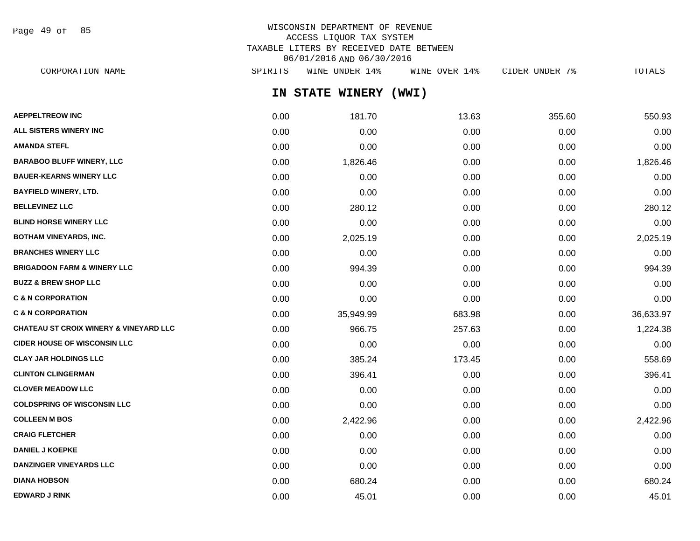Page 49 of 85

# WISCONSIN DEPARTMENT OF REVENUE ACCESS LIQUOR TAX SYSTEM TAXABLE LITERS BY RECEIVED DATE BETWEEN 06/01/2016 AND 06/30/2016

**IN STATE WINERY (WWI) AEPPELTREOW INC** 0.00 181.70 13.63 355.60 550.93 **ALL SISTERS WINERY INC** 0.00 0.00 0.00 0.00 0.00 **AMANDA STEFL** 0.00 0.00 0.00 0.00 0.00 **BARABOO BLUFF WINERY, LLC** 0.00 1,826.46 0.00 0.00 1,826.46 **BAUER-KEARNS WINERY LLC** 0.00 0.00 0.00 0.00 0.00 **BAYFIELD WINERY, LTD.** 0.00 0.00 0.00 0.00 0.00 **BELLEVINEZ LLC** 0.00 280.12 0.00 0.00 280.12 **BLIND HORSE WINERY LLC** 0.00 0.00 0.00 0.00 0.00 **BOTHAM VINEYARDS, INC.** 0.00 2,025.19 0.00 0.00 2,025.19 **BRANCHES WINERY LLC** 0.00 0.00 0.00 0.00 0.00 **BRIGADOON FARM & WINERY LLC** 0.00 994.39 0.00 0.00 994.39 **BUZZ & BREW SHOP LLC**  $\begin{array}{ccccccc} 0.00 & 0.00 & 0.00 & 0.00 & 0.00 & 0.00 & 0.00 & 0.00 & 0.00 & 0.00 & 0.00 & 0.00 & 0.00 & 0.00 & 0.00 & 0.00 & 0.00 & 0.00 & 0.00 & 0.00 & 0.00 & 0.00 & 0.00 & 0.00 & 0.00 & 0.00 & 0.00 & 0.00 & 0.00 & 0.00 & 0.00 & 0.0$ **C & N CORPORATION** 0.00 0.00 0.00 0.00 0.00 **C & N CORPORATION** 0.00 35,949.99 683.98 0.00 36,633.97 **CHATEAU ST CROIX WINERY & VINEYARD LLC** 0.00 966.75 257.63 0.00 1,224.38 **CIDER HOUSE OF WISCONSIN LLC** 0.00 0.00 0.00 0.00 0.00 **CLAY JAR HOLDINGS LLC** 0.00 385.24 173.45 0.00 558.69 **CLINTON CLINGERMAN** 0.00 396.41 0.00 0.00 396.41 **CLOVER MEADOW LLC** 0.00 0.00 0.00 0.00 0.00 **COLDSPRING OF WISCONSIN LLC** 0.00 0.00 0.00 0.00 0.00 **COLLEEN M BOS** 0.00 2,422.96 0.00 0.00 2,422.96 **CRAIG FLETCHER** 0.00 0.00 0.00 0.00 0.00 **DANIEL J KOEPKE** 0.00 0.00 0.00 0.00 0.00 CORPORATION NAME SPIRITS WINE UNDER 14% WINE OVER 14% CIDER UNDER 7% TOTALS

**DANZINGER VINEYARDS LLC** 0.00 0.00 0.00 0.00 0.00 **DIANA HOBSON** 0.00 680.24 0.00 0.00 680.24 **EDWARD J RINK** 0.00 45.01 0.00 0.00 45.01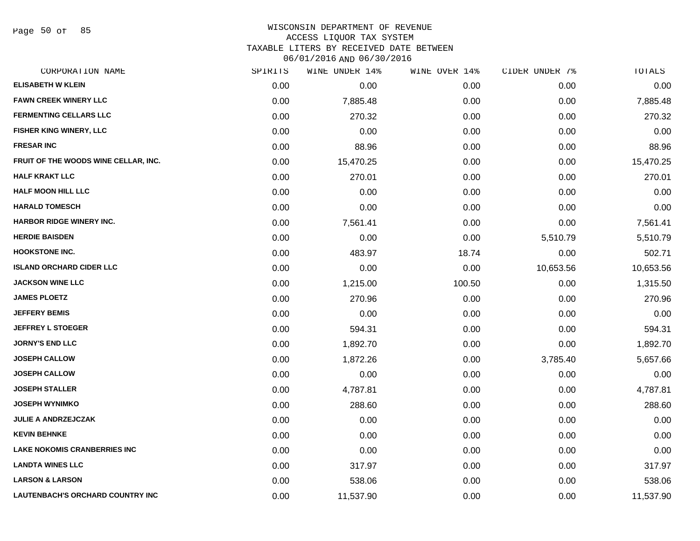Page 50 of 85

# WISCONSIN DEPARTMENT OF REVENUE

ACCESS LIQUOR TAX SYSTEM

TAXABLE LITERS BY RECEIVED DATE BETWEEN

| CORPORATION NAME                     | SPIRITS | WINE UNDER 14% | WINE OVER 14% | CIDER UNDER 7% | TOTALS    |
|--------------------------------------|---------|----------------|---------------|----------------|-----------|
| <b>ELISABETH W KLEIN</b>             | 0.00    | 0.00           | 0.00          | 0.00           | 0.00      |
| <b>FAWN CREEK WINERY LLC</b>         | 0.00    | 7,885.48       | 0.00          | 0.00           | 7,885.48  |
| <b>FERMENTING CELLARS LLC</b>        | 0.00    | 270.32         | 0.00          | 0.00           | 270.32    |
| FISHER KING WINERY, LLC              | 0.00    | 0.00           | 0.00          | 0.00           | 0.00      |
| <b>FRESAR INC</b>                    | 0.00    | 88.96          | 0.00          | 0.00           | 88.96     |
| FRUIT OF THE WOODS WINE CELLAR, INC. | 0.00    | 15,470.25      | 0.00          | 0.00           | 15,470.25 |
| <b>HALF KRAKT LLC</b>                | 0.00    | 270.01         | 0.00          | 0.00           | 270.01    |
| <b>HALF MOON HILL LLC</b>            | 0.00    | 0.00           | 0.00          | 0.00           | 0.00      |
| <b>HARALD TOMESCH</b>                | 0.00    | 0.00           | 0.00          | 0.00           | 0.00      |
| <b>HARBOR RIDGE WINERY INC.</b>      | 0.00    | 7,561.41       | 0.00          | 0.00           | 7,561.41  |
| <b>HERDIE BAISDEN</b>                | 0.00    | 0.00           | 0.00          | 5,510.79       | 5,510.79  |
| <b>HOOKSTONE INC.</b>                | 0.00    | 483.97         | 18.74         | 0.00           | 502.71    |
| <b>ISLAND ORCHARD CIDER LLC</b>      | 0.00    | 0.00           | 0.00          | 10,653.56      | 10,653.56 |
| <b>JACKSON WINE LLC</b>              | 0.00    | 1,215.00       | 100.50        | 0.00           | 1,315.50  |
| <b>JAMES PLOETZ</b>                  | 0.00    | 270.96         | 0.00          | 0.00           | 270.96    |
| <b>JEFFERY BEMIS</b>                 | 0.00    | 0.00           | 0.00          | 0.00           | 0.00      |
| <b>JEFFREY L STOEGER</b>             | 0.00    | 594.31         | 0.00          | 0.00           | 594.31    |
| <b>JORNY'S END LLC</b>               | 0.00    | 1,892.70       | 0.00          | 0.00           | 1,892.70  |
| <b>JOSEPH CALLOW</b>                 | 0.00    | 1,872.26       | 0.00          | 3,785.40       | 5,657.66  |
| <b>JOSEPH CALLOW</b>                 | 0.00    | 0.00           | 0.00          | 0.00           | 0.00      |
| <b>JOSEPH STALLER</b>                | 0.00    | 4,787.81       | 0.00          | 0.00           | 4,787.81  |
| <b>JOSEPH WYNIMKO</b>                | 0.00    | 288.60         | 0.00          | 0.00           | 288.60    |
| <b>JULIE A ANDRZEJCZAK</b>           | 0.00    | 0.00           | 0.00          | 0.00           | 0.00      |
| <b>KEVIN BEHNKE</b>                  | 0.00    | 0.00           | 0.00          | 0.00           | 0.00      |
| <b>LAKE NOKOMIS CRANBERRIES INC</b>  | 0.00    | 0.00           | 0.00          | 0.00           | 0.00      |
| <b>LANDTA WINES LLC</b>              | 0.00    | 317.97         | 0.00          | 0.00           | 317.97    |
| <b>LARSON &amp; LARSON</b>           | 0.00    | 538.06         | 0.00          | 0.00           | 538.06    |
| LAUTENBACH'S ORCHARD COUNTRY INC     | 0.00    | 11,537.90      | 0.00          | 0.00           | 11,537.90 |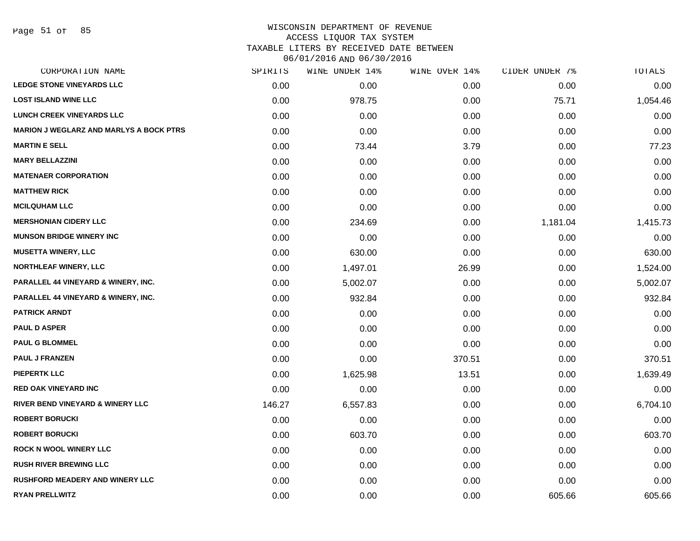#### WISCONSIN DEPARTMENT OF REVENUE ACCESS LIQUOR TAX SYSTEM

TAXABLE LITERS BY RECEIVED DATE BETWEEN

| CORPORATION NAME                               | SPIRITS | WINE UNDER 14% | WINE OVER 14% | CIDER UNDER 7% | TOTALS   |
|------------------------------------------------|---------|----------------|---------------|----------------|----------|
| <b>LEDGE STONE VINEYARDS LLC</b>               | 0.00    | 0.00           | 0.00          | 0.00           | 0.00     |
| <b>LOST ISLAND WINE LLC</b>                    | 0.00    | 978.75         | 0.00          | 75.71          | 1,054.46 |
| <b>LUNCH CREEK VINEYARDS LLC</b>               | 0.00    | 0.00           | 0.00          | 0.00           | 0.00     |
| <b>MARION J WEGLARZ AND MARLYS A BOCK PTRS</b> | 0.00    | 0.00           | 0.00          | 0.00           | 0.00     |
| <b>MARTIN E SELL</b>                           | 0.00    | 73.44          | 3.79          | 0.00           | 77.23    |
| <b>MARY BELLAZZINI</b>                         | 0.00    | 0.00           | 0.00          | 0.00           | 0.00     |
| <b>MATENAER CORPORATION</b>                    | 0.00    | 0.00           | 0.00          | 0.00           | 0.00     |
| <b>MATTHEW RICK</b>                            | 0.00    | 0.00           | 0.00          | 0.00           | 0.00     |
| <b>MCILQUHAM LLC</b>                           | 0.00    | 0.00           | 0.00          | 0.00           | 0.00     |
| <b>MERSHONIAN CIDERY LLC</b>                   | 0.00    | 234.69         | 0.00          | 1,181.04       | 1,415.73 |
| <b>MUNSON BRIDGE WINERY INC</b>                | 0.00    | 0.00           | 0.00          | 0.00           | 0.00     |
| <b>MUSETTA WINERY, LLC</b>                     | 0.00    | 630.00         | 0.00          | 0.00           | 630.00   |
| NORTHLEAF WINERY, LLC                          | 0.00    | 1,497.01       | 26.99         | 0.00           | 1,524.00 |
| <b>PARALLEL 44 VINEYARD &amp; WINERY, INC.</b> | 0.00    | 5,002.07       | 0.00          | 0.00           | 5,002.07 |
| <b>PARALLEL 44 VINEYARD &amp; WINERY, INC.</b> | 0.00    | 932.84         | 0.00          | 0.00           | 932.84   |
| <b>PATRICK ARNDT</b>                           | 0.00    | 0.00           | 0.00          | 0.00           | 0.00     |
| <b>PAUL D ASPER</b>                            | 0.00    | 0.00           | 0.00          | 0.00           | 0.00     |
| <b>PAUL G BLOMMEL</b>                          | 0.00    | 0.00           | 0.00          | 0.00           | 0.00     |
| <b>PAUL J FRANZEN</b>                          | 0.00    | 0.00           | 370.51        | 0.00           | 370.51   |
| <b>PIEPERTK LLC</b>                            | 0.00    | 1,625.98       | 13.51         | 0.00           | 1,639.49 |
| <b>RED OAK VINEYARD INC</b>                    | 0.00    | 0.00           | 0.00          | 0.00           | 0.00     |
| RIVER BEND VINEYARD & WINERY LLC               | 146.27  | 6,557.83       | 0.00          | 0.00           | 6,704.10 |
| <b>ROBERT BORUCKI</b>                          | 0.00    | 0.00           | 0.00          | 0.00           | 0.00     |
| <b>ROBERT BORUCKI</b>                          | 0.00    | 603.70         | 0.00          | 0.00           | 603.70   |
| <b>ROCK N WOOL WINERY LLC</b>                  | 0.00    | 0.00           | 0.00          | 0.00           | 0.00     |
| <b>RUSH RIVER BREWING LLC</b>                  | 0.00    | 0.00           | 0.00          | 0.00           | 0.00     |
| <b>RUSHFORD MEADERY AND WINERY LLC</b>         | 0.00    | 0.00           | 0.00          | 0.00           | 0.00     |
| <b>RYAN PRELLWITZ</b>                          | 0.00    | 0.00           | 0.00          | 605.66         | 605.66   |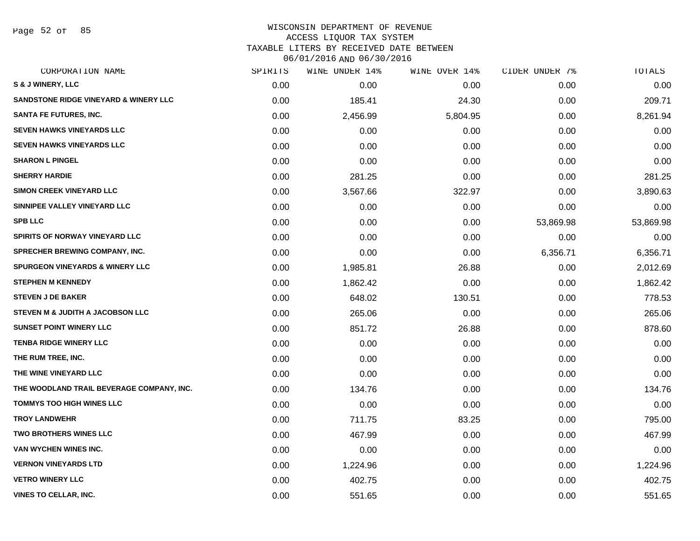Page 52 of 85

#### WISCONSIN DEPARTMENT OF REVENUE ACCESS LIQUOR TAX SYSTEM

TAXABLE LITERS BY RECEIVED DATE BETWEEN

| CORPORATION NAME                                 | SPIRITS | WINE UNDER 14% | WINE OVER 14% | CIDER UNDER 7% | TOTALS    |
|--------------------------------------------------|---------|----------------|---------------|----------------|-----------|
| <b>S &amp; J WINERY, LLC</b>                     | 0.00    | 0.00           | 0.00          | 0.00           | 0.00      |
| <b>SANDSTONE RIDGE VINEYARD &amp; WINERY LLC</b> | 0.00    | 185.41         | 24.30         | 0.00           | 209.71    |
| <b>SANTA FE FUTURES, INC.</b>                    | 0.00    | 2,456.99       | 5,804.95      | 0.00           | 8,261.94  |
| <b>SEVEN HAWKS VINEYARDS LLC</b>                 | 0.00    | 0.00           | 0.00          | 0.00           | 0.00      |
| <b>SEVEN HAWKS VINEYARDS LLC</b>                 | 0.00    | 0.00           | 0.00          | 0.00           | 0.00      |
| <b>SHARON L PINGEL</b>                           | 0.00    | 0.00           | 0.00          | 0.00           | 0.00      |
| <b>SHERRY HARDIE</b>                             | 0.00    | 281.25         | 0.00          | 0.00           | 281.25    |
| <b>SIMON CREEK VINEYARD LLC</b>                  | 0.00    | 3,567.66       | 322.97        | 0.00           | 3,890.63  |
| SINNIPEE VALLEY VINEYARD LLC                     | 0.00    | 0.00           | 0.00          | 0.00           | 0.00      |
| <b>SPB LLC</b>                                   | 0.00    | 0.00           | 0.00          | 53,869.98      | 53,869.98 |
| SPIRITS OF NORWAY VINEYARD LLC                   | 0.00    | 0.00           | 0.00          | 0.00           | 0.00      |
| SPRECHER BREWING COMPANY, INC.                   | 0.00    | 0.00           | 0.00          | 6,356.71       | 6,356.71  |
| <b>SPURGEON VINEYARDS &amp; WINERY LLC</b>       | 0.00    | 1,985.81       | 26.88         | 0.00           | 2,012.69  |
| <b>STEPHEN M KENNEDY</b>                         | 0.00    | 1,862.42       | 0.00          | 0.00           | 1,862.42  |
| <b>STEVEN J DE BAKER</b>                         | 0.00    | 648.02         | 130.51        | 0.00           | 778.53    |
| STEVEN M & JUDITH A JACOBSON LLC                 | 0.00    | 265.06         | 0.00          | 0.00           | 265.06    |
| <b>SUNSET POINT WINERY LLC</b>                   | 0.00    | 851.72         | 26.88         | 0.00           | 878.60    |
| <b>TENBA RIDGE WINERY LLC</b>                    | 0.00    | 0.00           | 0.00          | 0.00           | 0.00      |
| THE RUM TREE, INC.                               | 0.00    | 0.00           | 0.00          | 0.00           | 0.00      |
| THE WINE VINEYARD LLC                            | 0.00    | 0.00           | 0.00          | 0.00           | 0.00      |
| THE WOODLAND TRAIL BEVERAGE COMPANY, INC.        | 0.00    | 134.76         | 0.00          | 0.00           | 134.76    |
| <b>TOMMYS TOO HIGH WINES LLC</b>                 | 0.00    | 0.00           | 0.00          | 0.00           | 0.00      |
| <b>TROY LANDWEHR</b>                             | 0.00    | 711.75         | 83.25         | 0.00           | 795.00    |
| <b>TWO BROTHERS WINES LLC</b>                    | 0.00    | 467.99         | 0.00          | 0.00           | 467.99    |
| VAN WYCHEN WINES INC.                            | 0.00    | 0.00           | 0.00          | 0.00           | 0.00      |
| <b>VERNON VINEYARDS LTD</b>                      | 0.00    | 1,224.96       | 0.00          | 0.00           | 1,224.96  |
| <b>VETRO WINERY LLC</b>                          | 0.00    | 402.75         | 0.00          | 0.00           | 402.75    |
| <b>VINES TO CELLAR, INC.</b>                     | 0.00    | 551.65         | 0.00          | 0.00           | 551.65    |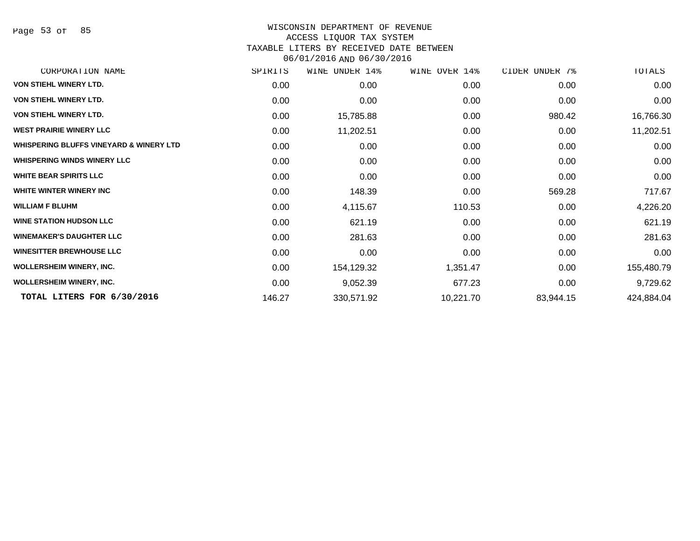Page 53 of 85

# WISCONSIN DEPARTMENT OF REVENUE

#### ACCESS LIQUOR TAX SYSTEM

TAXABLE LITERS BY RECEIVED DATE BETWEEN

| SPIRITS | WINE UNDER 14% | WINE OVER 14% | CIDER UNDER 7% | TOTALS     |
|---------|----------------|---------------|----------------|------------|
| 0.00    | 0.00           | 0.00          | 0.00           | 0.00       |
| 0.00    | 0.00           | 0.00          | 0.00           | 0.00       |
| 0.00    | 15,785.88      | 0.00          | 980.42         | 16,766.30  |
| 0.00    | 11,202.51      | 0.00          | 0.00           | 11,202.51  |
| 0.00    | 0.00           | 0.00          | 0.00           | 0.00       |
| 0.00    | 0.00           | 0.00          | 0.00           | 0.00       |
| 0.00    | 0.00           | 0.00          | 0.00           | 0.00       |
| 0.00    | 148.39         | 0.00          | 569.28         | 717.67     |
| 0.00    | 4,115.67       | 110.53        | 0.00           | 4,226.20   |
| 0.00    | 621.19         | 0.00          | 0.00           | 621.19     |
| 0.00    | 281.63         | 0.00          | 0.00           | 281.63     |
| 0.00    | 0.00           | 0.00          | 0.00           | 0.00       |
| 0.00    | 154,129.32     | 1,351.47      | 0.00           | 155,480.79 |
| 0.00    | 9,052.39       | 677.23        | 0.00           | 9,729.62   |
| 146.27  | 330,571.92     | 10,221.70     | 83,944.15      | 424,884.04 |
|         |                |               |                |            |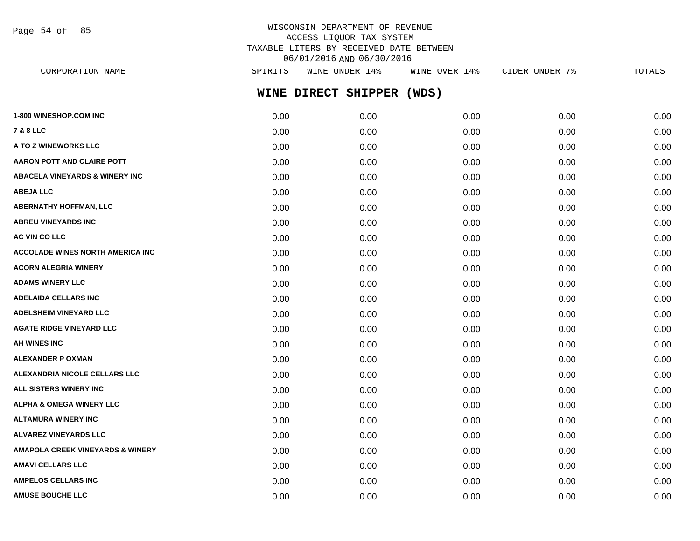Page 54 of 85

# WISCONSIN DEPARTMENT OF REVENUE ACCESS LIQUOR TAX SYSTEM TAXABLE LITERS BY RECEIVED DATE BETWEEN 06/01/2016 AND 06/30/2016

| CORPORATION NAME                          | SPIRITS | WINE UNDER 14%      | WINE OVER 14% | CIDER UNDER 7% | TOTALS |
|-------------------------------------------|---------|---------------------|---------------|----------------|--------|
|                                           |         | WINE DIRECT SHIPPER | (WDS)         |                |        |
| <b>1-800 WINESHOP.COM INC</b>             | 0.00    | 0.00                | 0.00          | 0.00           | 0.00   |
| 7 & 8 LLC                                 | 0.00    | 0.00                | 0.00          | 0.00           | 0.00   |
| <b>A TO Z WINEWORKS LLC</b>               | 0.00    | 0.00                | 0.00          | 0.00           | 0.00   |
| AARON POTT AND CLAIRE POTT                | 0.00    | 0.00                | 0.00          | 0.00           | 0.00   |
| <b>ABACELA VINEYARDS &amp; WINERY INC</b> | 0.00    | 0.00                | 0.00          | 0.00           | 0.00   |
| <b>ABEJA LLC</b>                          | 0.00    | 0.00                | 0.00          | 0.00           | 0.00   |
| ABERNATHY HOFFMAN, LLC                    | 0.00    | 0.00                | 0.00          | 0.00           | 0.00   |
| <b>ABREU VINEYARDS INC</b>                | 0.00    | 0.00                | 0.00          | 0.00           | 0.00   |
| <b>AC VIN CO LLC</b>                      | 0.00    | 0.00                | 0.00          | 0.00           | 0.00   |
| ACCOLADE WINES NORTH AMERICA INC          | 0.00    | 0.00                | 0.00          | 0.00           | 0.00   |
| <b>ACORN ALEGRIA WINERY</b>               | 0.00    | 0.00                | 0.00          | 0.00           | 0.00   |
| <b>ADAMS WINERY LLC</b>                   | 0.00    | 0.00                | 0.00          | 0.00           | 0.00   |
| ADELAIDA CELLARS INC                      | 0.00    | 0.00                | 0.00          | 0.00           | 0.00   |
| <b>ADELSHEIM VINEYARD LLC</b>             | 0.00    | 0.00                | 0.00          | 0.00           | 0.00   |
| <b>AGATE RIDGE VINEYARD LLC</b>           | 0.00    | 0.00                | 0.00          | 0.00           | 0.00   |
| AH WINES INC                              | 0.00    | 0.00                | 0.00          | 0.00           | 0.00   |
| ALEXANDER P OXMAN                         | 0.00    | 0.00                | 0.00          | 0.00           | 0.00   |
| <b>ALEXANDRIA NICOLE CELLARS LLC</b>      | 0.00    | 0.00                | 0.00          | 0.00           | 0.00   |
| <b>ALL SISTERS WINERY INC</b>             | 0.00    | 0.00                | 0.00          | 0.00           | 0.00   |
| <b>ALPHA &amp; OMEGA WINERY LLC</b>       | 0.00    | 0.00                | 0.00          | 0.00           | 0.00   |
| ALTAMURA WINERY INC                       | 0.00    | 0.00                | 0.00          | 0.00           | 0.00   |
| ALVAREZ VINEYARDS LLC                     | 0.00    | 0.00                | 0.00          | 0.00           | 0.00   |
| AMAPOLA CREEK VINEYARDS & WINERY          | 0.00    | 0.00                | 0.00          | 0.00           | 0.00   |
| AMAVI CELLARS LLC                         | 0.00    | 0.00                | 0.00          | 0.00           | 0.00   |
| <b>AMPELOS CELLARS INC</b>                | 0.00    | 0.00                | 0.00          | 0.00           | 0.00   |
|                                           |         |                     |               |                |        |

**AMUSE BOUCHE LLC** 0.00 0.00 0.00 0.00 0.00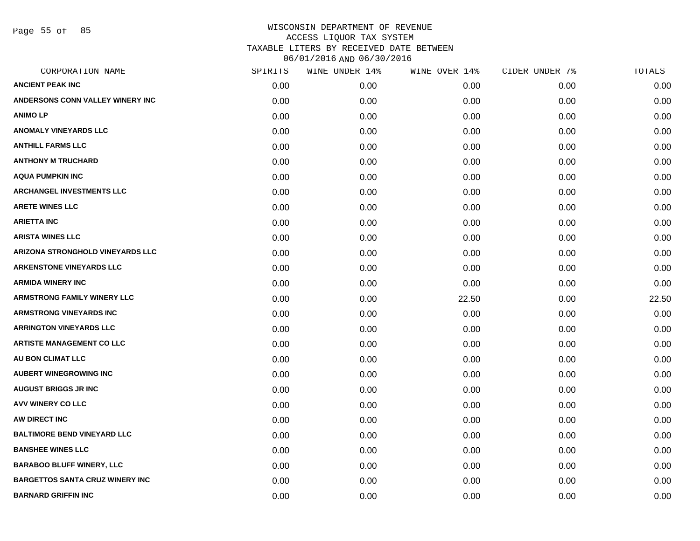Page 55 of 85

| CORPORATION NAME                        | SPIRITS | WINE UNDER 14% | WINE OVER 14% | CIDER UNDER 7% | TOTALS |
|-----------------------------------------|---------|----------------|---------------|----------------|--------|
| <b>ANCIENT PEAK INC</b>                 | 0.00    | 0.00           | 0.00          | 0.00           | 0.00   |
| ANDERSONS CONN VALLEY WINERY INC        | 0.00    | 0.00           | 0.00          | 0.00           | 0.00   |
| <b>ANIMOLP</b>                          | 0.00    | 0.00           | 0.00          | 0.00           | 0.00   |
| <b>ANOMALY VINEYARDS LLC</b>            | 0.00    | 0.00           | 0.00          | 0.00           | 0.00   |
| <b>ANTHILL FARMS LLC</b>                | 0.00    | 0.00           | 0.00          | 0.00           | 0.00   |
| <b>ANTHONY M TRUCHARD</b>               | 0.00    | 0.00           | 0.00          | 0.00           | 0.00   |
| <b>AQUA PUMPKIN INC</b>                 | 0.00    | 0.00           | 0.00          | 0.00           | 0.00   |
| <b>ARCHANGEL INVESTMENTS LLC</b>        | 0.00    | 0.00           | 0.00          | 0.00           | 0.00   |
| <b>ARETE WINES LLC</b>                  | 0.00    | 0.00           | 0.00          | 0.00           | 0.00   |
| <b>ARIETTA INC</b>                      | 0.00    | 0.00           | 0.00          | 0.00           | 0.00   |
| <b>ARISTA WINES LLC</b>                 | 0.00    | 0.00           | 0.00          | 0.00           | 0.00   |
| <b>ARIZONA STRONGHOLD VINEYARDS LLC</b> | 0.00    | 0.00           | 0.00          | 0.00           | 0.00   |
| <b>ARKENSTONE VINEYARDS LLC</b>         | 0.00    | 0.00           | 0.00          | 0.00           | 0.00   |
| <b>ARMIDA WINERY INC</b>                | 0.00    | 0.00           | 0.00          | 0.00           | 0.00   |
| <b>ARMSTRONG FAMILY WINERY LLC</b>      | 0.00    | 0.00           | 22.50         | 0.00           | 22.50  |
| <b>ARMSTRONG VINEYARDS INC</b>          | 0.00    | 0.00           | 0.00          | 0.00           | 0.00   |
| <b>ARRINGTON VINEYARDS LLC</b>          | 0.00    | 0.00           | 0.00          | 0.00           | 0.00   |
| <b>ARTISTE MANAGEMENT CO LLC</b>        | 0.00    | 0.00           | 0.00          | 0.00           | 0.00   |
| AU BON CLIMAT LLC                       | 0.00    | 0.00           | 0.00          | 0.00           | 0.00   |
| <b>AUBERT WINEGROWING INC</b>           | 0.00    | 0.00           | 0.00          | 0.00           | 0.00   |
| <b>AUGUST BRIGGS JR INC</b>             | 0.00    | 0.00           | 0.00          | 0.00           | 0.00   |
| <b>AVV WINERY CO LLC</b>                | 0.00    | 0.00           | 0.00          | 0.00           | 0.00   |
| AW DIRECT INC                           | 0.00    | 0.00           | 0.00          | 0.00           | 0.00   |
| <b>BALTIMORE BEND VINEYARD LLC</b>      | 0.00    | 0.00           | 0.00          | 0.00           | 0.00   |
| <b>BANSHEE WINES LLC</b>                | 0.00    | 0.00           | 0.00          | 0.00           | 0.00   |
| <b>BARABOO BLUFF WINERY, LLC</b>        | 0.00    | 0.00           | 0.00          | 0.00           | 0.00   |
| <b>BARGETTOS SANTA CRUZ WINERY INC</b>  | 0.00    | 0.00           | 0.00          | 0.00           | 0.00   |
| <b>BARNARD GRIFFIN INC</b>              | 0.00    | 0.00           | 0.00          | 0.00           | 0.00   |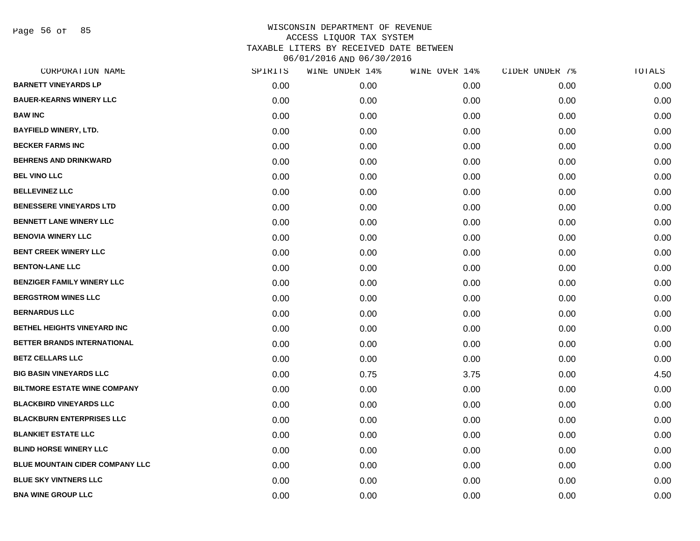Page 56 of 85

| CORPORATION NAME                    | SPIRITS | WINE UNDER 14% | WINE OVER 14% | CIDER UNDER 7% | TOTALS |
|-------------------------------------|---------|----------------|---------------|----------------|--------|
| <b>BARNETT VINEYARDS LP</b>         | 0.00    | 0.00           | 0.00          | 0.00           | 0.00   |
| <b>BAUER-KEARNS WINERY LLC</b>      | 0.00    | 0.00           | 0.00          | 0.00           | 0.00   |
| <b>BAW INC</b>                      | 0.00    | 0.00           | 0.00          | 0.00           | 0.00   |
| <b>BAYFIELD WINERY, LTD.</b>        | 0.00    | 0.00           | 0.00          | 0.00           | 0.00   |
| <b>BECKER FARMS INC</b>             | 0.00    | 0.00           | 0.00          | 0.00           | 0.00   |
| <b>BEHRENS AND DRINKWARD</b>        | 0.00    | 0.00           | 0.00          | 0.00           | 0.00   |
| <b>BEL VINO LLC</b>                 | 0.00    | 0.00           | 0.00          | 0.00           | 0.00   |
| <b>BELLEVINEZ LLC</b>               | 0.00    | 0.00           | 0.00          | 0.00           | 0.00   |
| <b>BENESSERE VINEYARDS LTD</b>      | 0.00    | 0.00           | 0.00          | 0.00           | 0.00   |
| <b>BENNETT LANE WINERY LLC</b>      | 0.00    | 0.00           | 0.00          | 0.00           | 0.00   |
| <b>BENOVIA WINERY LLC</b>           | 0.00    | 0.00           | 0.00          | 0.00           | 0.00   |
| <b>BENT CREEK WINERY LLC</b>        | 0.00    | 0.00           | 0.00          | 0.00           | 0.00   |
| <b>BENTON-LANE LLC</b>              | 0.00    | 0.00           | 0.00          | 0.00           | 0.00   |
| <b>BENZIGER FAMILY WINERY LLC</b>   | 0.00    | 0.00           | 0.00          | 0.00           | 0.00   |
| <b>BERGSTROM WINES LLC</b>          | 0.00    | 0.00           | 0.00          | 0.00           | 0.00   |
| <b>BERNARDUS LLC</b>                | 0.00    | 0.00           | 0.00          | 0.00           | 0.00   |
| BETHEL HEIGHTS VINEYARD INC         | 0.00    | 0.00           | 0.00          | 0.00           | 0.00   |
| BETTER BRANDS INTERNATIONAL         | 0.00    | 0.00           | 0.00          | 0.00           | 0.00   |
| <b>BETZ CELLARS LLC</b>             | 0.00    | 0.00           | 0.00          | 0.00           | 0.00   |
| <b>BIG BASIN VINEYARDS LLC</b>      | 0.00    | 0.75           | 3.75          | 0.00           | 4.50   |
| <b>BILTMORE ESTATE WINE COMPANY</b> | 0.00    | 0.00           | 0.00          | 0.00           | 0.00   |
| <b>BLACKBIRD VINEYARDS LLC</b>      | 0.00    | 0.00           | 0.00          | 0.00           | 0.00   |
| <b>BLACKBURN ENTERPRISES LLC</b>    | 0.00    | 0.00           | 0.00          | 0.00           | 0.00   |
| <b>BLANKIET ESTATE LLC</b>          | 0.00    | 0.00           | 0.00          | 0.00           | 0.00   |
| <b>BLIND HORSE WINERY LLC</b>       | 0.00    | 0.00           | 0.00          | 0.00           | 0.00   |
| BLUE MOUNTAIN CIDER COMPANY LLC     | 0.00    | 0.00           | 0.00          | 0.00           | 0.00   |
| <b>BLUE SKY VINTNERS LLC</b>        | 0.00    | 0.00           | 0.00          | 0.00           | 0.00   |
| <b>BNA WINE GROUP LLC</b>           | 0.00    | 0.00           | 0.00          | 0.00           | 0.00   |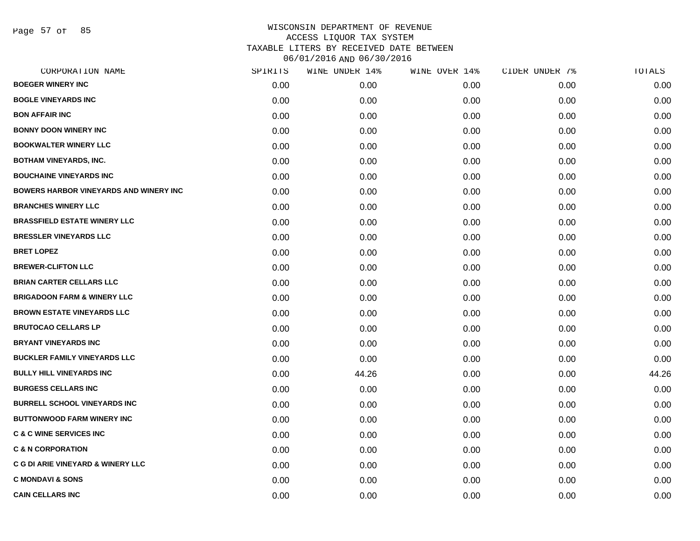Page 57 of 85

| CORPORATION NAME                              | SPIRITS | WINE UNDER 14% | WINE OVER 14% | CIDER UNDER 7% | TOTALS |
|-----------------------------------------------|---------|----------------|---------------|----------------|--------|
| <b>BOEGER WINERY INC</b>                      | 0.00    | 0.00           | 0.00          | 0.00           | 0.00   |
| <b>BOGLE VINEYARDS INC</b>                    | 0.00    | 0.00           | 0.00          | 0.00           | 0.00   |
| <b>BON AFFAIR INC</b>                         | 0.00    | 0.00           | 0.00          | 0.00           | 0.00   |
| <b>BONNY DOON WINERY INC</b>                  | 0.00    | 0.00           | 0.00          | 0.00           | 0.00   |
| <b>BOOKWALTER WINERY LLC</b>                  | 0.00    | 0.00           | 0.00          | 0.00           | 0.00   |
| <b>BOTHAM VINEYARDS, INC.</b>                 | 0.00    | 0.00           | 0.00          | 0.00           | 0.00   |
| <b>BOUCHAINE VINEYARDS INC</b>                | 0.00    | 0.00           | 0.00          | 0.00           | 0.00   |
| <b>BOWERS HARBOR VINEYARDS AND WINERY INC</b> | 0.00    | 0.00           | 0.00          | 0.00           | 0.00   |
| <b>BRANCHES WINERY LLC</b>                    | 0.00    | 0.00           | 0.00          | 0.00           | 0.00   |
| <b>BRASSFIELD ESTATE WINERY LLC</b>           | 0.00    | 0.00           | 0.00          | 0.00           | 0.00   |
| <b>BRESSLER VINEYARDS LLC</b>                 | 0.00    | 0.00           | 0.00          | 0.00           | 0.00   |
| <b>BRET LOPEZ</b>                             | 0.00    | 0.00           | 0.00          | 0.00           | 0.00   |
| <b>BREWER-CLIFTON LLC</b>                     | 0.00    | 0.00           | 0.00          | 0.00           | 0.00   |
| <b>BRIAN CARTER CELLARS LLC</b>               | 0.00    | 0.00           | 0.00          | 0.00           | 0.00   |
| <b>BRIGADOON FARM &amp; WINERY LLC</b>        | 0.00    | 0.00           | 0.00          | 0.00           | 0.00   |
| <b>BROWN ESTATE VINEYARDS LLC</b>             | 0.00    | 0.00           | 0.00          | 0.00           | 0.00   |
| <b>BRUTOCAO CELLARS LP</b>                    | 0.00    | 0.00           | 0.00          | 0.00           | 0.00   |
| <b>BRYANT VINEYARDS INC</b>                   | 0.00    | 0.00           | 0.00          | 0.00           | 0.00   |
| <b>BUCKLER FAMILY VINEYARDS LLC</b>           | 0.00    | 0.00           | 0.00          | 0.00           | 0.00   |
| <b>BULLY HILL VINEYARDS INC</b>               | 0.00    | 44.26          | 0.00          | 0.00           | 44.26  |
| <b>BURGESS CELLARS INC</b>                    | 0.00    | 0.00           | 0.00          | 0.00           | 0.00   |
| <b>BURRELL SCHOOL VINEYARDS INC</b>           | 0.00    | 0.00           | 0.00          | 0.00           | 0.00   |
| <b>BUTTONWOOD FARM WINERY INC</b>             | 0.00    | 0.00           | 0.00          | 0.00           | 0.00   |
| <b>C &amp; C WINE SERVICES INC</b>            | 0.00    | 0.00           | 0.00          | 0.00           | 0.00   |
| <b>C &amp; N CORPORATION</b>                  | 0.00    | 0.00           | 0.00          | 0.00           | 0.00   |
| <b>C G DI ARIE VINEYARD &amp; WINERY LLC</b>  | 0.00    | 0.00           | 0.00          | 0.00           | 0.00   |
| <b>C MONDAVI &amp; SONS</b>                   | 0.00    | 0.00           | 0.00          | 0.00           | 0.00   |
| <b>CAIN CELLARS INC</b>                       | 0.00    | 0.00           | 0.00          | 0.00           | 0.00   |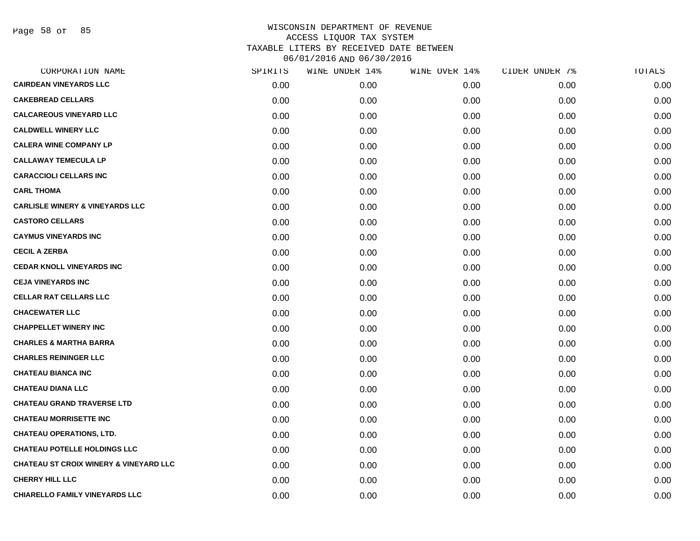Page 58 of 85

| CORPORATION NAME                                  | SPIRITS | WINE UNDER 14% | WINE OVER 14% | CIDER UNDER 7% | TOTALS |
|---------------------------------------------------|---------|----------------|---------------|----------------|--------|
| <b>CAIRDEAN VINEYARDS LLC</b>                     | 0.00    | 0.00           | 0.00          | 0.00           | 0.00   |
| <b>CAKEBREAD CELLARS</b>                          | 0.00    | 0.00           | 0.00          | 0.00           | 0.00   |
| <b>CALCAREOUS VINEYARD LLC</b>                    | 0.00    | 0.00           | 0.00          | 0.00           | 0.00   |
| <b>CALDWELL WINERY LLC</b>                        | 0.00    | 0.00           | 0.00          | 0.00           | 0.00   |
| <b>CALERA WINE COMPANY LP</b>                     | 0.00    | 0.00           | 0.00          | 0.00           | 0.00   |
| <b>CALLAWAY TEMECULA LP</b>                       | 0.00    | 0.00           | 0.00          | 0.00           | 0.00   |
| <b>CARACCIOLI CELLARS INC</b>                     | 0.00    | 0.00           | 0.00          | 0.00           | 0.00   |
| <b>CARL THOMA</b>                                 | 0.00    | 0.00           | 0.00          | 0.00           | 0.00   |
| <b>CARLISLE WINERY &amp; VINEYARDS LLC</b>        | 0.00    | 0.00           | 0.00          | 0.00           | 0.00   |
| <b>CASTORO CELLARS</b>                            | 0.00    | 0.00           | 0.00          | 0.00           | 0.00   |
| <b>CAYMUS VINEYARDS INC</b>                       | 0.00    | 0.00           | 0.00          | 0.00           | 0.00   |
| <b>CECIL A ZERBA</b>                              | 0.00    | 0.00           | 0.00          | 0.00           | 0.00   |
| <b>CEDAR KNOLL VINEYARDS INC</b>                  | 0.00    | 0.00           | 0.00          | 0.00           | 0.00   |
| <b>CEJA VINEYARDS INC</b>                         | 0.00    | 0.00           | 0.00          | 0.00           | 0.00   |
| <b>CELLAR RAT CELLARS LLC</b>                     | 0.00    | 0.00           | 0.00          | 0.00           | 0.00   |
| <b>CHACEWATER LLC</b>                             | 0.00    | 0.00           | 0.00          | 0.00           | 0.00   |
| <b>CHAPPELLET WINERY INC</b>                      | 0.00    | 0.00           | 0.00          | 0.00           | 0.00   |
| <b>CHARLES &amp; MARTHA BARRA</b>                 | 0.00    | 0.00           | 0.00          | 0.00           | 0.00   |
| <b>CHARLES REININGER LLC</b>                      | 0.00    | 0.00           | 0.00          | 0.00           | 0.00   |
| <b>CHATEAU BIANCA INC</b>                         | 0.00    | 0.00           | 0.00          | 0.00           | 0.00   |
| <b>CHATEAU DIANA LLC</b>                          | 0.00    | 0.00           | 0.00          | 0.00           | 0.00   |
| <b>CHATEAU GRAND TRAVERSE LTD</b>                 | 0.00    | 0.00           | 0.00          | 0.00           | 0.00   |
| <b>CHATEAU MORRISETTE INC</b>                     | 0.00    | 0.00           | 0.00          | 0.00           | 0.00   |
| <b>CHATEAU OPERATIONS, LTD.</b>                   | 0.00    | 0.00           | 0.00          | 0.00           | 0.00   |
| <b>CHATEAU POTELLE HOLDINGS LLC</b>               | 0.00    | 0.00           | 0.00          | 0.00           | 0.00   |
| <b>CHATEAU ST CROIX WINERY &amp; VINEYARD LLC</b> | 0.00    | 0.00           | 0.00          | 0.00           | 0.00   |
| <b>CHERRY HILL LLC</b>                            | 0.00    | 0.00           | 0.00          | 0.00           | 0.00   |
| <b>CHIARELLO FAMILY VINEYARDS LLC</b>             | 0.00    | 0.00           | 0.00          | 0.00           | 0.00   |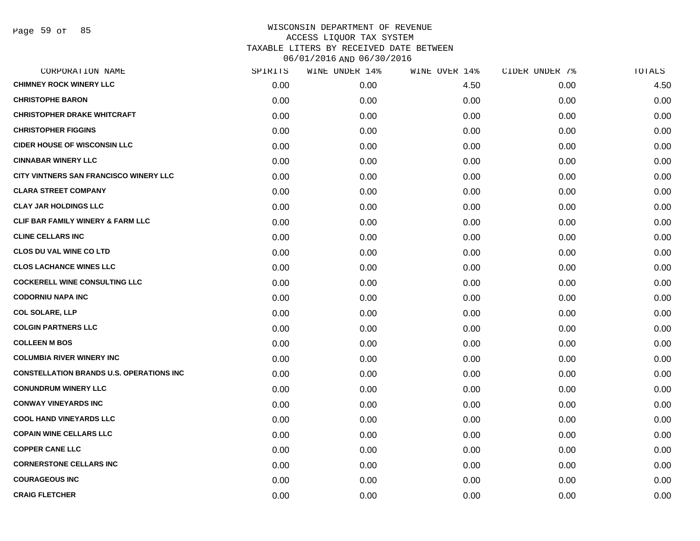| SPIRITS | WINE UNDER 14% | WINE OVER 14% | CIDER UNDER 7% | TOTALS |
|---------|----------------|---------------|----------------|--------|
| 0.00    | 0.00           | 4.50          | 0.00           | 4.50   |
| 0.00    | 0.00           | 0.00          | 0.00           | 0.00   |
| 0.00    | 0.00           | 0.00          | 0.00           | 0.00   |
| 0.00    | 0.00           | 0.00          | 0.00           | 0.00   |
| 0.00    | 0.00           | 0.00          | 0.00           | 0.00   |
| 0.00    | 0.00           | 0.00          | 0.00           | 0.00   |
| 0.00    | 0.00           | 0.00          | 0.00           | 0.00   |
| 0.00    | 0.00           | 0.00          | 0.00           | 0.00   |
| 0.00    | 0.00           | 0.00          | 0.00           | 0.00   |
| 0.00    | 0.00           | 0.00          | 0.00           | 0.00   |
| 0.00    | 0.00           | 0.00          | 0.00           | 0.00   |
| 0.00    | 0.00           | 0.00          | 0.00           | 0.00   |
| 0.00    | 0.00           | 0.00          | 0.00           | 0.00   |
| 0.00    | 0.00           | 0.00          | 0.00           | 0.00   |
| 0.00    | 0.00           | 0.00          | 0.00           | 0.00   |
| 0.00    | 0.00           | 0.00          | 0.00           | 0.00   |
| 0.00    | 0.00           | 0.00          | 0.00           | 0.00   |
| 0.00    | 0.00           | 0.00          | 0.00           | 0.00   |
| 0.00    | 0.00           | 0.00          | 0.00           | 0.00   |
| 0.00    | 0.00           | 0.00          | 0.00           | 0.00   |
| 0.00    | 0.00           | 0.00          | 0.00           | 0.00   |
| 0.00    | 0.00           | 0.00          | 0.00           | 0.00   |
| 0.00    | 0.00           | 0.00          | 0.00           | 0.00   |
| 0.00    | 0.00           | 0.00          | 0.00           | 0.00   |
| 0.00    | 0.00           | 0.00          | 0.00           | 0.00   |
| 0.00    | 0.00           | 0.00          | 0.00           | 0.00   |
| 0.00    | 0.00           | 0.00          | 0.00           | 0.00   |
| 0.00    | 0.00           | 0.00          | 0.00           | 0.00   |
|         |                |               |                |        |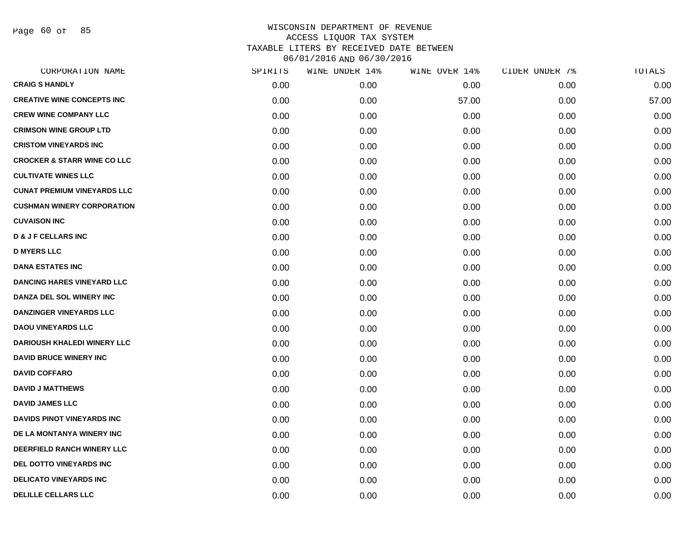Page 60 of 85

| CORPORATION NAME                       | SPIRITS | WINE UNDER 14% | WINE OVER 14% | CIDER UNDER 7% | TOTALS |
|----------------------------------------|---------|----------------|---------------|----------------|--------|
| <b>CRAIG S HANDLY</b>                  | 0.00    | 0.00           | 0.00          | 0.00           | 0.00   |
| <b>CREATIVE WINE CONCEPTS INC</b>      | 0.00    | 0.00           | 57.00         | 0.00           | 57.00  |
| <b>CREW WINE COMPANY LLC</b>           | 0.00    | 0.00           | 0.00          | 0.00           | 0.00   |
| <b>CRIMSON WINE GROUP LTD</b>          | 0.00    | 0.00           | 0.00          | 0.00           | 0.00   |
| <b>CRISTOM VINEYARDS INC</b>           | 0.00    | 0.00           | 0.00          | 0.00           | 0.00   |
| <b>CROCKER &amp; STARR WINE CO LLC</b> | 0.00    | 0.00           | 0.00          | 0.00           | 0.00   |
| <b>CULTIVATE WINES LLC</b>             | 0.00    | 0.00           | 0.00          | 0.00           | 0.00   |
| <b>CUNAT PREMIUM VINEYARDS LLC</b>     | 0.00    | 0.00           | 0.00          | 0.00           | 0.00   |
| <b>CUSHMAN WINERY CORPORATION</b>      | 0.00    | 0.00           | 0.00          | 0.00           | 0.00   |
| <b>CUVAISON INC</b>                    | 0.00    | 0.00           | 0.00          | 0.00           | 0.00   |
| <b>D &amp; J F CELLARS INC</b>         | 0.00    | 0.00           | 0.00          | 0.00           | 0.00   |
| <b>D MYERS LLC</b>                     | 0.00    | 0.00           | 0.00          | 0.00           | 0.00   |
| <b>DANA ESTATES INC</b>                | 0.00    | 0.00           | 0.00          | 0.00           | 0.00   |
| <b>DANCING HARES VINEYARD LLC</b>      | 0.00    | 0.00           | 0.00          | 0.00           | 0.00   |
| DANZA DEL SOL WINERY INC               | 0.00    | 0.00           | 0.00          | 0.00           | 0.00   |
| <b>DANZINGER VINEYARDS LLC</b>         | 0.00    | 0.00           | 0.00          | 0.00           | 0.00   |
| <b>DAOU VINEYARDS LLC</b>              | 0.00    | 0.00           | 0.00          | 0.00           | 0.00   |
| DARIOUSH KHALEDI WINERY LLC            | 0.00    | 0.00           | 0.00          | 0.00           | 0.00   |
| <b>DAVID BRUCE WINERY INC</b>          | 0.00    | 0.00           | 0.00          | 0.00           | 0.00   |
| <b>DAVID COFFARO</b>                   | 0.00    | 0.00           | 0.00          | 0.00           | 0.00   |
| <b>DAVID J MATTHEWS</b>                | 0.00    | 0.00           | 0.00          | 0.00           | 0.00   |
| <b>DAVID JAMES LLC</b>                 | 0.00    | 0.00           | 0.00          | 0.00           | 0.00   |
| <b>DAVIDS PINOT VINEYARDS INC</b>      | 0.00    | 0.00           | 0.00          | 0.00           | 0.00   |
| DE LA MONTANYA WINERY INC              | 0.00    | 0.00           | 0.00          | 0.00           | 0.00   |
| DEERFIELD RANCH WINERY LLC             | 0.00    | 0.00           | 0.00          | 0.00           | 0.00   |
| DEL DOTTO VINEYARDS INC                | 0.00    | 0.00           | 0.00          | 0.00           | 0.00   |
| <b>DELICATO VINEYARDS INC</b>          | 0.00    | 0.00           | 0.00          | 0.00           | 0.00   |
| <b>DELILLE CELLARS LLC</b>             | 0.00    | 0.00           | 0.00          | 0.00           | 0.00   |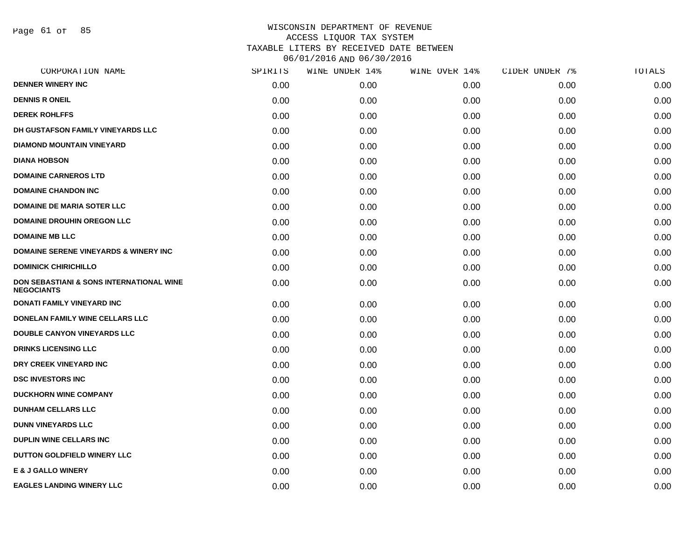Page 61 of 85

| CORPORATION NAME                                              | SPIRITS | WINE UNDER 14% | WINE OVER 14% | CIDER UNDER 7% | TOTALS |
|---------------------------------------------------------------|---------|----------------|---------------|----------------|--------|
| <b>DENNER WINERY INC</b>                                      | 0.00    | 0.00           | 0.00          | 0.00           | 0.00   |
| <b>DENNIS R ONEIL</b>                                         | 0.00    | 0.00           | 0.00          | 0.00           | 0.00   |
| <b>DEREK ROHLFFS</b>                                          | 0.00    | 0.00           | 0.00          | 0.00           | 0.00   |
| DH GUSTAFSON FAMILY VINEYARDS LLC                             | 0.00    | 0.00           | 0.00          | 0.00           | 0.00   |
| <b>DIAMOND MOUNTAIN VINEYARD</b>                              | 0.00    | 0.00           | 0.00          | 0.00           | 0.00   |
| <b>DIANA HOBSON</b>                                           | 0.00    | 0.00           | 0.00          | 0.00           | 0.00   |
| <b>DOMAINE CARNEROS LTD</b>                                   | 0.00    | 0.00           | 0.00          | 0.00           | 0.00   |
| <b>DOMAINE CHANDON INC</b>                                    | 0.00    | 0.00           | 0.00          | 0.00           | 0.00   |
| <b>DOMAINE DE MARIA SOTER LLC</b>                             | 0.00    | 0.00           | 0.00          | 0.00           | 0.00   |
| <b>DOMAINE DROUHIN OREGON LLC</b>                             | 0.00    | 0.00           | 0.00          | 0.00           | 0.00   |
| <b>DOMAINE MB LLC</b>                                         | 0.00    | 0.00           | 0.00          | 0.00           | 0.00   |
| <b>DOMAINE SERENE VINEYARDS &amp; WINERY INC</b>              | 0.00    | 0.00           | 0.00          | 0.00           | 0.00   |
| <b>DOMINICK CHIRICHILLO</b>                                   | 0.00    | 0.00           | 0.00          | 0.00           | 0.00   |
| DON SEBASTIANI & SONS INTERNATIONAL WINE<br><b>NEGOCIANTS</b> | 0.00    | 0.00           | 0.00          | 0.00           | 0.00   |
| <b>DONATI FAMILY VINEYARD INC</b>                             | 0.00    | 0.00           | 0.00          | 0.00           | 0.00   |
| DONELAN FAMILY WINE CELLARS LLC                               | 0.00    | 0.00           | 0.00          | 0.00           | 0.00   |
| <b>DOUBLE CANYON VINEYARDS LLC</b>                            | 0.00    | 0.00           | 0.00          | 0.00           | 0.00   |
| <b>DRINKS LICENSING LLC</b>                                   | 0.00    | 0.00           | 0.00          | 0.00           | 0.00   |
| DRY CREEK VINEYARD INC                                        | 0.00    | 0.00           | 0.00          | 0.00           | 0.00   |
| <b>DSC INVESTORS INC</b>                                      | 0.00    | 0.00           | 0.00          | 0.00           | 0.00   |
| <b>DUCKHORN WINE COMPANY</b>                                  | 0.00    | 0.00           | 0.00          | 0.00           | 0.00   |
| <b>DUNHAM CELLARS LLC</b>                                     | 0.00    | 0.00           | 0.00          | 0.00           | 0.00   |
| <b>DUNN VINEYARDS LLC</b>                                     | 0.00    | 0.00           | 0.00          | 0.00           | 0.00   |
| <b>DUPLIN WINE CELLARS INC.</b>                               | 0.00    | 0.00           | 0.00          | 0.00           | 0.00   |
| DUTTON GOLDFIELD WINERY LLC                                   | 0.00    | 0.00           | 0.00          | 0.00           | 0.00   |
| <b>E &amp; J GALLO WINERY</b>                                 | 0.00    | 0.00           | 0.00          | 0.00           | 0.00   |
| <b>EAGLES LANDING WINERY LLC</b>                              | 0.00    | 0.00           | 0.00          | 0.00           | 0.00   |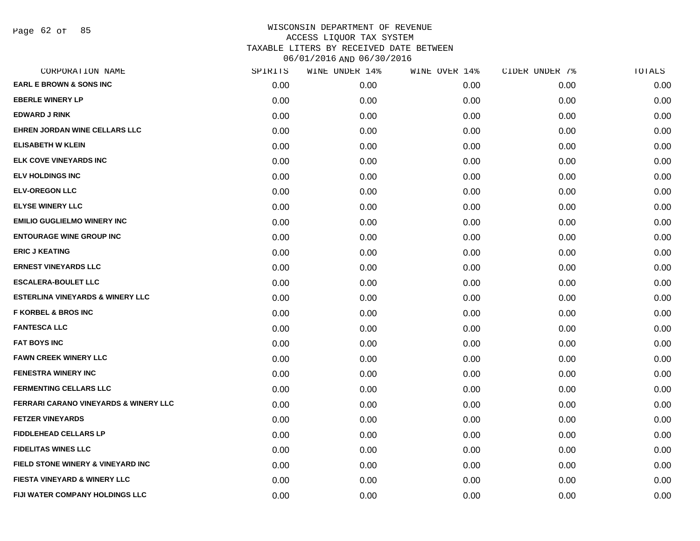| CORPORATION NAME                            | SPIRITS | WINE UNDER 14% | WINE OVER 14% | CIDER UNDER 7% | TOTALS |
|---------------------------------------------|---------|----------------|---------------|----------------|--------|
| <b>EARL E BROWN &amp; SONS INC</b>          | 0.00    | 0.00           | 0.00          | 0.00           | 0.00   |
| <b>EBERLE WINERY LP</b>                     | 0.00    | 0.00           | 0.00          | 0.00           | 0.00   |
| <b>EDWARD J RINK</b>                        | 0.00    | 0.00           | 0.00          | 0.00           | 0.00   |
| EHREN JORDAN WINE CELLARS LLC               | 0.00    | 0.00           | 0.00          | 0.00           | 0.00   |
| <b>ELISABETH W KLEIN</b>                    | 0.00    | 0.00           | 0.00          | 0.00           | 0.00   |
| ELK COVE VINEYARDS INC                      | 0.00    | 0.00           | 0.00          | 0.00           | 0.00   |
| <b>ELV HOLDINGS INC</b>                     | 0.00    | 0.00           | 0.00          | 0.00           | 0.00   |
| <b>ELV-OREGON LLC</b>                       | 0.00    | 0.00           | 0.00          | 0.00           | 0.00   |
| <b>ELYSE WINERY LLC</b>                     | 0.00    | 0.00           | 0.00          | 0.00           | 0.00   |
| <b>EMILIO GUGLIELMO WINERY INC</b>          | 0.00    | 0.00           | 0.00          | 0.00           | 0.00   |
| <b>ENTOURAGE WINE GROUP INC</b>             | 0.00    | 0.00           | 0.00          | 0.00           | 0.00   |
| <b>ERIC J KEATING</b>                       | 0.00    | 0.00           | 0.00          | 0.00           | 0.00   |
| <b>ERNEST VINEYARDS LLC</b>                 | 0.00    | 0.00           | 0.00          | 0.00           | 0.00   |
| <b>ESCALERA-BOULET LLC</b>                  | 0.00    | 0.00           | 0.00          | 0.00           | 0.00   |
| <b>ESTERLINA VINEYARDS &amp; WINERY LLC</b> | 0.00    | 0.00           | 0.00          | 0.00           | 0.00   |
| <b>F KORBEL &amp; BROS INC</b>              | 0.00    | 0.00           | 0.00          | 0.00           | 0.00   |
| <b>FANTESCA LLC</b>                         | 0.00    | 0.00           | 0.00          | 0.00           | 0.00   |
| <b>FAT BOYS INC</b>                         | 0.00    | 0.00           | 0.00          | 0.00           | 0.00   |
| <b>FAWN CREEK WINERY LLC</b>                | 0.00    | 0.00           | 0.00          | 0.00           | 0.00   |
| <b>FENESTRA WINERY INC</b>                  | 0.00    | 0.00           | 0.00          | 0.00           | 0.00   |
| <b>FERMENTING CELLARS LLC</b>               | 0.00    | 0.00           | 0.00          | 0.00           | 0.00   |
| FERRARI CARANO VINEYARDS & WINERY LLC       | 0.00    | 0.00           | 0.00          | 0.00           | 0.00   |
| <b>FETZER VINEYARDS</b>                     | 0.00    | 0.00           | 0.00          | 0.00           | 0.00   |
| <b>FIDDLEHEAD CELLARS LP</b>                | 0.00    | 0.00           | 0.00          | 0.00           | 0.00   |
| <b>FIDELITAS WINES LLC</b>                  | 0.00    | 0.00           | 0.00          | 0.00           | 0.00   |
| FIELD STONE WINERY & VINEYARD INC           | 0.00    | 0.00           | 0.00          | 0.00           | 0.00   |
| <b>FIESTA VINEYARD &amp; WINERY LLC</b>     | 0.00    | 0.00           | 0.00          | 0.00           | 0.00   |
| FIJI WATER COMPANY HOLDINGS LLC             | 0.00    | 0.00           | 0.00          | 0.00           | 0.00   |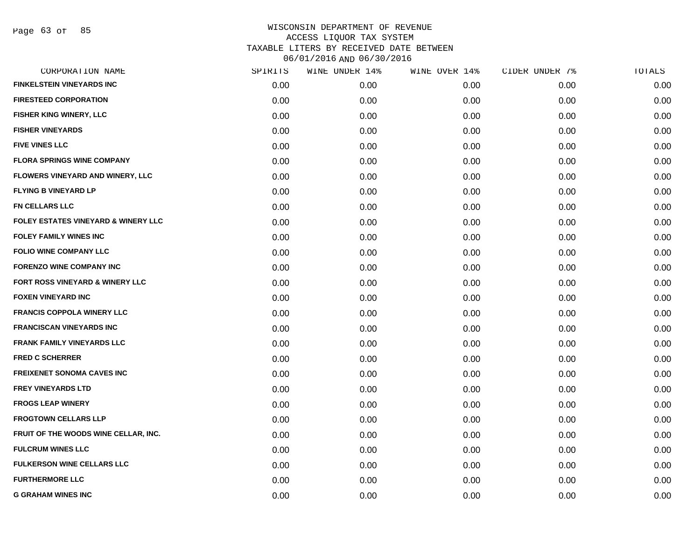Page 63 of 85

| CORPORATION NAME                               | SPIRITS | WINE UNDER 14% | WINE OVER 14% | CIDER UNDER 7% | TOTALS |
|------------------------------------------------|---------|----------------|---------------|----------------|--------|
| <b>FINKELSTEIN VINEYARDS INC</b>               | 0.00    | 0.00           | 0.00          | 0.00           | 0.00   |
| <b>FIRESTEED CORPORATION</b>                   | 0.00    | 0.00           | 0.00          | 0.00           | 0.00   |
| <b>FISHER KING WINERY, LLC</b>                 | 0.00    | 0.00           | 0.00          | 0.00           | 0.00   |
| <b>FISHER VINEYARDS</b>                        | 0.00    | 0.00           | 0.00          | 0.00           | 0.00   |
| <b>FIVE VINES LLC</b>                          | 0.00    | 0.00           | 0.00          | 0.00           | 0.00   |
| <b>FLORA SPRINGS WINE COMPANY</b>              | 0.00    | 0.00           | 0.00          | 0.00           | 0.00   |
| FLOWERS VINEYARD AND WINERY, LLC               | 0.00    | 0.00           | 0.00          | 0.00           | 0.00   |
| <b>FLYING B VINEYARD LP</b>                    | 0.00    | 0.00           | 0.00          | 0.00           | 0.00   |
| <b>FN CELLARS LLC</b>                          | 0.00    | 0.00           | 0.00          | 0.00           | 0.00   |
| <b>FOLEY ESTATES VINEYARD &amp; WINERY LLC</b> | 0.00    | 0.00           | 0.00          | 0.00           | 0.00   |
| <b>FOLEY FAMILY WINES INC</b>                  | 0.00    | 0.00           | 0.00          | 0.00           | 0.00   |
| <b>FOLIO WINE COMPANY LLC</b>                  | 0.00    | 0.00           | 0.00          | 0.00           | 0.00   |
| <b>FORENZO WINE COMPANY INC</b>                | 0.00    | 0.00           | 0.00          | 0.00           | 0.00   |
| <b>FORT ROSS VINEYARD &amp; WINERY LLC</b>     | 0.00    | 0.00           | 0.00          | 0.00           | 0.00   |
| <b>FOXEN VINEYARD INC</b>                      | 0.00    | 0.00           | 0.00          | 0.00           | 0.00   |
| <b>FRANCIS COPPOLA WINERY LLC</b>              | 0.00    | 0.00           | 0.00          | 0.00           | 0.00   |
| <b>FRANCISCAN VINEYARDS INC</b>                | 0.00    | 0.00           | 0.00          | 0.00           | 0.00   |
| <b>FRANK FAMILY VINEYARDS LLC</b>              | 0.00    | 0.00           | 0.00          | 0.00           | 0.00   |
| <b>FRED C SCHERRER</b>                         | 0.00    | 0.00           | 0.00          | 0.00           | 0.00   |
| <b>FREIXENET SONOMA CAVES INC</b>              | 0.00    | 0.00           | 0.00          | 0.00           | 0.00   |
| <b>FREY VINEYARDS LTD</b>                      | 0.00    | 0.00           | 0.00          | 0.00           | 0.00   |
| <b>FROGS LEAP WINERY</b>                       | 0.00    | 0.00           | 0.00          | 0.00           | 0.00   |
| <b>FROGTOWN CELLARS LLP</b>                    | 0.00    | 0.00           | 0.00          | 0.00           | 0.00   |
| FRUIT OF THE WOODS WINE CELLAR, INC.           | 0.00    | 0.00           | 0.00          | 0.00           | 0.00   |
| <b>FULCRUM WINES LLC</b>                       | 0.00    | 0.00           | 0.00          | 0.00           | 0.00   |
| <b>FULKERSON WINE CELLARS LLC</b>              | 0.00    | 0.00           | 0.00          | 0.00           | 0.00   |
| <b>FURTHERMORE LLC</b>                         | 0.00    | 0.00           | 0.00          | 0.00           | 0.00   |
| <b>G GRAHAM WINES INC</b>                      | 0.00    | 0.00           | 0.00          | 0.00           | 0.00   |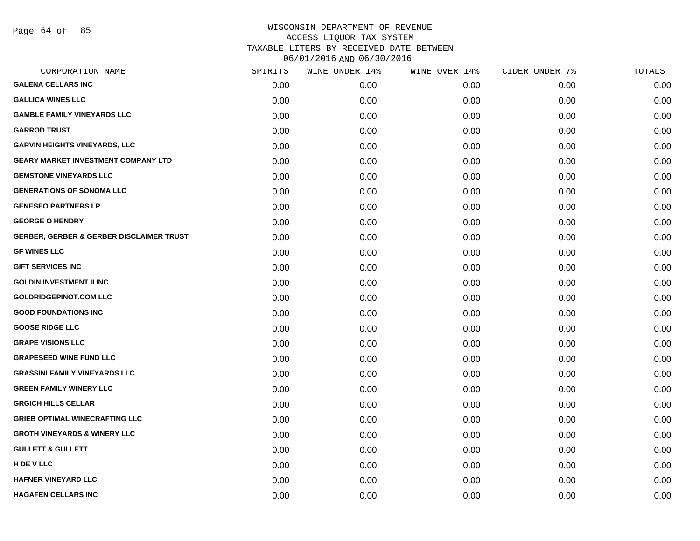Page 64 of 85

| CORPORATION NAME                                    | SPIRITS | WINE UNDER 14% | WINE OVER 14% | CIDER UNDER 7% | TOTALS |
|-----------------------------------------------------|---------|----------------|---------------|----------------|--------|
| <b>GALENA CELLARS INC</b>                           | 0.00    | 0.00           | 0.00          | 0.00           | 0.00   |
| <b>GALLICA WINES LLC</b>                            | 0.00    | 0.00           | 0.00          | 0.00           | 0.00   |
| <b>GAMBLE FAMILY VINEYARDS LLC</b>                  | 0.00    | 0.00           | 0.00          | 0.00           | 0.00   |
| <b>GARROD TRUST</b>                                 | 0.00    | 0.00           | 0.00          | 0.00           | 0.00   |
| <b>GARVIN HEIGHTS VINEYARDS, LLC</b>                | 0.00    | 0.00           | 0.00          | 0.00           | 0.00   |
| <b>GEARY MARKET INVESTMENT COMPANY LTD</b>          | 0.00    | 0.00           | 0.00          | 0.00           | 0.00   |
| <b>GEMSTONE VINEYARDS LLC</b>                       | 0.00    | 0.00           | 0.00          | 0.00           | 0.00   |
| <b>GENERATIONS OF SONOMA LLC</b>                    | 0.00    | 0.00           | 0.00          | 0.00           | 0.00   |
| <b>GENESEO PARTNERS LP</b>                          | 0.00    | 0.00           | 0.00          | 0.00           | 0.00   |
| <b>GEORGE O HENDRY</b>                              | 0.00    | 0.00           | 0.00          | 0.00           | 0.00   |
| <b>GERBER, GERBER &amp; GERBER DISCLAIMER TRUST</b> | 0.00    | 0.00           | 0.00          | 0.00           | 0.00   |
| <b>GF WINES LLC</b>                                 | 0.00    | 0.00           | 0.00          | 0.00           | 0.00   |
| <b>GIFT SERVICES INC</b>                            | 0.00    | 0.00           | 0.00          | 0.00           | 0.00   |
| <b>GOLDIN INVESTMENT II INC</b>                     | 0.00    | 0.00           | 0.00          | 0.00           | 0.00   |
| <b>GOLDRIDGEPINOT.COM LLC</b>                       | 0.00    | 0.00           | 0.00          | 0.00           | 0.00   |
| <b>GOOD FOUNDATIONS INC</b>                         | 0.00    | 0.00           | 0.00          | 0.00           | 0.00   |
| <b>GOOSE RIDGE LLC</b>                              | 0.00    | 0.00           | 0.00          | 0.00           | 0.00   |
| <b>GRAPE VISIONS LLC</b>                            | 0.00    | 0.00           | 0.00          | 0.00           | 0.00   |
| <b>GRAPESEED WINE FUND LLC</b>                      | 0.00    | 0.00           | 0.00          | 0.00           | 0.00   |
| <b>GRASSINI FAMILY VINEYARDS LLC</b>                | 0.00    | 0.00           | 0.00          | 0.00           | 0.00   |
| <b>GREEN FAMILY WINERY LLC</b>                      | 0.00    | 0.00           | 0.00          | 0.00           | 0.00   |
| <b>GRGICH HILLS CELLAR</b>                          | 0.00    | 0.00           | 0.00          | 0.00           | 0.00   |
| <b>GRIEB OPTIMAL WINECRAFTING LLC</b>               | 0.00    | 0.00           | 0.00          | 0.00           | 0.00   |
| <b>GROTH VINEYARDS &amp; WINERY LLC</b>             | 0.00    | 0.00           | 0.00          | 0.00           | 0.00   |
| <b>GULLETT &amp; GULLETT</b>                        | 0.00    | 0.00           | 0.00          | 0.00           | 0.00   |
| H DE V LLC                                          | 0.00    | 0.00           | 0.00          | 0.00           | 0.00   |
| <b>HAFNER VINEYARD LLC</b>                          | 0.00    | 0.00           | 0.00          | 0.00           | 0.00   |
| <b>HAGAFEN CELLARS INC</b>                          | 0.00    | 0.00           | 0.00          | 0.00           | 0.00   |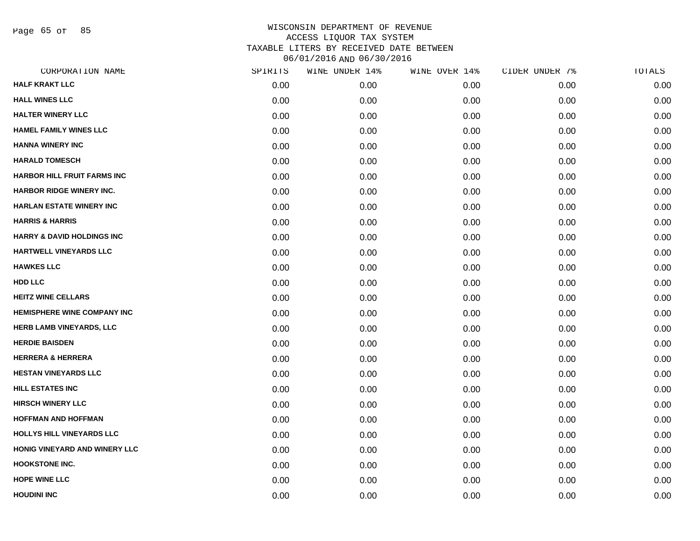Page 65 of 85

| CORPORATION NAME                      | SPIRITS | WINE UNDER 14% | WINE OVER 14% | CIDER UNDER 7% | TOTALS |
|---------------------------------------|---------|----------------|---------------|----------------|--------|
| <b>HALF KRAKT LLC</b>                 | 0.00    | 0.00           | 0.00          | 0.00           | 0.00   |
| <b>HALL WINES LLC</b>                 | 0.00    | 0.00           | 0.00          | 0.00           | 0.00   |
| <b>HALTER WINERY LLC</b>              | 0.00    | 0.00           | 0.00          | 0.00           | 0.00   |
| <b>HAMEL FAMILY WINES LLC</b>         | 0.00    | 0.00           | 0.00          | 0.00           | 0.00   |
| <b>HANNA WINERY INC</b>               | 0.00    | 0.00           | 0.00          | 0.00           | 0.00   |
| <b>HARALD TOMESCH</b>                 | 0.00    | 0.00           | 0.00          | 0.00           | 0.00   |
| <b>HARBOR HILL FRUIT FARMS INC</b>    | 0.00    | 0.00           | 0.00          | 0.00           | 0.00   |
| <b>HARBOR RIDGE WINERY INC.</b>       | 0.00    | 0.00           | 0.00          | 0.00           | 0.00   |
| HARLAN ESTATE WINERY INC              | 0.00    | 0.00           | 0.00          | 0.00           | 0.00   |
| <b>HARRIS &amp; HARRIS</b>            | 0.00    | 0.00           | 0.00          | 0.00           | 0.00   |
| <b>HARRY &amp; DAVID HOLDINGS INC</b> | 0.00    | 0.00           | 0.00          | 0.00           | 0.00   |
| <b>HARTWELL VINEYARDS LLC</b>         | 0.00    | 0.00           | 0.00          | 0.00           | 0.00   |
| <b>HAWKES LLC</b>                     | 0.00    | 0.00           | 0.00          | 0.00           | 0.00   |
| HDD LLC                               | 0.00    | 0.00           | 0.00          | 0.00           | 0.00   |
| <b>HEITZ WINE CELLARS</b>             | 0.00    | 0.00           | 0.00          | 0.00           | 0.00   |
| <b>HEMISPHERE WINE COMPANY INC</b>    | 0.00    | 0.00           | 0.00          | 0.00           | 0.00   |
| HERB LAMB VINEYARDS, LLC              | 0.00    | 0.00           | 0.00          | 0.00           | 0.00   |
| <b>HERDIE BAISDEN</b>                 | 0.00    | 0.00           | 0.00          | 0.00           | 0.00   |
| <b>HERRERA &amp; HERRERA</b>          | 0.00    | 0.00           | 0.00          | 0.00           | 0.00   |
| <b>HESTAN VINEYARDS LLC</b>           | 0.00    | 0.00           | 0.00          | 0.00           | 0.00   |
| <b>HILL ESTATES INC</b>               | 0.00    | 0.00           | 0.00          | 0.00           | 0.00   |
| <b>HIRSCH WINERY LLC</b>              | 0.00    | 0.00           | 0.00          | 0.00           | 0.00   |
| <b>HOFFMAN AND HOFFMAN</b>            | 0.00    | 0.00           | 0.00          | 0.00           | 0.00   |
| HOLLYS HILL VINEYARDS LLC             | 0.00    | 0.00           | 0.00          | 0.00           | 0.00   |
| HONIG VINEYARD AND WINERY LLC         | 0.00    | 0.00           | 0.00          | 0.00           | 0.00   |
| <b>HOOKSTONE INC.</b>                 | 0.00    | 0.00           | 0.00          | 0.00           | 0.00   |
| <b>HOPE WINE LLC</b>                  | 0.00    | 0.00           | 0.00          | 0.00           | 0.00   |
| <b>HOUDINI INC</b>                    | 0.00    | 0.00           | 0.00          | 0.00           | 0.00   |
|                                       |         |                |               |                |        |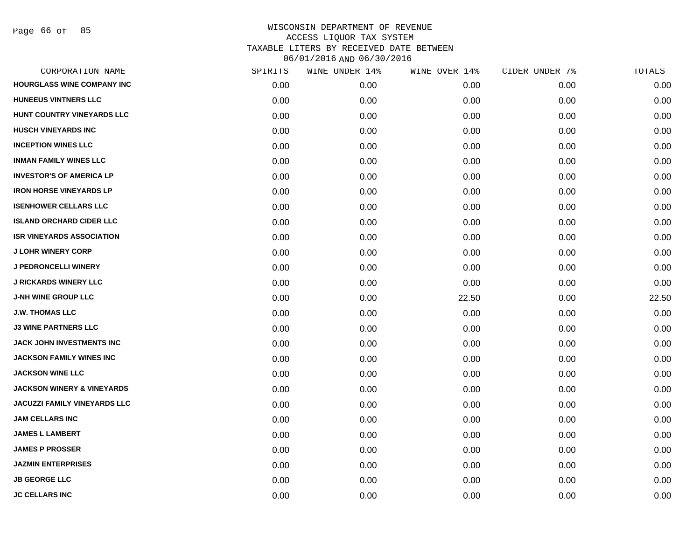Page 66 of 85

| CORPORATION NAME                      | SPIRITS | WINE UNDER 14% | WINE OVER 14% | CIDER UNDER 7% | TOTALS |
|---------------------------------------|---------|----------------|---------------|----------------|--------|
| <b>HOURGLASS WINE COMPANY INC</b>     | 0.00    | 0.00           | 0.00          | 0.00           | 0.00   |
| <b>HUNEEUS VINTNERS LLC</b>           | 0.00    | 0.00           | 0.00          | 0.00           | 0.00   |
| HUNT COUNTRY VINEYARDS LLC            | 0.00    | 0.00           | 0.00          | 0.00           | 0.00   |
| <b>HUSCH VINEYARDS INC</b>            | 0.00    | 0.00           | 0.00          | 0.00           | 0.00   |
| <b>INCEPTION WINES LLC</b>            | 0.00    | 0.00           | 0.00          | 0.00           | 0.00   |
| <b>INMAN FAMILY WINES LLC</b>         | 0.00    | 0.00           | 0.00          | 0.00           | 0.00   |
| <b>INVESTOR'S OF AMERICA LP</b>       | 0.00    | 0.00           | 0.00          | 0.00           | 0.00   |
| <b>IRON HORSE VINEYARDS LP</b>        | 0.00    | 0.00           | 0.00          | 0.00           | 0.00   |
| <b>ISENHOWER CELLARS LLC</b>          | 0.00    | 0.00           | 0.00          | 0.00           | 0.00   |
| <b>ISLAND ORCHARD CIDER LLC</b>       | 0.00    | 0.00           | 0.00          | 0.00           | 0.00   |
| <b>ISR VINEYARDS ASSOCIATION</b>      | 0.00    | 0.00           | 0.00          | 0.00           | 0.00   |
| <b>J LOHR WINERY CORP</b>             | 0.00    | 0.00           | 0.00          | 0.00           | 0.00   |
| J PEDRONCELLI WINERY                  | 0.00    | 0.00           | 0.00          | 0.00           | 0.00   |
| <b>J RICKARDS WINERY LLC</b>          | 0.00    | 0.00           | 0.00          | 0.00           | 0.00   |
| J-NH WINE GROUP LLC                   | 0.00    | 0.00           | 22.50         | 0.00           | 22.50  |
| <b>J.W. THOMAS LLC</b>                | 0.00    | 0.00           | 0.00          | 0.00           | 0.00   |
| <b>J3 WINE PARTNERS LLC</b>           | 0.00    | 0.00           | 0.00          | 0.00           | 0.00   |
| JACK JOHN INVESTMENTS INC             | 0.00    | 0.00           | 0.00          | 0.00           | 0.00   |
| <b>JACKSON FAMILY WINES INC</b>       | 0.00    | 0.00           | 0.00          | 0.00           | 0.00   |
| <b>JACKSON WINE LLC</b>               | 0.00    | 0.00           | 0.00          | 0.00           | 0.00   |
| <b>JACKSON WINERY &amp; VINEYARDS</b> | 0.00    | 0.00           | 0.00          | 0.00           | 0.00   |
| JACUZZI FAMILY VINEYARDS LLC          | 0.00    | 0.00           | 0.00          | 0.00           | 0.00   |
| <b>JAM CELLARS INC</b>                | 0.00    | 0.00           | 0.00          | 0.00           | 0.00   |
| <b>JAMES L LAMBERT</b>                | 0.00    | 0.00           | 0.00          | 0.00           | 0.00   |
| <b>JAMES P PROSSER</b>                | 0.00    | 0.00           | 0.00          | 0.00           | 0.00   |
| <b>JAZMIN ENTERPRISES</b>             | 0.00    | 0.00           | 0.00          | 0.00           | 0.00   |
| <b>JB GEORGE LLC</b>                  | 0.00    | 0.00           | 0.00          | 0.00           | 0.00   |
| <b>JC CELLARS INC</b>                 | 0.00    | 0.00           | 0.00          | 0.00           | 0.00   |
|                                       |         |                |               |                |        |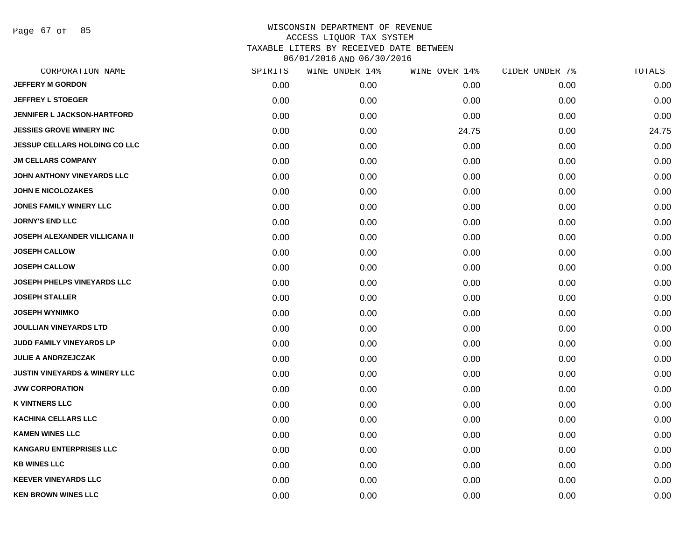Page 67 of 85

| CORPORATION NAME                         | SPIRITS | WINE UNDER 14% | WINE OVER 14% | CIDER UNDER 7% | TOTALS |
|------------------------------------------|---------|----------------|---------------|----------------|--------|
| <b>JEFFERY M GORDON</b>                  | 0.00    | 0.00           | 0.00          | 0.00           | 0.00   |
| <b>JEFFREY L STOEGER</b>                 | 0.00    | 0.00           | 0.00          | 0.00           | 0.00   |
| <b>JENNIFER L JACKSON-HARTFORD</b>       | 0.00    | 0.00           | 0.00          | 0.00           | 0.00   |
| <b>JESSIES GROVE WINERY INC</b>          | 0.00    | 0.00           | 24.75         | 0.00           | 24.75  |
| <b>JESSUP CELLARS HOLDING CO LLC</b>     | 0.00    | 0.00           | 0.00          | 0.00           | 0.00   |
| <b>JM CELLARS COMPANY</b>                | 0.00    | 0.00           | 0.00          | 0.00           | 0.00   |
| JOHN ANTHONY VINEYARDS LLC               | 0.00    | 0.00           | 0.00          | 0.00           | 0.00   |
| <b>JOHN E NICOLOZAKES</b>                | 0.00    | 0.00           | 0.00          | 0.00           | 0.00   |
| <b>JONES FAMILY WINERY LLC</b>           | 0.00    | 0.00           | 0.00          | 0.00           | 0.00   |
| <b>JORNY'S END LLC</b>                   | 0.00    | 0.00           | 0.00          | 0.00           | 0.00   |
| <b>JOSEPH ALEXANDER VILLICANA II</b>     | 0.00    | 0.00           | 0.00          | 0.00           | 0.00   |
| <b>JOSEPH CALLOW</b>                     | 0.00    | 0.00           | 0.00          | 0.00           | 0.00   |
| <b>JOSEPH CALLOW</b>                     | 0.00    | 0.00           | 0.00          | 0.00           | 0.00   |
| JOSEPH PHELPS VINEYARDS LLC              | 0.00    | 0.00           | 0.00          | 0.00           | 0.00   |
| <b>JOSEPH STALLER</b>                    | 0.00    | 0.00           | 0.00          | 0.00           | 0.00   |
| <b>JOSEPH WYNIMKO</b>                    | 0.00    | 0.00           | 0.00          | 0.00           | 0.00   |
| <b>JOULLIAN VINEYARDS LTD</b>            | 0.00    | 0.00           | 0.00          | 0.00           | 0.00   |
| JUDD FAMILY VINEYARDS LP                 | 0.00    | 0.00           | 0.00          | 0.00           | 0.00   |
| <b>JULIE A ANDRZEJCZAK</b>               | 0.00    | 0.00           | 0.00          | 0.00           | 0.00   |
| <b>JUSTIN VINEYARDS &amp; WINERY LLC</b> | 0.00    | 0.00           | 0.00          | 0.00           | 0.00   |
| <b>JVW CORPORATION</b>                   | 0.00    | 0.00           | 0.00          | 0.00           | 0.00   |
| <b>K VINTNERS LLC</b>                    | 0.00    | 0.00           | 0.00          | 0.00           | 0.00   |
| <b>KACHINA CELLARS LLC</b>               | 0.00    | 0.00           | 0.00          | 0.00           | 0.00   |
| <b>KAMEN WINES LLC</b>                   | 0.00    | 0.00           | 0.00          | 0.00           | 0.00   |
| <b>KANGARU ENTERPRISES LLC</b>           | 0.00    | 0.00           | 0.00          | 0.00           | 0.00   |
| <b>KB WINES LLC</b>                      | 0.00    | 0.00           | 0.00          | 0.00           | 0.00   |
| <b>KEEVER VINEYARDS LLC</b>              | 0.00    | 0.00           | 0.00          | 0.00           | 0.00   |
| <b>KEN BROWN WINES LLC</b>               | 0.00    | 0.00           | 0.00          | 0.00           | 0.00   |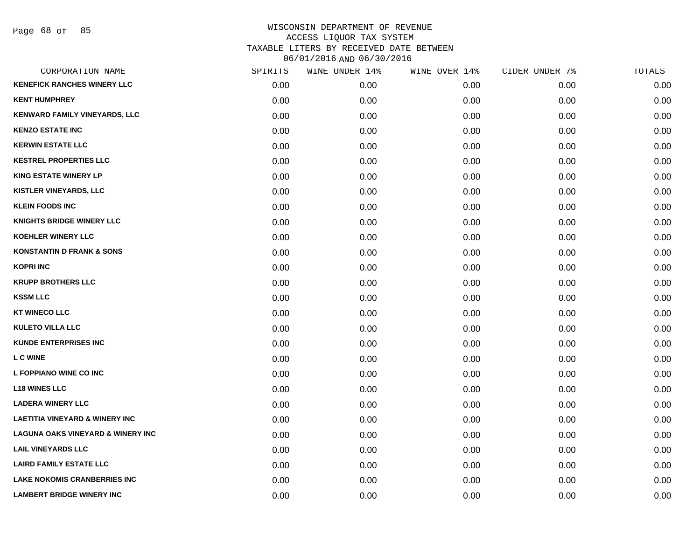Page 68 of 85

| CORPORATION NAME                             | SPIRITS | WINE UNDER 14% | WINE OVER 14% | CIDER UNDER 7% | TOTALS |
|----------------------------------------------|---------|----------------|---------------|----------------|--------|
| <b>KENEFICK RANCHES WINERY LLC</b>           | 0.00    | 0.00           | 0.00          | 0.00           | 0.00   |
| <b>KENT HUMPHREY</b>                         | 0.00    | 0.00           | 0.00          | 0.00           | 0.00   |
| KENWARD FAMILY VINEYARDS, LLC                | 0.00    | 0.00           | 0.00          | 0.00           | 0.00   |
| <b>KENZO ESTATE INC</b>                      | 0.00    | 0.00           | 0.00          | 0.00           | 0.00   |
| <b>KERWIN ESTATE LLC</b>                     | 0.00    | 0.00           | 0.00          | 0.00           | 0.00   |
| <b>KESTREL PROPERTIES LLC</b>                | 0.00    | 0.00           | 0.00          | 0.00           | 0.00   |
| <b>KING ESTATE WINERY LP</b>                 | 0.00    | 0.00           | 0.00          | 0.00           | 0.00   |
| KISTLER VINEYARDS, LLC                       | 0.00    | 0.00           | 0.00          | 0.00           | 0.00   |
| <b>KLEIN FOODS INC</b>                       | 0.00    | 0.00           | 0.00          | 0.00           | 0.00   |
| <b>KNIGHTS BRIDGE WINERY LLC</b>             | 0.00    | 0.00           | 0.00          | 0.00           | 0.00   |
| KOEHLER WINERY LLC                           | 0.00    | 0.00           | 0.00          | 0.00           | 0.00   |
| <b>KONSTANTIN D FRANK &amp; SONS</b>         | 0.00    | 0.00           | 0.00          | 0.00           | 0.00   |
| <b>KOPRI INC</b>                             | 0.00    | 0.00           | 0.00          | 0.00           | 0.00   |
| <b>KRUPP BROTHERS LLC</b>                    | 0.00    | 0.00           | 0.00          | 0.00           | 0.00   |
| <b>KSSM LLC</b>                              | 0.00    | 0.00           | 0.00          | 0.00           | 0.00   |
| <b>KT WINECO LLC</b>                         | 0.00    | 0.00           | 0.00          | 0.00           | 0.00   |
| <b>KULETO VILLA LLC</b>                      | 0.00    | 0.00           | 0.00          | 0.00           | 0.00   |
| <b>KUNDE ENTERPRISES INC</b>                 | 0.00    | 0.00           | 0.00          | 0.00           | 0.00   |
| <b>LC WINE</b>                               | 0.00    | 0.00           | 0.00          | 0.00           | 0.00   |
| L FOPPIANO WINE CO INC                       | 0.00    | 0.00           | 0.00          | 0.00           | 0.00   |
| <b>L18 WINES LLC</b>                         | 0.00    | 0.00           | 0.00          | 0.00           | 0.00   |
| <b>LADERA WINERY LLC</b>                     | 0.00    | 0.00           | 0.00          | 0.00           | 0.00   |
| <b>LAETITIA VINEYARD &amp; WINERY INC</b>    | 0.00    | 0.00           | 0.00          | 0.00           | 0.00   |
| <b>LAGUNA OAKS VINEYARD &amp; WINERY INC</b> | 0.00    | 0.00           | 0.00          | 0.00           | 0.00   |
| <b>LAIL VINEYARDS LLC</b>                    | 0.00    | 0.00           | 0.00          | 0.00           | 0.00   |
| <b>LAIRD FAMILY ESTATE LLC</b>               | 0.00    | 0.00           | 0.00          | 0.00           | 0.00   |
| <b>LAKE NOKOMIS CRANBERRIES INC</b>          | 0.00    | 0.00           | 0.00          | 0.00           | 0.00   |
| <b>LAMBERT BRIDGE WINERY INC</b>             | 0.00    | 0.00           | 0.00          | 0.00           | 0.00   |
|                                              |         |                |               |                |        |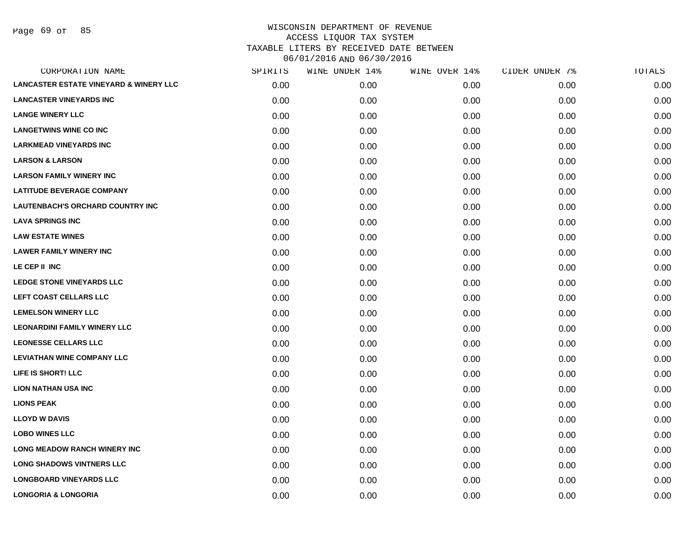Page 69 of 85

| CORPORATION NAME                                  | SPIRITS | WINE UNDER 14% | WINE OVER 14% | CIDER UNDER 7% | TOTALS |
|---------------------------------------------------|---------|----------------|---------------|----------------|--------|
| <b>LANCASTER ESTATE VINEYARD &amp; WINERY LLC</b> | 0.00    | 0.00           | 0.00          | 0.00           | 0.00   |
| <b>LANCASTER VINEYARDS INC</b>                    | 0.00    | 0.00           | 0.00          | 0.00           | 0.00   |
| <b>LANGE WINERY LLC</b>                           | 0.00    | 0.00           | 0.00          | 0.00           | 0.00   |
| <b>LANGETWINS WINE CO INC</b>                     | 0.00    | 0.00           | 0.00          | 0.00           | 0.00   |
| <b>LARKMEAD VINEYARDS INC</b>                     | 0.00    | 0.00           | 0.00          | 0.00           | 0.00   |
| <b>LARSON &amp; LARSON</b>                        | 0.00    | 0.00           | 0.00          | 0.00           | 0.00   |
| <b>LARSON FAMILY WINERY INC</b>                   | 0.00    | 0.00           | 0.00          | 0.00           | 0.00   |
| <b>LATITUDE BEVERAGE COMPANY</b>                  | 0.00    | 0.00           | 0.00          | 0.00           | 0.00   |
| <b>LAUTENBACH'S ORCHARD COUNTRY INC</b>           | 0.00    | 0.00           | 0.00          | 0.00           | 0.00   |
| <b>LAVA SPRINGS INC</b>                           | 0.00    | 0.00           | 0.00          | 0.00           | 0.00   |
| <b>LAW ESTATE WINES</b>                           | 0.00    | 0.00           | 0.00          | 0.00           | 0.00   |
| <b>LAWER FAMILY WINERY INC</b>                    | 0.00    | 0.00           | 0.00          | 0.00           | 0.00   |
| LE CEP II INC                                     | 0.00    | 0.00           | 0.00          | 0.00           | 0.00   |
| <b>LEDGE STONE VINEYARDS LLC</b>                  | 0.00    | 0.00           | 0.00          | 0.00           | 0.00   |
| LEFT COAST CELLARS LLC                            | 0.00    | 0.00           | 0.00          | 0.00           | 0.00   |
| <b>LEMELSON WINERY LLC</b>                        | 0.00    | 0.00           | 0.00          | 0.00           | 0.00   |
| <b>LEONARDINI FAMILY WINERY LLC</b>               | 0.00    | 0.00           | 0.00          | 0.00           | 0.00   |
| <b>LEONESSE CELLARS LLC</b>                       | 0.00    | 0.00           | 0.00          | 0.00           | 0.00   |
| <b>LEVIATHAN WINE COMPANY LLC</b>                 | 0.00    | 0.00           | 0.00          | 0.00           | 0.00   |
| LIFE IS SHORT! LLC                                | 0.00    | 0.00           | 0.00          | 0.00           | 0.00   |
| <b>LION NATHAN USA INC</b>                        | 0.00    | 0.00           | 0.00          | 0.00           | 0.00   |
| <b>LIONS PEAK</b>                                 | 0.00    | 0.00           | 0.00          | 0.00           | 0.00   |
| <b>LLOYD W DAVIS</b>                              | 0.00    | 0.00           | 0.00          | 0.00           | 0.00   |
| <b>LOBO WINES LLC</b>                             | 0.00    | 0.00           | 0.00          | 0.00           | 0.00   |
| <b>LONG MEADOW RANCH WINERY INC</b>               | 0.00    | 0.00           | 0.00          | 0.00           | 0.00   |
| <b>LONG SHADOWS VINTNERS LLC</b>                  | 0.00    | 0.00           | 0.00          | 0.00           | 0.00   |
| <b>LONGBOARD VINEYARDS LLC</b>                    | 0.00    | 0.00           | 0.00          | 0.00           | 0.00   |
| <b>LONGORIA &amp; LONGORIA</b>                    | 0.00    | 0.00           | 0.00          | 0.00           | 0.00   |
|                                                   |         |                |               |                |        |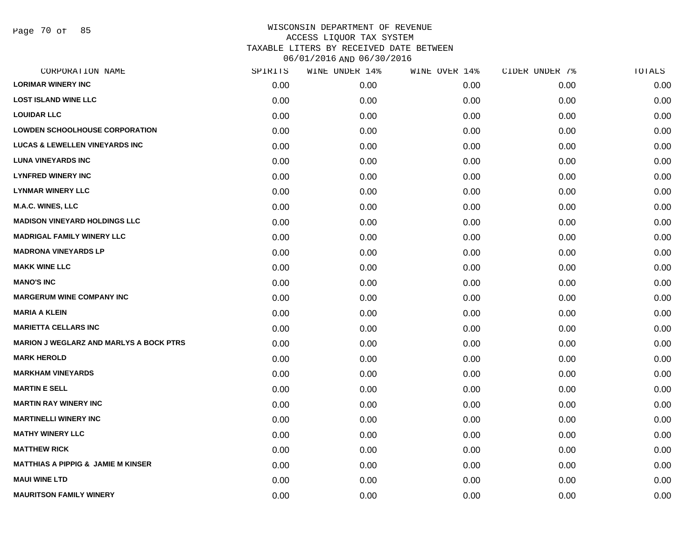Page 70 of 85

| CORPORATION NAME                               | SPIRITS | WINE UNDER 14% | WINE OVER 14% | CIDER UNDER 7% | TOTALS |
|------------------------------------------------|---------|----------------|---------------|----------------|--------|
| <b>LORIMAR WINERY INC</b>                      | 0.00    | 0.00           | 0.00          | 0.00           | 0.00   |
| <b>LOST ISLAND WINE LLC</b>                    | 0.00    | 0.00           | 0.00          | 0.00           | 0.00   |
| <b>LOUIDAR LLC</b>                             | 0.00    | 0.00           | 0.00          | 0.00           | 0.00   |
| <b>LOWDEN SCHOOLHOUSE CORPORATION</b>          | 0.00    | 0.00           | 0.00          | 0.00           | 0.00   |
| <b>LUCAS &amp; LEWELLEN VINEYARDS INC</b>      | 0.00    | 0.00           | 0.00          | 0.00           | 0.00   |
| <b>LUNA VINEYARDS INC</b>                      | 0.00    | 0.00           | 0.00          | 0.00           | 0.00   |
| <b>LYNFRED WINERY INC</b>                      | 0.00    | 0.00           | 0.00          | 0.00           | 0.00   |
| <b>LYNMAR WINERY LLC</b>                       | 0.00    | 0.00           | 0.00          | 0.00           | 0.00   |
| <b>M.A.C. WINES, LLC</b>                       | 0.00    | 0.00           | 0.00          | 0.00           | 0.00   |
| <b>MADISON VINEYARD HOLDINGS LLC</b>           | 0.00    | 0.00           | 0.00          | 0.00           | 0.00   |
| <b>MADRIGAL FAMILY WINERY LLC</b>              | 0.00    | 0.00           | 0.00          | 0.00           | 0.00   |
| <b>MADRONA VINEYARDS LP</b>                    | 0.00    | 0.00           | 0.00          | 0.00           | 0.00   |
| <b>MAKK WINE LLC</b>                           | 0.00    | 0.00           | 0.00          | 0.00           | 0.00   |
| <b>MANO'S INC</b>                              | 0.00    | 0.00           | 0.00          | 0.00           | 0.00   |
| <b>MARGERUM WINE COMPANY INC</b>               | 0.00    | 0.00           | 0.00          | 0.00           | 0.00   |
| <b>MARIA A KLEIN</b>                           | 0.00    | 0.00           | 0.00          | 0.00           | 0.00   |
| <b>MARIETTA CELLARS INC</b>                    | 0.00    | 0.00           | 0.00          | 0.00           | 0.00   |
| <b>MARION J WEGLARZ AND MARLYS A BOCK PTRS</b> | 0.00    | 0.00           | 0.00          | 0.00           | 0.00   |
| <b>MARK HEROLD</b>                             | 0.00    | 0.00           | 0.00          | 0.00           | 0.00   |
| <b>MARKHAM VINEYARDS</b>                       | 0.00    | 0.00           | 0.00          | 0.00           | 0.00   |
| <b>MARTIN E SELL</b>                           | 0.00    | 0.00           | 0.00          | 0.00           | 0.00   |
| <b>MARTIN RAY WINERY INC</b>                   | 0.00    | 0.00           | 0.00          | 0.00           | 0.00   |
| <b>MARTINELLI WINERY INC</b>                   | 0.00    | 0.00           | 0.00          | 0.00           | 0.00   |
| <b>MATHY WINERY LLC</b>                        | 0.00    | 0.00           | 0.00          | 0.00           | 0.00   |
| <b>MATTHEW RICK</b>                            | 0.00    | 0.00           | 0.00          | 0.00           | 0.00   |
| <b>MATTHIAS A PIPPIG &amp; JAMIE M KINSER</b>  | 0.00    | 0.00           | 0.00          | 0.00           | 0.00   |
| <b>MAUI WINE LTD</b>                           | 0.00    | 0.00           | 0.00          | 0.00           | 0.00   |
| <b>MAURITSON FAMILY WINERY</b>                 | 0.00    | 0.00           | 0.00          | 0.00           | 0.00   |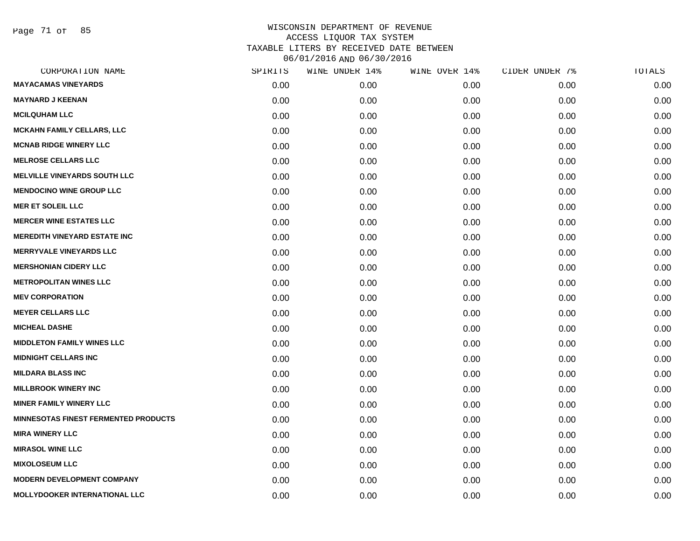Page 71 of 85

| CORPORATION NAME                     | SPIRITS | WINE UNDER 14% | WINE OVER 14% | CIDER UNDER 7% | TOTALS |
|--------------------------------------|---------|----------------|---------------|----------------|--------|
| <b>MAYACAMAS VINEYARDS</b>           | 0.00    | 0.00           | 0.00          | 0.00           | 0.00   |
| <b>MAYNARD J KEENAN</b>              | 0.00    | 0.00           | 0.00          | 0.00           | 0.00   |
| <b>MCILQUHAM LLC</b>                 | 0.00    | 0.00           | 0.00          | 0.00           | 0.00   |
| <b>MCKAHN FAMILY CELLARS, LLC</b>    | 0.00    | 0.00           | 0.00          | 0.00           | 0.00   |
| <b>MCNAB RIDGE WINERY LLC</b>        | 0.00    | 0.00           | 0.00          | 0.00           | 0.00   |
| <b>MELROSE CELLARS LLC</b>           | 0.00    | 0.00           | 0.00          | 0.00           | 0.00   |
| <b>MELVILLE VINEYARDS SOUTH LLC</b>  | 0.00    | 0.00           | 0.00          | 0.00           | 0.00   |
| <b>MENDOCINO WINE GROUP LLC</b>      | 0.00    | 0.00           | 0.00          | 0.00           | 0.00   |
| <b>MER ET SOLEIL LLC</b>             | 0.00    | 0.00           | 0.00          | 0.00           | 0.00   |
| <b>MERCER WINE ESTATES LLC</b>       | 0.00    | 0.00           | 0.00          | 0.00           | 0.00   |
| <b>MEREDITH VINEYARD ESTATE INC</b>  | 0.00    | 0.00           | 0.00          | 0.00           | 0.00   |
| <b>MERRYVALE VINEYARDS LLC</b>       | 0.00    | 0.00           | 0.00          | 0.00           | 0.00   |
| <b>MERSHONIAN CIDERY LLC</b>         | 0.00    | 0.00           | 0.00          | 0.00           | 0.00   |
| <b>METROPOLITAN WINES LLC</b>        | 0.00    | 0.00           | 0.00          | 0.00           | 0.00   |
| <b>MEV CORPORATION</b>               | 0.00    | 0.00           | 0.00          | 0.00           | 0.00   |
| <b>MEYER CELLARS LLC</b>             | 0.00    | 0.00           | 0.00          | 0.00           | 0.00   |
| <b>MICHEAL DASHE</b>                 | 0.00    | 0.00           | 0.00          | 0.00           | 0.00   |
| <b>MIDDLETON FAMILY WINES LLC</b>    | 0.00    | 0.00           | 0.00          | 0.00           | 0.00   |
| <b>MIDNIGHT CELLARS INC</b>          | 0.00    | 0.00           | 0.00          | 0.00           | 0.00   |
| <b>MILDARA BLASS INC</b>             | 0.00    | 0.00           | 0.00          | 0.00           | 0.00   |
| <b>MILLBROOK WINERY INC</b>          | 0.00    | 0.00           | 0.00          | 0.00           | 0.00   |
| <b>MINER FAMILY WINERY LLC</b>       | 0.00    | 0.00           | 0.00          | 0.00           | 0.00   |
| MINNESOTAS FINEST FERMENTED PRODUCTS | 0.00    | 0.00           | 0.00          | 0.00           | 0.00   |
| <b>MIRA WINERY LLC</b>               | 0.00    | 0.00           | 0.00          | 0.00           | 0.00   |
| <b>MIRASOL WINE LLC</b>              | 0.00    | 0.00           | 0.00          | 0.00           | 0.00   |
| <b>MIXOLOSEUM LLC</b>                | 0.00    | 0.00           | 0.00          | 0.00           | 0.00   |
| <b>MODERN DEVELOPMENT COMPANY</b>    | 0.00    | 0.00           | 0.00          | 0.00           | 0.00   |
| MOLLYDOOKER INTERNATIONAL LLC        | 0.00    | 0.00           | 0.00          | 0.00           | 0.00   |
|                                      |         |                |               |                |        |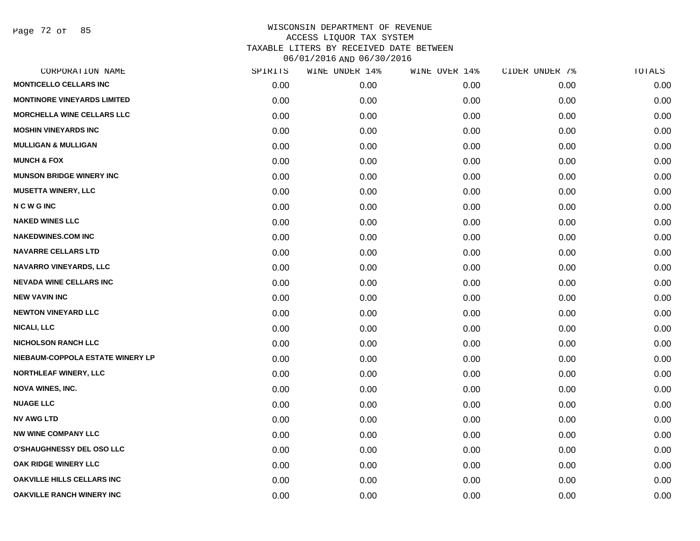Page 72 of 85

| CORPORATION NAME                   | SPIRITS | WINE UNDER 14% | WINE OVER 14% | CIDER UNDER 7% | TOTALS |
|------------------------------------|---------|----------------|---------------|----------------|--------|
| <b>MONTICELLO CELLARS INC</b>      | 0.00    | 0.00           | 0.00          | 0.00           | 0.00   |
| <b>MONTINORE VINEYARDS LIMITED</b> | 0.00    | 0.00           | 0.00          | 0.00           | 0.00   |
| <b>MORCHELLA WINE CELLARS LLC</b>  | 0.00    | 0.00           | 0.00          | 0.00           | 0.00   |
| <b>MOSHIN VINEYARDS INC</b>        | 0.00    | 0.00           | 0.00          | 0.00           | 0.00   |
| <b>MULLIGAN &amp; MULLIGAN</b>     | 0.00    | 0.00           | 0.00          | 0.00           | 0.00   |
| <b>MUNCH &amp; FOX</b>             | 0.00    | 0.00           | 0.00          | 0.00           | 0.00   |
| <b>MUNSON BRIDGE WINERY INC</b>    | 0.00    | 0.00           | 0.00          | 0.00           | 0.00   |
| <b>MUSETTA WINERY, LLC</b>         | 0.00    | 0.00           | 0.00          | 0.00           | 0.00   |
| <b>NCWGINC</b>                     | 0.00    | 0.00           | 0.00          | 0.00           | 0.00   |
| <b>NAKED WINES LLC</b>             | 0.00    | 0.00           | 0.00          | 0.00           | 0.00   |
| <b>NAKEDWINES.COM INC</b>          | 0.00    | 0.00           | 0.00          | 0.00           | 0.00   |
| <b>NAVARRE CELLARS LTD</b>         | 0.00    | 0.00           | 0.00          | 0.00           | 0.00   |
| NAVARRO VINEYARDS, LLC             | 0.00    | 0.00           | 0.00          | 0.00           | 0.00   |
| <b>NEVADA WINE CELLARS INC</b>     | 0.00    | 0.00           | 0.00          | 0.00           | 0.00   |
| <b>NEW VAVIN INC</b>               | 0.00    | 0.00           | 0.00          | 0.00           | 0.00   |
| <b>NEWTON VINEYARD LLC</b>         | 0.00    | 0.00           | 0.00          | 0.00           | 0.00   |
| <b>NICALI, LLC</b>                 | 0.00    | 0.00           | 0.00          | 0.00           | 0.00   |
| <b>NICHOLSON RANCH LLC</b>         | 0.00    | 0.00           | 0.00          | 0.00           | 0.00   |
| NIEBAUM-COPPOLA ESTATE WINERY LP   | 0.00    | 0.00           | 0.00          | 0.00           | 0.00   |
| <b>NORTHLEAF WINERY, LLC</b>       | 0.00    | 0.00           | 0.00          | 0.00           | 0.00   |
| <b>NOVA WINES, INC.</b>            | 0.00    | 0.00           | 0.00          | 0.00           | 0.00   |
| <b>NUAGE LLC</b>                   | 0.00    | 0.00           | 0.00          | 0.00           | 0.00   |
| <b>NV AWG LTD</b>                  | 0.00    | 0.00           | 0.00          | 0.00           | 0.00   |
| <b>NW WINE COMPANY LLC</b>         | 0.00    | 0.00           | 0.00          | 0.00           | 0.00   |
| O'SHAUGHNESSY DEL OSO LLC          | 0.00    | 0.00           | 0.00          | 0.00           | 0.00   |
| OAK RIDGE WINERY LLC               | 0.00    | 0.00           | 0.00          | 0.00           | 0.00   |
| <b>OAKVILLE HILLS CELLARS INC</b>  | 0.00    | 0.00           | 0.00          | 0.00           | 0.00   |
| <b>OAKVILLE RANCH WINERY INC</b>   | 0.00    | 0.00           | 0.00          | 0.00           | 0.00   |
|                                    |         |                |               |                |        |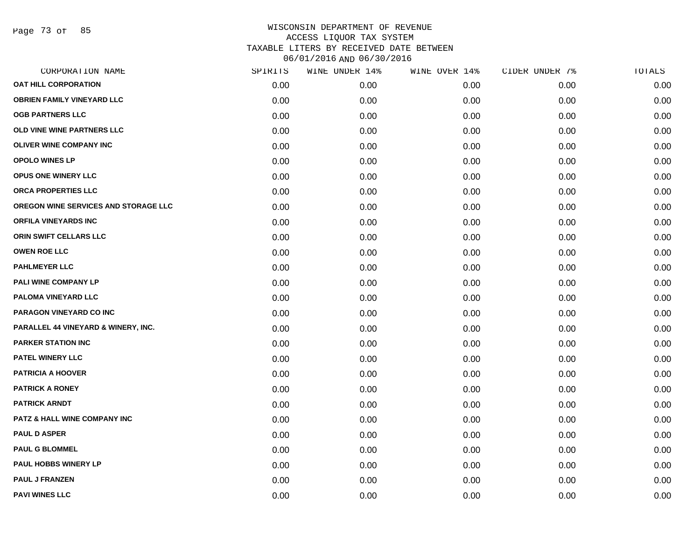Page 73 of 85

| CORPORATION NAME                     | SPIRITS | WINE UNDER 14% | WINE OVER 14% | CIDER UNDER 7% | TOTALS |
|--------------------------------------|---------|----------------|---------------|----------------|--------|
| <b>OAT HILL CORPORATION</b>          | 0.00    | 0.00           | 0.00          | 0.00           | 0.00   |
| <b>OBRIEN FAMILY VINEYARD LLC</b>    | 0.00    | 0.00           | 0.00          | 0.00           | 0.00   |
| <b>OGB PARTNERS LLC</b>              | 0.00    | 0.00           | 0.00          | 0.00           | 0.00   |
| OLD VINE WINE PARTNERS LLC           | 0.00    | 0.00           | 0.00          | 0.00           | 0.00   |
| <b>OLIVER WINE COMPANY INC</b>       | 0.00    | 0.00           | 0.00          | 0.00           | 0.00   |
| <b>OPOLO WINES LP</b>                | 0.00    | 0.00           | 0.00          | 0.00           | 0.00   |
| <b>OPUS ONE WINERY LLC</b>           | 0.00    | 0.00           | 0.00          | 0.00           | 0.00   |
| ORCA PROPERTIES LLC                  | 0.00    | 0.00           | 0.00          | 0.00           | 0.00   |
| OREGON WINE SERVICES AND STORAGE LLC | 0.00    | 0.00           | 0.00          | 0.00           | 0.00   |
| <b>ORFILA VINEYARDS INC</b>          | 0.00    | 0.00           | 0.00          | 0.00           | 0.00   |
| ORIN SWIFT CELLARS LLC               | 0.00    | 0.00           | 0.00          | 0.00           | 0.00   |
| <b>OWEN ROE LLC</b>                  | 0.00    | 0.00           | 0.00          | 0.00           | 0.00   |
| <b>PAHLMEYER LLC</b>                 | 0.00    | 0.00           | 0.00          | 0.00           | 0.00   |
| PALI WINE COMPANY LP                 | 0.00    | 0.00           | 0.00          | 0.00           | 0.00   |
| PALOMA VINEYARD LLC                  | 0.00    | 0.00           | 0.00          | 0.00           | 0.00   |
| PARAGON VINEYARD CO INC              | 0.00    | 0.00           | 0.00          | 0.00           | 0.00   |
| PARALLEL 44 VINEYARD & WINERY, INC.  | 0.00    | 0.00           | 0.00          | 0.00           | 0.00   |
| <b>PARKER STATION INC</b>            | 0.00    | 0.00           | 0.00          | 0.00           | 0.00   |
| PATEL WINERY LLC                     | 0.00    | 0.00           | 0.00          | 0.00           | 0.00   |
| <b>PATRICIA A HOOVER</b>             | 0.00    | 0.00           | 0.00          | 0.00           | 0.00   |
| <b>PATRICK A RONEY</b>               | 0.00    | 0.00           | 0.00          | 0.00           | 0.00   |
| <b>PATRICK ARNDT</b>                 | 0.00    | 0.00           | 0.00          | 0.00           | 0.00   |
| PATZ & HALL WINE COMPANY INC         | 0.00    | 0.00           | 0.00          | 0.00           | 0.00   |
| <b>PAUL D ASPER</b>                  | 0.00    | 0.00           | 0.00          | 0.00           | 0.00   |
| <b>PAUL G BLOMMEL</b>                | 0.00    | 0.00           | 0.00          | 0.00           | 0.00   |
| PAUL HOBBS WINERY LP                 | 0.00    | 0.00           | 0.00          | 0.00           | 0.00   |
| <b>PAUL J FRANZEN</b>                | 0.00    | 0.00           | 0.00          | 0.00           | 0.00   |
| <b>PAVI WINES LLC</b>                | 0.00    | 0.00           | 0.00          | 0.00           | 0.00   |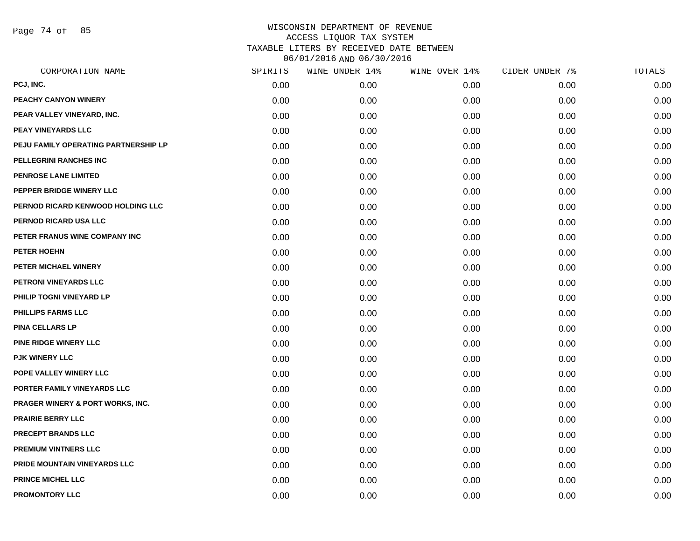Page 74 of 85

|      | WINE UNDER 14% |      | CIDER UNDER 7% | TOTALS |
|------|----------------|------|----------------|--------|
| 0.00 | 0.00           | 0.00 | 0.00           | 0.00   |
| 0.00 | 0.00           | 0.00 | 0.00           | 0.00   |
| 0.00 | 0.00           | 0.00 | 0.00           | 0.00   |
| 0.00 | 0.00           | 0.00 | 0.00           | 0.00   |
| 0.00 | 0.00           | 0.00 | 0.00           | 0.00   |
| 0.00 | 0.00           | 0.00 | 0.00           | 0.00   |
| 0.00 | 0.00           | 0.00 | 0.00           | 0.00   |
| 0.00 | 0.00           | 0.00 | 0.00           | 0.00   |
| 0.00 | 0.00           | 0.00 | 0.00           | 0.00   |
| 0.00 | 0.00           | 0.00 | 0.00           | 0.00   |
| 0.00 | 0.00           | 0.00 | 0.00           | 0.00   |
| 0.00 | 0.00           | 0.00 | 0.00           | 0.00   |
| 0.00 | 0.00           | 0.00 | 0.00           | 0.00   |
| 0.00 | 0.00           | 0.00 | 0.00           | 0.00   |
| 0.00 | 0.00           | 0.00 | 0.00           | 0.00   |
| 0.00 | 0.00           | 0.00 | 0.00           | 0.00   |
| 0.00 | 0.00           | 0.00 | 0.00           | 0.00   |
| 0.00 | 0.00           | 0.00 | 0.00           | 0.00   |
| 0.00 | 0.00           | 0.00 | 0.00           | 0.00   |
| 0.00 | 0.00           | 0.00 | 0.00           | 0.00   |
| 0.00 | 0.00           | 0.00 | 0.00           | 0.00   |
| 0.00 | 0.00           | 0.00 | 0.00           | 0.00   |
| 0.00 | 0.00           | 0.00 | 0.00           | 0.00   |
| 0.00 | 0.00           | 0.00 | 0.00           | 0.00   |
| 0.00 | 0.00           | 0.00 | 0.00           | 0.00   |
| 0.00 | 0.00           | 0.00 | 0.00           | 0.00   |
| 0.00 | 0.00           | 0.00 | 0.00           | 0.00   |
| 0.00 | 0.00           | 0.00 | 0.00           | 0.00   |
|      | SPIRITS        |      | WINE OVER 14%  |        |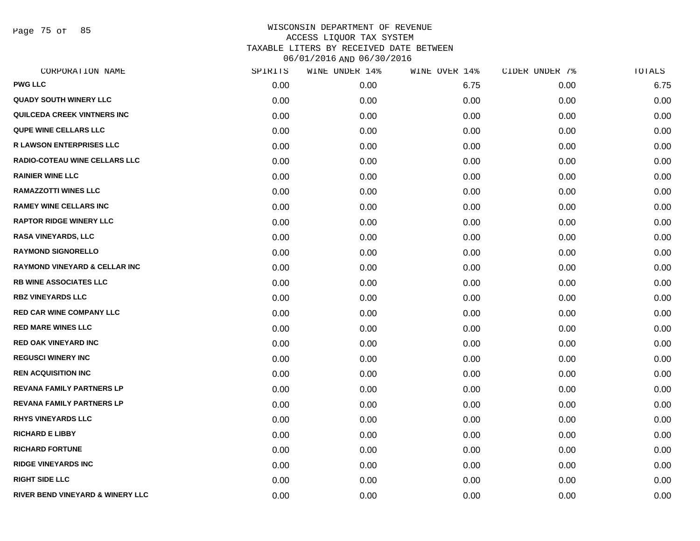Page 75 of 85

| CORPORATION NAME                         | SPIRITS | WINE UNDER 14% | WINE OVER 14% | CIDER UNDER 7% | TOTALS |
|------------------------------------------|---------|----------------|---------------|----------------|--------|
| <b>PWG LLC</b>                           | 0.00    | 0.00           | 6.75          | 0.00           | 6.75   |
| <b>QUADY SOUTH WINERY LLC</b>            | 0.00    | 0.00           | 0.00          | 0.00           | 0.00   |
| QUILCEDA CREEK VINTNERS INC              | 0.00    | 0.00           | 0.00          | 0.00           | 0.00   |
| <b>QUPE WINE CELLARS LLC</b>             | 0.00    | 0.00           | 0.00          | 0.00           | 0.00   |
| <b>R LAWSON ENTERPRISES LLC</b>          | 0.00    | 0.00           | 0.00          | 0.00           | 0.00   |
| <b>RADIO-COTEAU WINE CELLARS LLC</b>     | 0.00    | 0.00           | 0.00          | 0.00           | 0.00   |
| <b>RAINIER WINE LLC</b>                  | 0.00    | 0.00           | 0.00          | 0.00           | 0.00   |
| <b>RAMAZZOTTI WINES LLC</b>              | 0.00    | 0.00           | 0.00          | 0.00           | 0.00   |
| <b>RAMEY WINE CELLARS INC</b>            | 0.00    | 0.00           | 0.00          | 0.00           | 0.00   |
| <b>RAPTOR RIDGE WINERY LLC</b>           | 0.00    | 0.00           | 0.00          | 0.00           | 0.00   |
| <b>RASA VINEYARDS, LLC</b>               | 0.00    | 0.00           | 0.00          | 0.00           | 0.00   |
| <b>RAYMOND SIGNORELLO</b>                | 0.00    | 0.00           | 0.00          | 0.00           | 0.00   |
| <b>RAYMOND VINEYARD &amp; CELLAR INC</b> | 0.00    | 0.00           | 0.00          | 0.00           | 0.00   |
| <b>RB WINE ASSOCIATES LLC</b>            | 0.00    | 0.00           | 0.00          | 0.00           | 0.00   |
| <b>RBZ VINEYARDS LLC</b>                 | 0.00    | 0.00           | 0.00          | 0.00           | 0.00   |
| <b>RED CAR WINE COMPANY LLC</b>          | 0.00    | 0.00           | 0.00          | 0.00           | 0.00   |
| <b>RED MARE WINES LLC</b>                | 0.00    | 0.00           | 0.00          | 0.00           | 0.00   |
| <b>RED OAK VINEYARD INC</b>              | 0.00    | 0.00           | 0.00          | 0.00           | 0.00   |
| <b>REGUSCI WINERY INC</b>                | 0.00    | 0.00           | 0.00          | 0.00           | 0.00   |
| <b>REN ACQUISITION INC</b>               | 0.00    | 0.00           | 0.00          | 0.00           | 0.00   |
| <b>REVANA FAMILY PARTNERS LP</b>         | 0.00    | 0.00           | 0.00          | 0.00           | 0.00   |
| <b>REVANA FAMILY PARTNERS LP</b>         | 0.00    | 0.00           | 0.00          | 0.00           | 0.00   |
| <b>RHYS VINEYARDS LLC</b>                | 0.00    | 0.00           | 0.00          | 0.00           | 0.00   |
| <b>RICHARD E LIBBY</b>                   | 0.00    | 0.00           | 0.00          | 0.00           | 0.00   |
| <b>RICHARD FORTUNE</b>                   | 0.00    | 0.00           | 0.00          | 0.00           | 0.00   |
| <b>RIDGE VINEYARDS INC</b>               | 0.00    | 0.00           | 0.00          | 0.00           | 0.00   |
| <b>RIGHT SIDE LLC</b>                    | 0.00    | 0.00           | 0.00          | 0.00           | 0.00   |
| RIVER BEND VINEYARD & WINERY LLC         | 0.00    | 0.00           | 0.00          | 0.00           | 0.00   |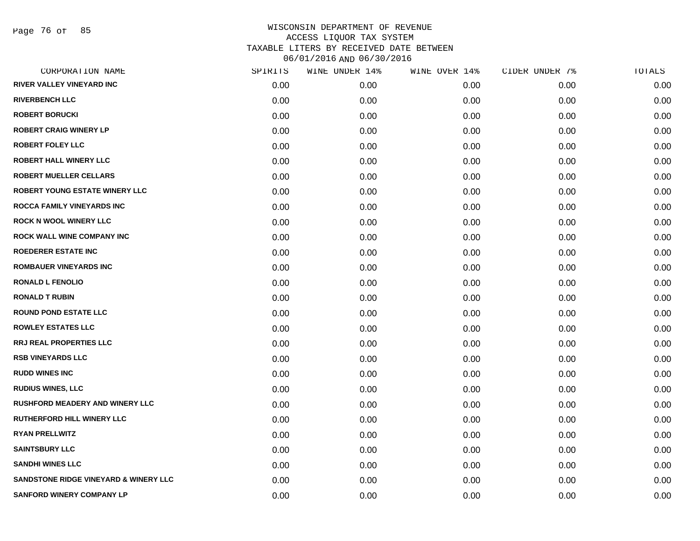Page 76 of 85

| CORPORATION NAME                       | SPIRITS | WINE UNDER 14% | WINE OVER 14% | CIDER UNDER 7% | TOTALS |
|----------------------------------------|---------|----------------|---------------|----------------|--------|
| <b>RIVER VALLEY VINEYARD INC</b>       | 0.00    | 0.00           | 0.00          | 0.00           | 0.00   |
| <b>RIVERBENCH LLC</b>                  | 0.00    | 0.00           | 0.00          | 0.00           | 0.00   |
| <b>ROBERT BORUCKI</b>                  | 0.00    | 0.00           | 0.00          | 0.00           | 0.00   |
| <b>ROBERT CRAIG WINERY LP</b>          | 0.00    | 0.00           | 0.00          | 0.00           | 0.00   |
| <b>ROBERT FOLEY LLC</b>                | 0.00    | 0.00           | 0.00          | 0.00           | 0.00   |
| <b>ROBERT HALL WINERY LLC</b>          | 0.00    | 0.00           | 0.00          | 0.00           | 0.00   |
| <b>ROBERT MUELLER CELLARS</b>          | 0.00    | 0.00           | 0.00          | 0.00           | 0.00   |
| <b>ROBERT YOUNG ESTATE WINERY LLC</b>  | 0.00    | 0.00           | 0.00          | 0.00           | 0.00   |
| <b>ROCCA FAMILY VINEYARDS INC</b>      | 0.00    | 0.00           | 0.00          | 0.00           | 0.00   |
| <b>ROCK N WOOL WINERY LLC</b>          | 0.00    | 0.00           | 0.00          | 0.00           | 0.00   |
| <b>ROCK WALL WINE COMPANY INC</b>      | 0.00    | 0.00           | 0.00          | 0.00           | 0.00   |
| <b>ROEDERER ESTATE INC</b>             | 0.00    | 0.00           | 0.00          | 0.00           | 0.00   |
| <b>ROMBAUER VINEYARDS INC</b>          | 0.00    | 0.00           | 0.00          | 0.00           | 0.00   |
| <b>RONALD L FENOLIO</b>                | 0.00    | 0.00           | 0.00          | 0.00           | 0.00   |
| <b>RONALD T RUBIN</b>                  | 0.00    | 0.00           | 0.00          | 0.00           | 0.00   |
| <b>ROUND POND ESTATE LLC</b>           | 0.00    | 0.00           | 0.00          | 0.00           | 0.00   |
| <b>ROWLEY ESTATES LLC</b>              | 0.00    | 0.00           | 0.00          | 0.00           | 0.00   |
| <b>RRJ REAL PROPERTIES LLC</b>         | 0.00    | 0.00           | 0.00          | 0.00           | 0.00   |
| <b>RSB VINEYARDS LLC</b>               | 0.00    | 0.00           | 0.00          | 0.00           | 0.00   |
| <b>RUDD WINES INC</b>                  | 0.00    | 0.00           | 0.00          | 0.00           | 0.00   |
| <b>RUDIUS WINES, LLC</b>               | 0.00    | 0.00           | 0.00          | 0.00           | 0.00   |
| <b>RUSHFORD MEADERY AND WINERY LLC</b> | 0.00    | 0.00           | 0.00          | 0.00           | 0.00   |
| RUTHERFORD HILL WINERY LLC             | 0.00    | 0.00           | 0.00          | 0.00           | 0.00   |
| <b>RYAN PRELLWITZ</b>                  | 0.00    | 0.00           | 0.00          | 0.00           | 0.00   |
| <b>SAINTSBURY LLC</b>                  | 0.00    | 0.00           | 0.00          | 0.00           | 0.00   |
| <b>SANDHI WINES LLC</b>                | 0.00    | 0.00           | 0.00          | 0.00           | 0.00   |
| SANDSTONE RIDGE VINEYARD & WINERY LLC  | 0.00    | 0.00           | 0.00          | 0.00           | 0.00   |
| <b>SANFORD WINERY COMPANY LP</b>       | 0.00    | 0.00           | 0.00          | 0.00           | 0.00   |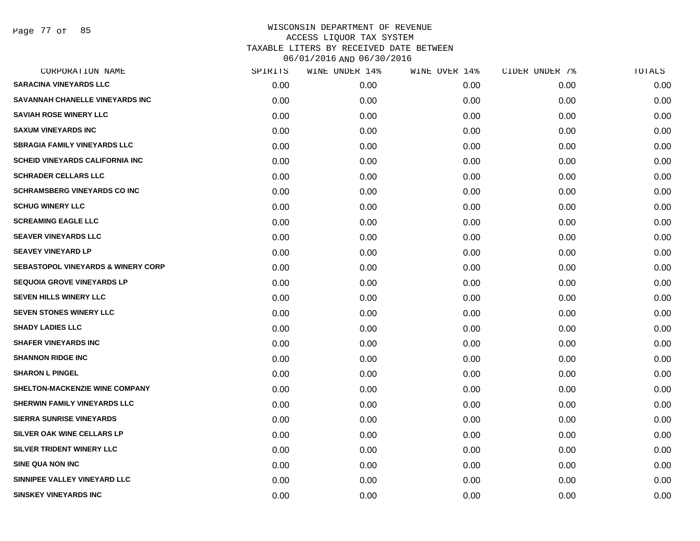Page 77 of 85

| SPIRITS | WINE UNDER 14% | WINE OVER 14% |      | TOTALS         |
|---------|----------------|---------------|------|----------------|
| 0.00    | 0.00           | 0.00          | 0.00 | 0.00           |
| 0.00    | 0.00           | 0.00          | 0.00 | 0.00           |
| 0.00    | 0.00           | 0.00          | 0.00 | 0.00           |
| 0.00    | 0.00           | 0.00          | 0.00 | 0.00           |
| 0.00    | 0.00           | 0.00          | 0.00 | 0.00           |
| 0.00    | 0.00           | 0.00          | 0.00 | 0.00           |
| 0.00    | 0.00           | 0.00          | 0.00 | 0.00           |
| 0.00    | 0.00           | 0.00          | 0.00 | 0.00           |
| 0.00    | 0.00           | 0.00          | 0.00 | 0.00           |
| 0.00    | 0.00           | 0.00          | 0.00 | 0.00           |
| 0.00    | 0.00           | 0.00          | 0.00 | 0.00           |
| 0.00    | 0.00           | 0.00          | 0.00 | 0.00           |
| 0.00    | 0.00           | 0.00          | 0.00 | 0.00           |
| 0.00    | 0.00           | 0.00          | 0.00 | 0.00           |
| 0.00    | 0.00           | 0.00          | 0.00 | 0.00           |
| 0.00    | 0.00           | 0.00          | 0.00 | 0.00           |
| 0.00    | 0.00           | 0.00          | 0.00 | 0.00           |
| 0.00    | 0.00           | 0.00          | 0.00 | 0.00           |
| 0.00    | 0.00           | 0.00          | 0.00 | 0.00           |
| 0.00    | 0.00           | 0.00          | 0.00 | 0.00           |
| 0.00    | 0.00           | 0.00          | 0.00 | 0.00           |
| 0.00    | 0.00           | 0.00          | 0.00 | 0.00           |
| 0.00    | 0.00           | 0.00          | 0.00 | 0.00           |
| 0.00    | 0.00           | 0.00          | 0.00 | 0.00           |
| 0.00    | 0.00           | 0.00          | 0.00 | 0.00           |
| 0.00    | 0.00           | 0.00          | 0.00 | 0.00           |
| 0.00    | 0.00           | 0.00          | 0.00 | 0.00           |
| 0.00    | 0.00           | 0.00          | 0.00 | 0.00           |
|         |                |               |      | CIDER UNDER 7% |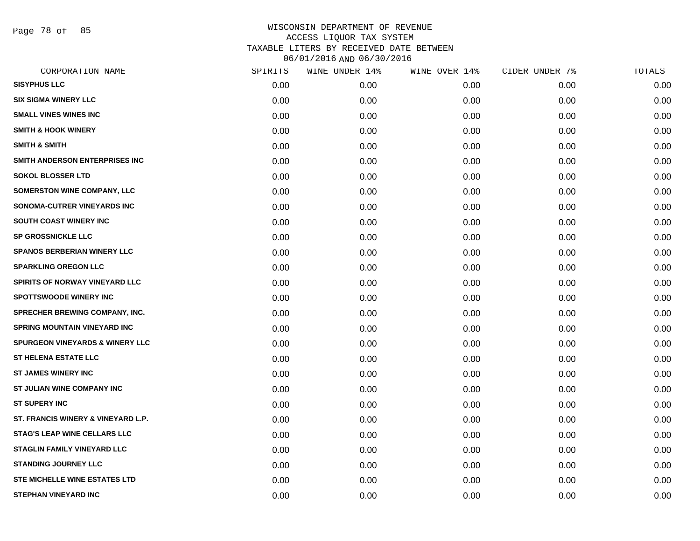Page 78 of 85

| CORPORATION NAME                           | SPIRITS | WINE UNDER 14% | WINE OVER 14% | CIDER UNDER 7% | TOTALS |
|--------------------------------------------|---------|----------------|---------------|----------------|--------|
| <b>SISYPHUS LLC</b>                        | 0.00    | 0.00           | 0.00          | 0.00           | 0.00   |
| <b>SIX SIGMA WINERY LLC</b>                | 0.00    | 0.00           | 0.00          | 0.00           | 0.00   |
| <b>SMALL VINES WINES INC</b>               | 0.00    | 0.00           | 0.00          | 0.00           | 0.00   |
| <b>SMITH &amp; HOOK WINERY</b>             | 0.00    | 0.00           | 0.00          | 0.00           | 0.00   |
| <b>SMITH &amp; SMITH</b>                   | 0.00    | 0.00           | 0.00          | 0.00           | 0.00   |
| SMITH ANDERSON ENTERPRISES INC             | 0.00    | 0.00           | 0.00          | 0.00           | 0.00   |
| <b>SOKOL BLOSSER LTD</b>                   | 0.00    | 0.00           | 0.00          | 0.00           | 0.00   |
| <b>SOMERSTON WINE COMPANY, LLC</b>         | 0.00    | 0.00           | 0.00          | 0.00           | 0.00   |
| SONOMA-CUTRER VINEYARDS INC                | 0.00    | 0.00           | 0.00          | 0.00           | 0.00   |
| SOUTH COAST WINERY INC                     | 0.00    | 0.00           | 0.00          | 0.00           | 0.00   |
| <b>SP GROSSNICKLE LLC</b>                  | 0.00    | 0.00           | 0.00          | 0.00           | 0.00   |
| <b>SPANOS BERBERIAN WINERY LLC</b>         | 0.00    | 0.00           | 0.00          | 0.00           | 0.00   |
| <b>SPARKLING OREGON LLC</b>                | 0.00    | 0.00           | 0.00          | 0.00           | 0.00   |
| SPIRITS OF NORWAY VINEYARD LLC             | 0.00    | 0.00           | 0.00          | 0.00           | 0.00   |
| <b>SPOTTSWOODE WINERY INC</b>              | 0.00    | 0.00           | 0.00          | 0.00           | 0.00   |
| SPRECHER BREWING COMPANY, INC.             | 0.00    | 0.00           | 0.00          | 0.00           | 0.00   |
| <b>SPRING MOUNTAIN VINEYARD INC</b>        | 0.00    | 0.00           | 0.00          | 0.00           | 0.00   |
| <b>SPURGEON VINEYARDS &amp; WINERY LLC</b> | 0.00    | 0.00           | 0.00          | 0.00           | 0.00   |
| <b>ST HELENA ESTATE LLC</b>                | 0.00    | 0.00           | 0.00          | 0.00           | 0.00   |
| <b>ST JAMES WINERY INC</b>                 | 0.00    | 0.00           | 0.00          | 0.00           | 0.00   |
| ST JULIAN WINE COMPANY INC                 | 0.00    | 0.00           | 0.00          | 0.00           | 0.00   |
| <b>ST SUPERY INC</b>                       | 0.00    | 0.00           | 0.00          | 0.00           | 0.00   |
| ST. FRANCIS WINERY & VINEYARD L.P.         | 0.00    | 0.00           | 0.00          | 0.00           | 0.00   |
| <b>STAG'S LEAP WINE CELLARS LLC</b>        | 0.00    | 0.00           | 0.00          | 0.00           | 0.00   |
| <b>STAGLIN FAMILY VINEYARD LLC</b>         | 0.00    | 0.00           | 0.00          | 0.00           | 0.00   |
| <b>STANDING JOURNEY LLC</b>                | 0.00    | 0.00           | 0.00          | 0.00           | 0.00   |
| <b>STE MICHELLE WINE ESTATES LTD</b>       | 0.00    | 0.00           | 0.00          | 0.00           | 0.00   |
| <b>STEPHAN VINEYARD INC</b>                | 0.00    | 0.00           | 0.00          | 0.00           | 0.00   |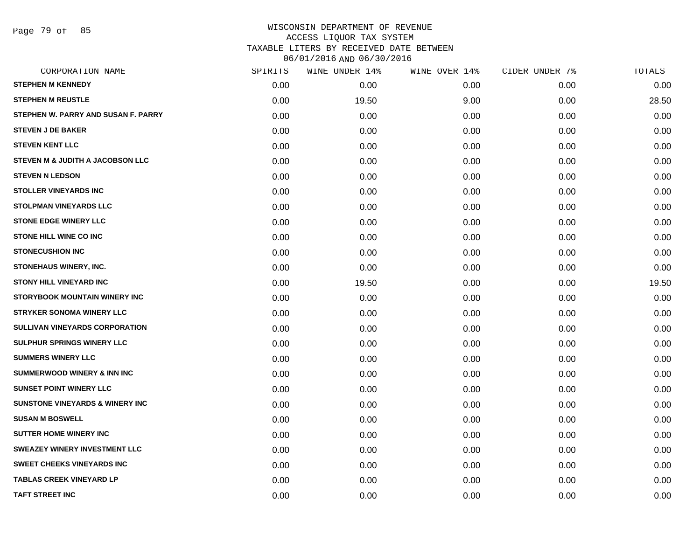Page 79 of 85

| CORPORATION NAME                           | SPIRITS | WINE UNDER 14% | WINE OVER 14% | CIDER UNDER 7% | TOTALS |
|--------------------------------------------|---------|----------------|---------------|----------------|--------|
| <b>STEPHEN M KENNEDY</b>                   | 0.00    | 0.00           | 0.00          | 0.00           | 0.00   |
| <b>STEPHEN M REUSTLE</b>                   | 0.00    | 19.50          | 9.00          | 0.00           | 28.50  |
| STEPHEN W. PARRY AND SUSAN F. PARRY        | 0.00    | 0.00           | 0.00          | 0.00           | 0.00   |
| <b>STEVEN J DE BAKER</b>                   | 0.00    | 0.00           | 0.00          | 0.00           | 0.00   |
| <b>STEVEN KENT LLC</b>                     | 0.00    | 0.00           | 0.00          | 0.00           | 0.00   |
| STEVEN M & JUDITH A JACOBSON LLC           | 0.00    | 0.00           | 0.00          | 0.00           | 0.00   |
| <b>STEVEN N LEDSON</b>                     | 0.00    | 0.00           | 0.00          | 0.00           | 0.00   |
| <b>STOLLER VINEYARDS INC</b>               | 0.00    | 0.00           | 0.00          | 0.00           | 0.00   |
| <b>STOLPMAN VINEYARDS LLC</b>              | 0.00    | 0.00           | 0.00          | 0.00           | 0.00   |
| <b>STONE EDGE WINERY LLC</b>               | 0.00    | 0.00           | 0.00          | 0.00           | 0.00   |
| <b>STONE HILL WINE CO INC</b>              | 0.00    | 0.00           | 0.00          | 0.00           | 0.00   |
| <b>STONECUSHION INC</b>                    | 0.00    | 0.00           | 0.00          | 0.00           | 0.00   |
| STONEHAUS WINERY, INC.                     | 0.00    | 0.00           | 0.00          | 0.00           | 0.00   |
| <b>STONY HILL VINEYARD INC</b>             | 0.00    | 19.50          | 0.00          | 0.00           | 19.50  |
| <b>STORYBOOK MOUNTAIN WINERY INC</b>       | 0.00    | 0.00           | 0.00          | 0.00           | 0.00   |
| <b>STRYKER SONOMA WINERY LLC</b>           | 0.00    | 0.00           | 0.00          | 0.00           | 0.00   |
| <b>SULLIVAN VINEYARDS CORPORATION</b>      | 0.00    | 0.00           | 0.00          | 0.00           | 0.00   |
| <b>SULPHUR SPRINGS WINERY LLC</b>          | 0.00    | 0.00           | 0.00          | 0.00           | 0.00   |
| <b>SUMMERS WINERY LLC</b>                  | 0.00    | 0.00           | 0.00          | 0.00           | 0.00   |
| <b>SUMMERWOOD WINERY &amp; INN INC</b>     | 0.00    | 0.00           | 0.00          | 0.00           | 0.00   |
| <b>SUNSET POINT WINERY LLC</b>             | 0.00    | 0.00           | 0.00          | 0.00           | 0.00   |
| <b>SUNSTONE VINEYARDS &amp; WINERY INC</b> | 0.00    | 0.00           | 0.00          | 0.00           | 0.00   |
| <b>SUSAN M BOSWELL</b>                     | 0.00    | 0.00           | 0.00          | 0.00           | 0.00   |
| <b>SUTTER HOME WINERY INC</b>              | 0.00    | 0.00           | 0.00          | 0.00           | 0.00   |
| <b>SWEAZEY WINERY INVESTMENT LLC</b>       | 0.00    | 0.00           | 0.00          | 0.00           | 0.00   |
| <b>SWEET CHEEKS VINEYARDS INC</b>          | 0.00    | 0.00           | 0.00          | 0.00           | 0.00   |
| <b>TABLAS CREEK VINEYARD LP</b>            | 0.00    | 0.00           | 0.00          | 0.00           | 0.00   |
| <b>TAFT STREET INC</b>                     | 0.00    | 0.00           | 0.00          | 0.00           | 0.00   |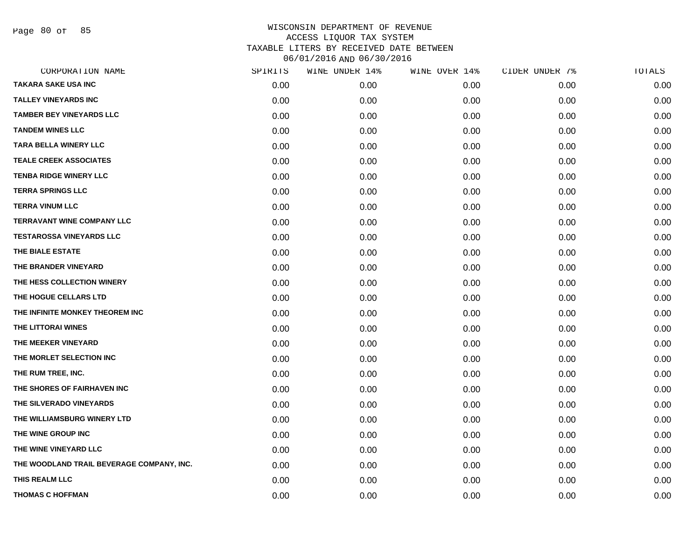Page 80 of 85

| CORPORATION NAME                          | SPIRITS | WINE UNDER 14% | WINE OVER 14% | CIDER UNDER 7% | TOTALS |
|-------------------------------------------|---------|----------------|---------------|----------------|--------|
| <b>TAKARA SAKE USA INC</b>                | 0.00    | 0.00           | 0.00          | 0.00           | 0.00   |
| <b>TALLEY VINEYARDS INC</b>               | 0.00    | 0.00           | 0.00          | 0.00           | 0.00   |
| <b>TAMBER BEY VINEYARDS LLC</b>           | 0.00    | 0.00           | 0.00          | 0.00           | 0.00   |
| <b>TANDEM WINES LLC</b>                   | 0.00    | 0.00           | 0.00          | 0.00           | 0.00   |
| <b>TARA BELLA WINERY LLC</b>              | 0.00    | 0.00           | 0.00          | 0.00           | 0.00   |
| <b>TEALE CREEK ASSOCIATES</b>             | 0.00    | 0.00           | 0.00          | 0.00           | 0.00   |
| <b>TENBA RIDGE WINERY LLC</b>             | 0.00    | 0.00           | 0.00          | 0.00           | 0.00   |
| <b>TERRA SPRINGS LLC</b>                  | 0.00    | 0.00           | 0.00          | 0.00           | 0.00   |
| <b>TERRA VINUM LLC</b>                    | 0.00    | 0.00           | 0.00          | 0.00           | 0.00   |
| <b>TERRAVANT WINE COMPANY LLC</b>         | 0.00    | 0.00           | 0.00          | 0.00           | 0.00   |
| <b>TESTAROSSA VINEYARDS LLC</b>           | 0.00    | 0.00           | 0.00          | 0.00           | 0.00   |
| THE BIALE ESTATE                          | 0.00    | 0.00           | 0.00          | 0.00           | 0.00   |
| THE BRANDER VINEYARD                      | 0.00    | 0.00           | 0.00          | 0.00           | 0.00   |
| THE HESS COLLECTION WINERY                | 0.00    | 0.00           | 0.00          | 0.00           | 0.00   |
| THE HOGUE CELLARS LTD                     | 0.00    | 0.00           | 0.00          | 0.00           | 0.00   |
| THE INFINITE MONKEY THEOREM INC           | 0.00    | 0.00           | 0.00          | 0.00           | 0.00   |
| THE LITTORAI WINES                        | 0.00    | 0.00           | 0.00          | 0.00           | 0.00   |
| THE MEEKER VINEYARD                       | 0.00    | 0.00           | 0.00          | 0.00           | 0.00   |
| THE MORLET SELECTION INC                  | 0.00    | 0.00           | 0.00          | 0.00           | 0.00   |
| THE RUM TREE, INC.                        | 0.00    | 0.00           | 0.00          | 0.00           | 0.00   |
| THE SHORES OF FAIRHAVEN INC               | 0.00    | 0.00           | 0.00          | 0.00           | 0.00   |
| THE SILVERADO VINEYARDS                   | 0.00    | 0.00           | 0.00          | 0.00           | 0.00   |
| THE WILLIAMSBURG WINERY LTD               | 0.00    | 0.00           | 0.00          | 0.00           | 0.00   |
| THE WINE GROUP INC                        | 0.00    | 0.00           | 0.00          | 0.00           | 0.00   |
| THE WINE VINEYARD LLC                     | 0.00    | 0.00           | 0.00          | 0.00           | 0.00   |
| THE WOODLAND TRAIL BEVERAGE COMPANY, INC. | 0.00    | 0.00           | 0.00          | 0.00           | 0.00   |
| THIS REALM LLC                            | 0.00    | 0.00           | 0.00          | 0.00           | 0.00   |
| <b>THOMAS C HOFFMAN</b>                   | 0.00    | 0.00           | 0.00          | 0.00           | 0.00   |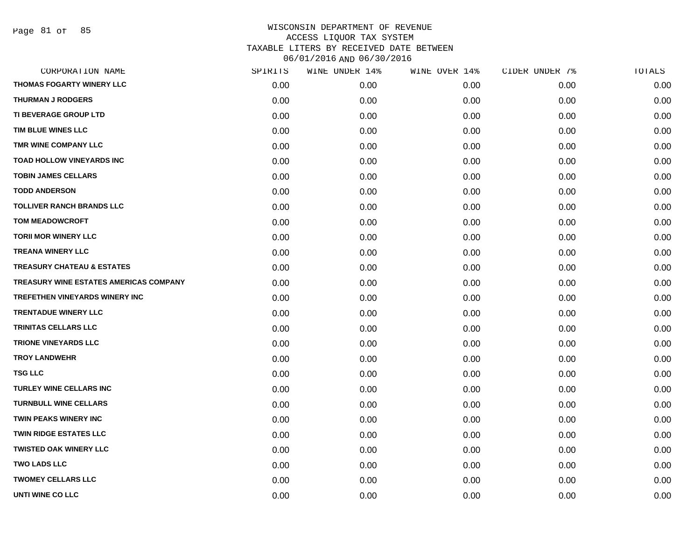Page 81 of 85

| CORPORATION NAME                       | SPIRITS | WINE UNDER 14% | WINE OVER 14% | CIDER UNDER 7% | TOTALS |
|----------------------------------------|---------|----------------|---------------|----------------|--------|
| THOMAS FOGARTY WINERY LLC              | 0.00    | 0.00           | 0.00          | 0.00           | 0.00   |
| <b>THURMAN J RODGERS</b>               | 0.00    | 0.00           | 0.00          | 0.00           | 0.00   |
| TI BEVERAGE GROUP LTD                  | 0.00    | 0.00           | 0.00          | 0.00           | 0.00   |
| TIM BLUE WINES LLC                     | 0.00    | 0.00           | 0.00          | 0.00           | 0.00   |
| TMR WINE COMPANY LLC                   | 0.00    | 0.00           | 0.00          | 0.00           | 0.00   |
| <b>TOAD HOLLOW VINEYARDS INC</b>       | 0.00    | 0.00           | 0.00          | 0.00           | 0.00   |
| <b>TOBIN JAMES CELLARS</b>             | 0.00    | 0.00           | 0.00          | 0.00           | 0.00   |
| <b>TODD ANDERSON</b>                   | 0.00    | 0.00           | 0.00          | 0.00           | 0.00   |
| <b>TOLLIVER RANCH BRANDS LLC</b>       | 0.00    | 0.00           | 0.00          | 0.00           | 0.00   |
| <b>TOM MEADOWCROFT</b>                 | 0.00    | 0.00           | 0.00          | 0.00           | 0.00   |
| <b>TORII MOR WINERY LLC</b>            | 0.00    | 0.00           | 0.00          | 0.00           | 0.00   |
| <b>TREANA WINERY LLC</b>               | 0.00    | 0.00           | 0.00          | 0.00           | 0.00   |
| <b>TREASURY CHATEAU &amp; ESTATES</b>  | 0.00    | 0.00           | 0.00          | 0.00           | 0.00   |
| TREASURY WINE ESTATES AMERICAS COMPANY | 0.00    | 0.00           | 0.00          | 0.00           | 0.00   |
| TREFETHEN VINEYARDS WINERY INC         | 0.00    | 0.00           | 0.00          | 0.00           | 0.00   |
| <b>TRENTADUE WINERY LLC</b>            | 0.00    | 0.00           | 0.00          | 0.00           | 0.00   |
| <b>TRINITAS CELLARS LLC</b>            | 0.00    | 0.00           | 0.00          | 0.00           | 0.00   |
| <b>TRIONE VINEYARDS LLC</b>            | 0.00    | 0.00           | 0.00          | 0.00           | 0.00   |
| <b>TROY LANDWEHR</b>                   | 0.00    | 0.00           | 0.00          | 0.00           | 0.00   |
| <b>TSG LLC</b>                         | 0.00    | 0.00           | 0.00          | 0.00           | 0.00   |
| TURLEY WINE CELLARS INC                | 0.00    | 0.00           | 0.00          | 0.00           | 0.00   |
| <b>TURNBULL WINE CELLARS</b>           | 0.00    | 0.00           | 0.00          | 0.00           | 0.00   |
| TWIN PEAKS WINERY INC                  | 0.00    | 0.00           | 0.00          | 0.00           | 0.00   |
| <b>TWIN RIDGE ESTATES LLC</b>          | 0.00    | 0.00           | 0.00          | 0.00           | 0.00   |
| <b>TWISTED OAK WINERY LLC</b>          | 0.00    | 0.00           | 0.00          | 0.00           | 0.00   |
| <b>TWO LADS LLC</b>                    | 0.00    | 0.00           | 0.00          | 0.00           | 0.00   |
| <b>TWOMEY CELLARS LLC</b>              | 0.00    | 0.00           | 0.00          | 0.00           | 0.00   |
| <b>UNTI WINE CO LLC</b>                | 0.00    | 0.00           | 0.00          | 0.00           | 0.00   |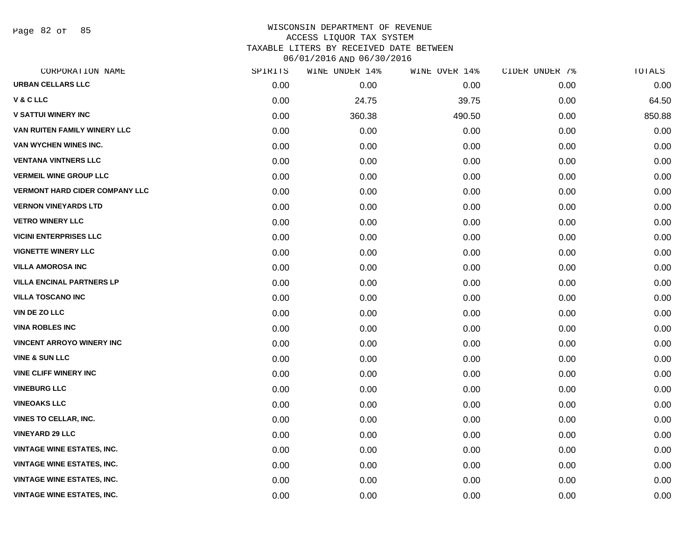Page 82 of 85

| CORPORATION NAME                      | SPIRITS | WINE UNDER 14% | WINE OVER 14% | CIDER UNDER 7% | TOTALS |
|---------------------------------------|---------|----------------|---------------|----------------|--------|
| <b>URBAN CELLARS LLC</b>              | 0.00    | 0.00           | 0.00          | 0.00           | 0.00   |
| <b>V&amp;CLLC</b>                     | 0.00    | 24.75          | 39.75         | 0.00           | 64.50  |
| <b>V SATTUI WINERY INC</b>            | 0.00    | 360.38         | 490.50        | 0.00           | 850.88 |
| VAN RUITEN FAMILY WINERY LLC          | 0.00    | 0.00           | 0.00          | 0.00           | 0.00   |
| VAN WYCHEN WINES INC.                 | 0.00    | 0.00           | 0.00          | 0.00           | 0.00   |
| <b>VENTANA VINTNERS LLC</b>           | 0.00    | 0.00           | 0.00          | 0.00           | 0.00   |
| <b>VERMEIL WINE GROUP LLC</b>         | 0.00    | 0.00           | 0.00          | 0.00           | 0.00   |
| <b>VERMONT HARD CIDER COMPANY LLC</b> | 0.00    | 0.00           | 0.00          | 0.00           | 0.00   |
| <b>VERNON VINEYARDS LTD</b>           | 0.00    | 0.00           | 0.00          | 0.00           | 0.00   |
| <b>VETRO WINERY LLC</b>               | 0.00    | 0.00           | 0.00          | 0.00           | 0.00   |
| <b>VICINI ENTERPRISES LLC</b>         | 0.00    | 0.00           | 0.00          | 0.00           | 0.00   |
| <b>VIGNETTE WINERY LLC</b>            | 0.00    | 0.00           | 0.00          | 0.00           | 0.00   |
| <b>VILLA AMOROSA INC</b>              | 0.00    | 0.00           | 0.00          | 0.00           | 0.00   |
| <b>VILLA ENCINAL PARTNERS LP</b>      | 0.00    | 0.00           | 0.00          | 0.00           | 0.00   |
| <b>VILLA TOSCANO INC</b>              | 0.00    | 0.00           | 0.00          | 0.00           | 0.00   |
| <b>VIN DE ZO LLC</b>                  | 0.00    | 0.00           | 0.00          | 0.00           | 0.00   |
| <b>VINA ROBLES INC</b>                | 0.00    | 0.00           | 0.00          | 0.00           | 0.00   |
| <b>VINCENT ARROYO WINERY INC</b>      | 0.00    | 0.00           | 0.00          | 0.00           | 0.00   |
| <b>VINE &amp; SUN LLC</b>             | 0.00    | 0.00           | 0.00          | 0.00           | 0.00   |
| <b>VINE CLIFF WINERY INC</b>          | 0.00    | 0.00           | 0.00          | 0.00           | 0.00   |
| <b>VINEBURG LLC</b>                   | 0.00    | 0.00           | 0.00          | 0.00           | 0.00   |
| <b>VINEOAKS LLC</b>                   | 0.00    | 0.00           | 0.00          | 0.00           | 0.00   |
| <b>VINES TO CELLAR, INC.</b>          | 0.00    | 0.00           | 0.00          | 0.00           | 0.00   |
| <b>VINEYARD 29 LLC</b>                | 0.00    | 0.00           | 0.00          | 0.00           | 0.00   |
| <b>VINTAGE WINE ESTATES, INC.</b>     | 0.00    | 0.00           | 0.00          | 0.00           | 0.00   |
| <b>VINTAGE WINE ESTATES, INC.</b>     | 0.00    | 0.00           | 0.00          | 0.00           | 0.00   |
| <b>VINTAGE WINE ESTATES, INC.</b>     | 0.00    | 0.00           | 0.00          | 0.00           | 0.00   |
| <b>VINTAGE WINE ESTATES, INC.</b>     | 0.00    | 0.00           | 0.00          | 0.00           | 0.00   |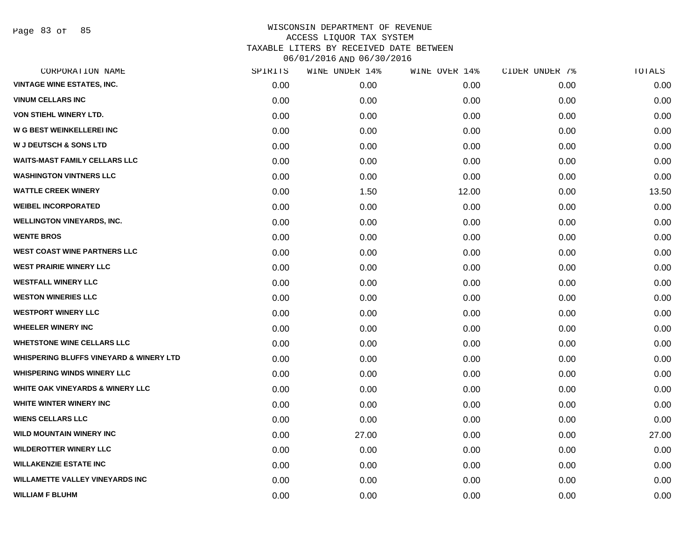Page 83 of 85

|      | WINE UNDER 14% | WINE OVER 14% | CIDER UNDER 7% | TOTALS |
|------|----------------|---------------|----------------|--------|
| 0.00 | 0.00           | 0.00          | 0.00           | 0.00   |
| 0.00 | 0.00           | 0.00          | 0.00           | 0.00   |
| 0.00 | 0.00           | 0.00          | 0.00           | 0.00   |
| 0.00 | 0.00           | 0.00          | 0.00           | 0.00   |
| 0.00 | 0.00           | 0.00          | 0.00           | 0.00   |
| 0.00 | 0.00           | 0.00          | 0.00           | 0.00   |
| 0.00 | 0.00           | 0.00          | 0.00           | 0.00   |
| 0.00 | 1.50           | 12.00         | 0.00           | 13.50  |
| 0.00 | 0.00           | 0.00          | 0.00           | 0.00   |
| 0.00 | 0.00           | 0.00          | 0.00           | 0.00   |
| 0.00 | 0.00           | 0.00          | 0.00           | 0.00   |
| 0.00 | 0.00           | 0.00          | 0.00           | 0.00   |
| 0.00 | 0.00           | 0.00          | 0.00           | 0.00   |
| 0.00 | 0.00           | 0.00          | 0.00           | 0.00   |
| 0.00 | 0.00           | 0.00          | 0.00           | 0.00   |
| 0.00 | 0.00           | 0.00          | 0.00           | 0.00   |
| 0.00 | 0.00           | 0.00          | 0.00           | 0.00   |
| 0.00 | 0.00           | 0.00          | 0.00           | 0.00   |
| 0.00 | 0.00           | 0.00          | 0.00           | 0.00   |
| 0.00 | 0.00           | 0.00          | 0.00           | 0.00   |
| 0.00 | 0.00           | 0.00          | 0.00           | 0.00   |
| 0.00 | 0.00           | 0.00          | 0.00           | 0.00   |
| 0.00 | 0.00           | 0.00          | 0.00           | 0.00   |
| 0.00 | 27.00          | 0.00          | 0.00           | 27.00  |
| 0.00 | 0.00           | 0.00          | 0.00           | 0.00   |
| 0.00 | 0.00           | 0.00          | 0.00           | 0.00   |
| 0.00 | 0.00           | 0.00          | 0.00           | 0.00   |
| 0.00 | 0.00           | 0.00          | 0.00           | 0.00   |
|      | SPIRITS        |               |                |        |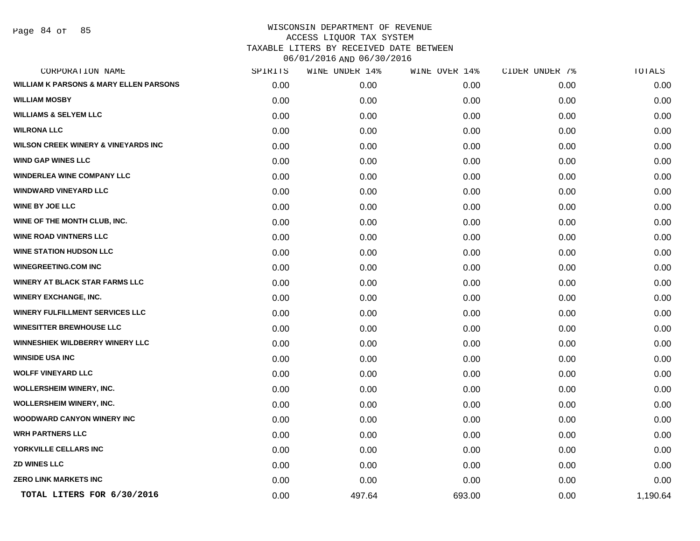|      | WINE UNDER 14% | WINE OVER 14% | CIDER UNDER 7% | TOTALS   |
|------|----------------|---------------|----------------|----------|
| 0.00 | 0.00           | 0.00          | 0.00           | 0.00     |
| 0.00 | 0.00           | 0.00          | 0.00           | 0.00     |
| 0.00 | 0.00           | 0.00          | 0.00           | 0.00     |
| 0.00 | 0.00           | 0.00          | 0.00           | 0.00     |
| 0.00 | 0.00           | 0.00          | 0.00           | 0.00     |
| 0.00 | 0.00           | 0.00          | 0.00           | 0.00     |
| 0.00 | 0.00           | 0.00          | 0.00           | 0.00     |
| 0.00 | 0.00           | 0.00          | 0.00           | 0.00     |
| 0.00 | 0.00           | 0.00          | 0.00           | 0.00     |
| 0.00 | 0.00           | 0.00          | 0.00           | 0.00     |
| 0.00 | 0.00           | 0.00          | 0.00           | 0.00     |
| 0.00 | 0.00           | 0.00          | 0.00           | 0.00     |
| 0.00 | 0.00           | 0.00          | 0.00           | 0.00     |
| 0.00 | 0.00           | 0.00          | 0.00           | 0.00     |
| 0.00 | 0.00           | 0.00          | 0.00           | 0.00     |
| 0.00 | 0.00           | 0.00          | 0.00           | 0.00     |
| 0.00 | 0.00           | 0.00          | 0.00           | 0.00     |
| 0.00 | 0.00           | 0.00          | 0.00           | 0.00     |
| 0.00 | 0.00           | 0.00          | 0.00           | 0.00     |
| 0.00 | 0.00           | 0.00          | 0.00           | 0.00     |
| 0.00 | 0.00           | 0.00          | 0.00           | 0.00     |
| 0.00 | 0.00           | 0.00          | 0.00           | 0.00     |
| 0.00 | 0.00           | 0.00          | 0.00           | 0.00     |
| 0.00 | 0.00           | 0.00          | 0.00           | 0.00     |
| 0.00 | 0.00           | 0.00          | 0.00           | 0.00     |
| 0.00 | 0.00           | 0.00          | 0.00           | 0.00     |
| 0.00 | 0.00           | 0.00          | 0.00           | 0.00     |
| 0.00 | 497.64         | 693.00        | 0.00           | 1,190.64 |
|      | SPIRITS        |               |                |          |